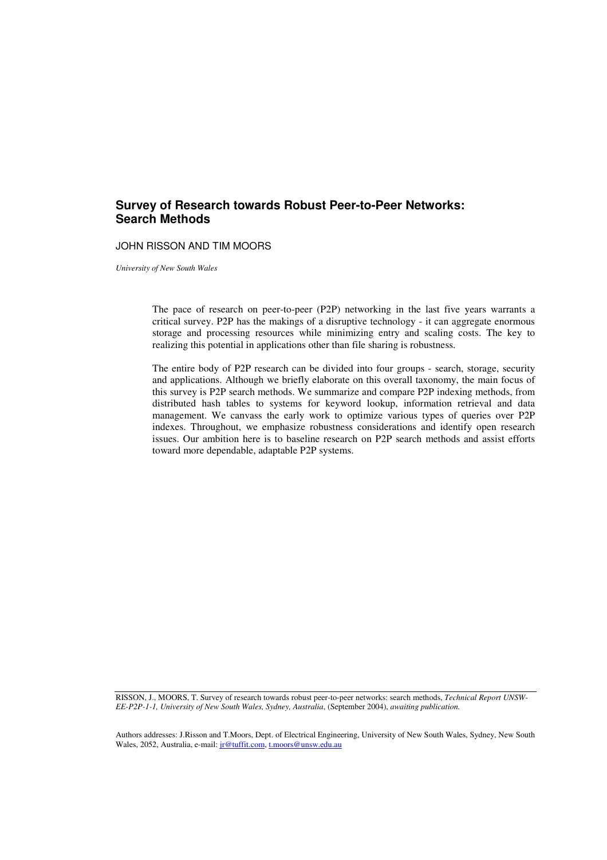# **Survey of Research towards Robust Peer-to-Peer Networks: Search Methods**

JOHN RISSON AND TIM MOORS

*University of New South Wales*

The pace of research on peer-to-peer (P2P) networking in the last five years warrants a critical survey. P2P has the makings of a disruptive technology - it can aggregate enormous storage and processing resources while minimizing entry and scaling costs. The key to realizing this potential in applications other than file sharing is robustness.

The entire body of P2P research can be divided into four groups - search, storage, security and applications. Although we briefly elaborate on this overall taxonomy, the main focus of this survey is P2P search methods. We summarize and compare P2P indexing methods, from distributed hash tables to systems for keyword lookup, information retrieval and data management. We canvass the early work to optimize various types of queries over P2P indexes. Throughout, we emphasize robustness considerations and identify open research issues. Our ambition here is to baseline research on P2P search methods and assist efforts toward more dependable, adaptable P2P systems.

RISSON, J., MOORS, T. Survey of research towards robust peer-to-peer networks: search methods, *Technical Report UNSW-EE-P2P-1-1, University of New South Wales, Sydney, Australia*, (September 2004), *awaiting publication.*

Authors addresses: J.Risson and T.Moors, Dept. of Electrical Engineering, University of New South Wales, Sydney, New South Wales, 2052, Australia, e-mail: jr@tuffit.com, t.moors@unsw.edu.au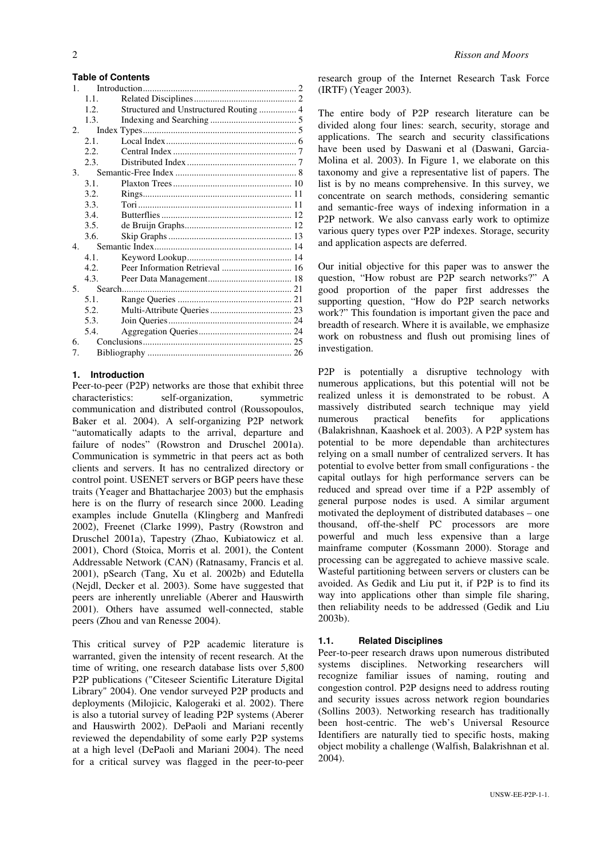# **Table of Contents**

| 1. |         |                                |  |
|----|---------|--------------------------------|--|
|    | 1.1.    |                                |  |
|    | 1.2.    |                                |  |
|    | 1.3.    |                                |  |
| 2. |         |                                |  |
|    | 2.1.    |                                |  |
|    | 2.2.    |                                |  |
|    | 2.3.    |                                |  |
| 3. |         |                                |  |
|    | 3.1.    |                                |  |
|    | 3.2.    |                                |  |
|    | 3.3.    |                                |  |
|    | 3.4.    |                                |  |
|    | 3.5.    |                                |  |
|    | 3.6.    |                                |  |
| 4. |         |                                |  |
|    | $4.1$ . |                                |  |
|    | 4.2.    | Peer Information Retrieval  16 |  |
|    | 4.3.    |                                |  |
| 5. |         |                                |  |
|    | 5.1.    |                                |  |
|    | 5.2.    |                                |  |
|    | 5.3.    |                                |  |
|    | 5.4.    |                                |  |
| 6. |         |                                |  |
| 7. |         |                                |  |

# **1. Introduction**

Peer-to-peer (P2P) networks are those that exhibit three characteristics: self-organization, symmetric communication and distributed control (Roussopoulos, Baker et al. 2004). A self-organizing P2P network "automatically adapts to the arrival, departure and failure of nodes" (Rowstron and Druschel 2001a). Communication is symmetric in that peers act as both clients and servers. It has no centralized directory or control point. USENET servers or BGP peers have these traits (Yeager and Bhattacharjee 2003) but the emphasis here is on the flurry of research since 2000. Leading examples include Gnutella (Klingberg and Manfredi 2002), Freenet (Clarke 1999), Pastry (Rowstron and Druschel 2001a), Tapestry (Zhao, Kubiatowicz et al. 2001), Chord (Stoica, Morris et al. 2001), the Content Addressable Network (CAN) (Ratnasamy, Francis et al. 2001), pSearch (Tang, Xu et al. 2002b) and Edutella (Nejdl, Decker et al. 2003). Some have suggested that peers are inherently unreliable (Aberer and Hauswirth 2001). Others have assumed well-connected, stable peers (Zhou and van Renesse 2004).

This critical survey of P2P academic literature is warranted, given the intensity of recent research. At the time of writing, one research database lists over 5,800 P2P publications ("Citeseer Scientific Literature Digital Library" 2004). One vendor surveyed P2P products and deployments (Milojicic, Kalogeraki et al. 2002). There is also a tutorial survey of leading P2P systems (Aberer and Hauswirth 2002). DePaoli and Mariani recently reviewed the dependability of some early P2P systems at a high level (DePaoli and Mariani 2004). The need for a critical survey was flagged in the peer-to-peer

research group of the Internet Research Task Force (IRTF) (Yeager 2003).

The entire body of P2P research literature can be divided along four lines: search, security, storage and applications. The search and security classifications have been used by Daswani et al (Daswani, Garcia-Molina et al. 2003). In Figure 1, we elaborate on this taxonomy and give a representative list of papers. The list is by no means comprehensive. In this survey, we concentrate on search methods, considering semantic and semantic-free ways of indexing information in a P2P network. We also canvass early work to optimize various query types over P2P indexes. Storage, security and application aspects are deferred.

Our initial objective for this paper was to answer the question, "How robust are P2P search networks?" A good proportion of the paper first addresses the supporting question, "How do P2P search networks work?" This foundation is important given the pace and breadth of research. Where it is available, we emphasize work on robustness and flush out promising lines of investigation.

P2P is potentially a disruptive technology with numerous applications, but this potential will not be realized unless it is demonstrated to be robust. A massively distributed search technique may yield<br>numerous practical benefits for applications practical benefits for applications (Balakrishnan, Kaashoek et al. 2003). A P2P system has potential to be more dependable than architectures relying on a small number of centralized servers. It has potential to evolve better from small configurations - the capital outlays for high performance servers can be reduced and spread over time if a P2P assembly of general purpose nodes is used. A similar argument motivated the deployment of distributed databases – one thousand, off-the-shelf PC processors are more powerful and much less expensive than a large mainframe computer (Kossmann 2000). Storage and processing can be aggregated to achieve massive scale. Wasteful partitioning between servers or clusters can be avoided. As Gedik and Liu put it, if P2P is to find its way into applications other than simple file sharing, then reliability needs to be addressed (Gedik and Liu 2003b).

# **1.1. Related Disciplines**

Peer-to-peer research draws upon numerous distributed systems disciplines. Networking researchers will recognize familiar issues of naming, routing and congestion control. P2P designs need to address routing and security issues across network region boundaries (Sollins 2003). Networking research has traditionally been host-centric. The web's Universal Resource Identifiers are naturally tied to specific hosts, making object mobility a challenge (Walfish, Balakrishnan et al. 2004).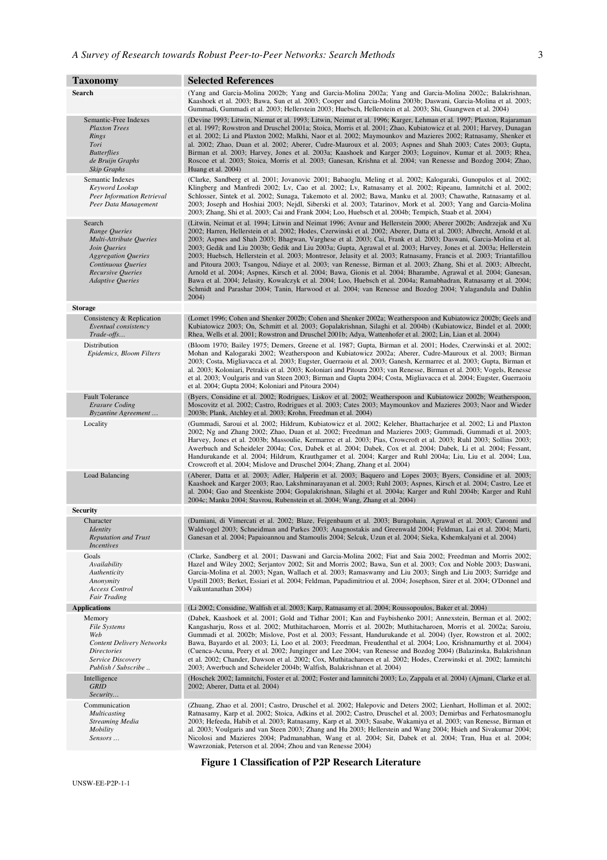| <b>Taxonomy</b>                                                                                                                                                        | <b>Selected References</b>                                                                                                                                                                                                                                                                                                                                                                                                                                                                                                                                                                                                                                                                                                                                                                                                                                                                                                                                                                                                                                                                             |
|------------------------------------------------------------------------------------------------------------------------------------------------------------------------|--------------------------------------------------------------------------------------------------------------------------------------------------------------------------------------------------------------------------------------------------------------------------------------------------------------------------------------------------------------------------------------------------------------------------------------------------------------------------------------------------------------------------------------------------------------------------------------------------------------------------------------------------------------------------------------------------------------------------------------------------------------------------------------------------------------------------------------------------------------------------------------------------------------------------------------------------------------------------------------------------------------------------------------------------------------------------------------------------------|
| <b>Search</b>                                                                                                                                                          | (Yang and Garcia-Molina 2002b; Yang and Garcia-Molina 2002a; Yang and Garcia-Molina 2002c; Balakrishnan,<br>Kaashoek et al. 2003; Bawa, Sun et al. 2003; Cooper and Garcia-Molina 2003b; Daswani, Garcia-Molina et al. 2003;<br>Gummadi, Gummadi et al. 2003; Hellerstein 2003; Huebsch, Hellerstein et al. 2003; Shi, Guangwen et al. 2004)                                                                                                                                                                                                                                                                                                                                                                                                                                                                                                                                                                                                                                                                                                                                                           |
| Semantic-Free Indexes<br><b>Plaxton Trees</b><br>Rings<br>Tori<br><i>Butterflies</i><br>de Bruijn Graphs<br>Skip Graphs                                                | (Devine 1993; Litwin, Niemat et al. 1993; Litwin, Neimat et al. 1996; Karger, Lehman et al. 1997; Plaxton, Rajaraman<br>et al. 1997; Rowstron and Druschel 2001a; Stoica, Morris et al. 2001; Zhao, Kubiatowicz et al. 2001; Harvey, Dunagan<br>et al. 2002; Li and Plaxton 2002; Malkhi, Naor et al. 2002; Maymounkov and Mazieres 2002; Ratnasamy, Shenker et<br>al. 2002; Zhao, Duan et al. 2002; Aberer, Cudre-Mauroux et al. 2003; Aspnes and Shah 2003; Cates 2003; Gupta,<br>Birman et al. 2003; Harvey, Jones et al. 2003a; Kaashoek and Karger 2003; Loguinov, Kumar et al. 2003; Rhea,<br>Roscoe et al. 2003; Stoica, Morris et al. 2003; Ganesan, Krishna et al. 2004; van Renesse and Bozdog 2004; Zhao,<br>Huang et al. 2004)                                                                                                                                                                                                                                                                                                                                                             |
| Semantic Indexes<br>Keyword Lookup<br>Peer Information Retrieval<br>Peer Data Management                                                                               | (Clarke, Sandberg et al. 2001; Jovanovic 2001; Babaoglu, Meling et al. 2002; Kalogaraki, Gunopulos et al. 2002;<br>Klingberg and Manfredi 2002; Lv, Cao et al. 2002; Lv, Ratnasamy et al. 2002; Ripeanu, Iamnitchi et al. 2002;<br>Schlosser, Sintek et al. 2002; Sunaga, Takemoto et al. 2002; Bawa, Manku et al. 2003; Chawathe, Ratnasamy et al.<br>2003; Joseph and Hoshiai 2003; Nejdl, Siberski et al. 2003; Tatarinov, Mork et al. 2003; Yang and Garcia-Molina<br>2003; Zhang, Shi et al. 2003; Cai and Frank 2004; Loo, Huebsch et al. 2004b; Tempich, Staab et al. 2004)                                                                                                                                                                                                                                                                                                                                                                                                                                                                                                                     |
| Search<br>Range Queries<br>Multi-Attribute Queries<br>Join Queries<br><b>Aggregation Queries</b><br>Continuous Queries<br>Recursive Queries<br><b>Adaptive Queries</b> | (Litwin, Neimat et al. 1994; Litwin and Neimat 1996; Avnur and Hellerstein 2000; Aberer 2002b; Andrzejak and Xu<br>2002; Harren, Hellerstein et al. 2002; Hodes, Czerwinski et al. 2002; Aberer, Datta et al. 2003; Albrecht, Arnold et al.<br>2003; Aspnes and Shah 2003; Bhagwan, Varghese et al. 2003; Cai, Frank et al. 2003; Daswani, Garcia-Molina et al.<br>2003; Gedik and Liu 2003b; Gedik and Liu 2003a; Gupta, Agrawal et al. 2003; Harvey, Jones et al. 2003a; Hellerstein<br>2003; Huebsch, Hellerstein et al. 2003; Montresor, Jelasity et al. 2003; Ratnasamy, Francis et al. 2003; Triantafillou<br>and Pitoura 2003; Tsangou, Ndiaye et al. 2003; van Renesse, Birman et al. 2003; Zhang, Shi et al. 2003; Albrecht,<br>Arnold et al. 2004; Aspnes, Kirsch et al. 2004; Bawa, Gionis et al. 2004; Bharambe, Agrawal et al. 2004; Ganesan,<br>Bawa et al. 2004; Jelasity, Kowalczyk et al. 2004; Loo, Huebsch et al. 2004a; Ramabhadran, Ratnasamy et al. 2004;<br>Schmidt and Parashar 2004; Tanin, Harwood et al. 2004; van Renesse and Bozdog 2004; Yalagandula and Dahlin<br>2004) |
| <b>Storage</b>                                                                                                                                                         |                                                                                                                                                                                                                                                                                                                                                                                                                                                                                                                                                                                                                                                                                                                                                                                                                                                                                                                                                                                                                                                                                                        |
| Consistency & Replication<br>Eventual consistency<br>Trade-offs                                                                                                        | (Lomet 1996; Cohen and Shenker 2002b; Cohen and Shenker 2002a; Weatherspoon and Kubiatowicz 2002b; Geels and<br>Kubiatowicz 2003; On, Schmitt et al. 2003; Gopalakrishnan, Silaghi et al. 2004b) (Kubiatowicz, Bindel et al. 2000;<br>Rhea, Wells et al. 2001; Rowstron and Druschel 2001b; Adya, Wattenhofer et al. 2002; Lin, Lian et al. 2004)                                                                                                                                                                                                                                                                                                                                                                                                                                                                                                                                                                                                                                                                                                                                                      |
| Distribution<br>Epidemics, Bloom Filters                                                                                                                               | (Bloom 1970; Bailey 1975; Demers, Greene et al. 1987; Gupta, Birman et al. 2001; Hodes, Czerwinski et al. 2002;<br>Mohan and Kalogaraki 2002; Weatherspoon and Kubiatowicz 2002a; Aberer, Cudre-Mauroux et al. 2003; Birman<br>2003; Costa, Migliavacca et al. 2003; Eugster, Guerraoiu et al. 2003; Ganesh, Kermarrec et al. 2003; Gupta, Birman et<br>al. 2003; Koloniari, Petrakis et al. 2003; Koloniari and Pitoura 2003; van Renesse, Birman et al. 2003; Vogels, Renesse<br>et al. 2003; Voulgaris and van Steen 2003; Birman and Gupta 2004; Costa, Migliavacca et al. 2004; Eugster, Guerraoiu<br>et al. 2004; Gupta 2004; Koloniari and Pitoura 2004)                                                                                                                                                                                                                                                                                                                                                                                                                                        |
| <b>Fault Tolerance</b><br>Erasure Coding<br><b>Byzantine Agreement</b>                                                                                                 | (Byers, Considine et al. 2002; Rodrigues, Liskov et al. 2002; Weatherspoon and Kubiatowicz 2002b; Weatherspoon,<br>Moscovitz et al. 2002; Castro, Rodrigues et al. 2003; Cates 2003; Maymounkov and Mazieres 2003; Naor and Wieder<br>2003b; Plank, Atchley et al. 2003; Krohn, Freedman et al. 2004)                                                                                                                                                                                                                                                                                                                                                                                                                                                                                                                                                                                                                                                                                                                                                                                                  |
| Locality                                                                                                                                                               | (Gummadi, Saroui et al. 2002; Hildrum, Kubiatowicz et al. 2002; Keleher, Bhattacharjee et al. 2002; Li and Plaxton<br>2002; Ng and Zhang 2002; Zhao, Duan et al. 2002; Freedman and Mazieres 2003; Gummadi, Gummadi et al. 2003;<br>Harvey, Jones et al. 2003b; Massoulie, Kermarrec et al. 2003; Pias, Crowcroft et al. 2003; Ruhl 2003; Sollins 2003;<br>Awerbuch and Scheideler 2004a; Cox, Dabek et al. 2004; Dabek, Cox et al. 2004; Dabek, Li et al. 2004; Fessant,<br>Handurukande et al. 2004; Hildrum, Krauthgamer et al. 2004; Karger and Ruhl 2004a; Liu, Liu et al. 2004; Lua,<br>Crowcroft et al. 2004; Mislove and Druschel 2004; Zhang, Zhang et al. 2004)                                                                                                                                                                                                                                                                                                                                                                                                                              |
| Load Balancing                                                                                                                                                         | (Aberer, Datta et al. 2003; Adler, Halperin et al. 2003; Baquero and Lopes 2003; Byers, Considine et al. 2003;<br>Kaashoek and Karger 2003; Rao, Lakshminarayanan et al. 2003; Ruhl 2003; Aspnes, Kirsch et al. 2004; Castro, Lee et<br>al. 2004; Gao and Steenkiste 2004; Gopalakrishnan, Silaghi et al. 2004a; Karger and Ruhl 2004b; Karger and Ruhl<br>2004c; Manku 2004; Stavrou, Rubenstein et al. 2004; Wang, Zhang et al. 2004)                                                                                                                                                                                                                                                                                                                                                                                                                                                                                                                                                                                                                                                                |
| <b>Security</b>                                                                                                                                                        |                                                                                                                                                                                                                                                                                                                                                                                                                                                                                                                                                                                                                                                                                                                                                                                                                                                                                                                                                                                                                                                                                                        |
| Character<br><i>Identity</i><br><b>Reputation and Trust</b><br><i>Incentives</i>                                                                                       | (Damiani, di Vimercati et al. 2002; Blaze, Feigenbaum et al. 2003; Buragohain, Agrawal et al. 2003; Caronni and<br>Waldvogel 2003; Schneidman and Parkes 2003; Anagnostakis and Greenwald 2004; Feldman, Lai et al. 2004; Marti,<br>Ganesan et al. 2004; Papaioannou and Stamoulis 2004; Selcuk, Uzun et al. 2004; Sieka, Kshemkalyani et al. 2004)                                                                                                                                                                                                                                                                                                                                                                                                                                                                                                                                                                                                                                                                                                                                                    |
| Goals<br>Availability<br>Authenticity<br>Anonymity<br>Access Control<br>Fair Trading                                                                                   | (Clarke, Sandberg et al. 2001; Daswani and Garcia-Molina 2002; Fiat and Saia 2002; Freedman and Morris 2002;<br>Hazel and Wiley 2002; Serjantov 2002; Sit and Morris 2002; Bawa, Sun et al. 2003; Cox and Noble 2003; Daswani,<br>Garcia-Molina et al. 2003; Ngan, Wallach et al. 2003; Ramaswamy and Liu 2003; Singh and Liu 2003; Surridge and<br>Upstill 2003; Berket, Essiari et al. 2004; Feldman, Papadimitriou et al. 2004; Josephson, Sirer et al. 2004; O'Donnel and<br>Vaikuntanathan 2004)                                                                                                                                                                                                                                                                                                                                                                                                                                                                                                                                                                                                  |
| <b>Applications</b>                                                                                                                                                    | (Li 2002; Considine, Walfish et al. 2003; Karp, Ratnasamy et al. 2004; Roussopoulos, Baker et al. 2004)                                                                                                                                                                                                                                                                                                                                                                                                                                                                                                                                                                                                                                                                                                                                                                                                                                                                                                                                                                                                |
| Memory<br>File Systems<br>Web<br><b>Content Delivery Networks</b><br><i>Directories</i><br>Service Discovery<br>Publish / Subscribe                                    | (Dabek, Kaashoek et al. 2001; Gold and Tidhar 2001; Kan and Faybishenko 2001; Annexstein, Berman et al. 2002;<br>Kangasharju, Ross et al. 2002; Muthitacharoen, Morris et al. 2002b; Muthitacharoen, Morris et al. 2002a; Saroiu,<br>Gummadi et al. 2002b; Mislove, Post et al. 2003; Fessant, Handurukande et al. 2004) (Iyer, Rowstron et al. 2002;<br>Bawa, Bayardo et al. 2003; Li, Loo et al. 2003; Freedman, Freudenthal et al. 2004; Loo, Krishnamurthy et al. 2004)<br>(Cuenca-Acuna, Peery et al. 2002; Junginger and Lee 2004; van Renesse and Bozdog 2004) (Balazinska, Balakrishnan<br>et al. 2002; Chander, Dawson et al. 2002; Cox, Muthitacharoen et al. 2002; Hodes, Czerwinski et al. 2002; Iamnitchi<br>2003; Awerbuch and Scheideler 2004b; Walfish, Balakrishnan et al. 2004)                                                                                                                                                                                                                                                                                                      |
| Intelligence<br><b>GRID</b><br>Security                                                                                                                                | (Hoschek 2002; Iamnitchi, Foster et al. 2002; Foster and Iamnitchi 2003; Lo, Zappala et al. 2004) (Ajmani, Clarke et al.<br>2002; Aberer, Datta et al. 2004)                                                                                                                                                                                                                                                                                                                                                                                                                                                                                                                                                                                                                                                                                                                                                                                                                                                                                                                                           |
| Communication<br><b>Multicasting</b><br><b>Streaming Media</b><br><i>Mobility</i><br>Sensors                                                                           | (Zhuang, Zhao et al. 2001; Castro, Druschel et al. 2002; Halepovic and Deters 2002; Lienhart, Holliman et al. 2002;<br>Ratnasamy, Karp et al. 2002; Stoica, Adkins et al. 2002; Castro, Druschel et al. 2003; Demirbas and Ferhatosmanoglu<br>2003; Hefeeda, Habib et al. 2003; Ratnasamy, Karp et al. 2003; Sasabe, Wakamiya et al. 2003; van Renesse, Birman et<br>al. 2003; Voulgaris and van Steen 2003; Zhang and Hu 2003; Hellerstein and Wang 2004; Hsieh and Sivakumar 2004;<br>Nicolosi and Mazieres 2004; Padmanabhan, Wang et al. 2004; Sit, Dabek et al. 2004; Tran, Hua et al. 2004;<br>Wawrzoniak, Peterson et al. 2004; Zhou and van Renesse 2004)                                                                                                                                                                                                                                                                                                                                                                                                                                      |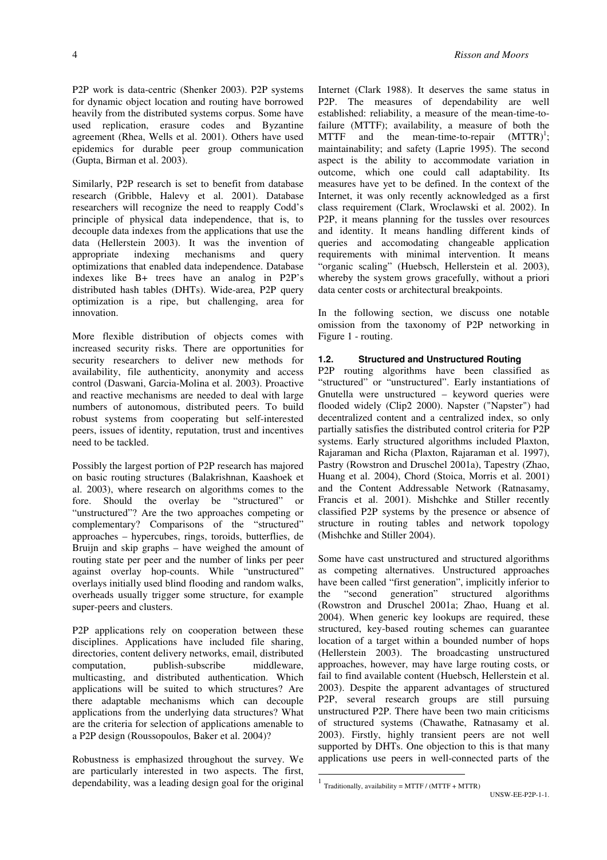P2P work is data-centric (Shenker 2003). P2P systems for dynamic object location and routing have borrowed heavily from the distributed systems corpus. Some have used replication, erasure codes and Byzantine agreement (Rhea, Wells et al. 2001). Others have used epidemics for durable peer group communication (Gupta, Birman et al. 2003).

Similarly, P2P research is set to benefit from database research (Gribble, Halevy et al. 2001). Database researchers will recognize the need to reapply Codd's principle of physical data independence, that is, to decouple data indexes from the applications that use the data (Hellerstein 2003). It was the invention of appropriate indexing mechanisms and query optimizations that enabled data independence. Database indexes like B+ trees have an analog in P2P's distributed hash tables (DHTs). Wide-area, P2P query optimization is a ripe, but challenging, area for innovation.

More flexible distribution of objects comes with increased security risks. There are opportunities for security researchers to deliver new methods for availability, file authenticity, anonymity and access control (Daswani, Garcia-Molina et al. 2003). Proactive and reactive mechanisms are needed to deal with large numbers of autonomous, distributed peers. To build robust systems from cooperating but self-interested peers, issues of identity, reputation, trust and incentives need to be tackled.

Possibly the largest portion of P2P research has majored on basic routing structures (Balakrishnan, Kaashoek et al. 2003), where research on algorithms comes to the fore. Should the overlay be "structured" or "unstructured"? Are the two approaches competing or complementary? Comparisons of the "structured" approaches – hypercubes, rings, toroids, butterflies, de Bruijn and skip graphs – have weighed the amount of routing state per peer and the number of links per peer against overlay hop-counts. While "unstructured" overlays initially used blind flooding and random walks, overheads usually trigger some structure, for example super-peers and clusters.

P2P applications rely on cooperation between these disciplines. Applications have included file sharing, directories, content delivery networks, email, distributed computation, publish-subscribe middleware, multicasting, and distributed authentication. Which applications will be suited to which structures? Are there adaptable mechanisms which can decouple applications from the underlying data structures? What are the criteria for selection of applications amenable to a P2P design (Roussopoulos, Baker et al. 2004)?

Robustness is emphasized throughout the survey. We are particularly interested in two aspects. The first, dependability, was a leading design goal for the original Internet (Clark 1988). It deserves the same status in P2P. The measures of dependability are well established: reliability, a measure of the mean-time-tofailure (MTTF); availability, a measure of both the MTTF and the mean-time-to-repair  $(MTTR)^1$ ; maintainability; and safety (Laprie 1995). The second aspect is the ability to accommodate variation in outcome, which one could call adaptability. Its measures have yet to be defined. In the context of the Internet, it was only recently acknowledged as a first class requirement (Clark, Wroclawski et al. 2002). In P2P, it means planning for the tussles over resources and identity. It means handling different kinds of queries and accomodating changeable application requirements with minimal intervention. It means " organic scaling" (Huebsch, Hellerstein et al. 2003), whereby the system grows gracefully, without a priori data center costs or architectural breakpoints.

In the following section, we discuss one notable omission from the taxonomy of P2P networking in Figure 1 - routing.

# **1.2. Structured and Unstructured Routing**

P2P routing algorithms have been classified as "structured" or "unstructured". Early instantiations of Gnutella were unstructured – keyword queries were flooded widely (Clip2 2000). Napster ("Napster") had decentralized content and a centralized index, so only partially satisfies the distributed control criteria for P2P systems. Early structured algorithms included Plaxton, Rajaraman and Richa (Plaxton, Rajaraman et al. 1997), Pastry (Rowstron and Druschel 2001a), Tapestry (Zhao, Huang et al. 2004), Chord (Stoica, Morris et al. 2001) and the Content Addressable Network (Ratnasamy, Francis et al. 2001). Mishchke and Stiller recently classified P2P systems by the presence or absence of structure in routing tables and network topology (Mishchke and Stiller 2004).

Some have cast unstructured and structured algorithms as competing alternatives. Unstructured approaches have been called "first generation", implicitly inferior to the "second generation" structured algorithms (Rowstron and Druschel 2001a; Zhao, Huang et al. 2004). When generic key lookups are required, these structured, key-based routing schemes can guarantee location of a target within a bounded number of hops (Hellerstein 2003). The broadcasting unstructured approaches, however, may have large routing costs, or fail to find available content (Huebsch, Hellerstein et al. 2003). Despite the apparent advantages of structured P2P, several research groups are still pursuing unstructured P2P. There have been two main criticisms of structured systems (Chawathe, Ratnasamy et al. 2003). Firstly, highly transient peers are not well supported by DHTs. One objection to this is that many applications use peers in well-connected parts of the

<sup>1</sup> Traditionally, availability = MTTF / (MTTF + MTTR)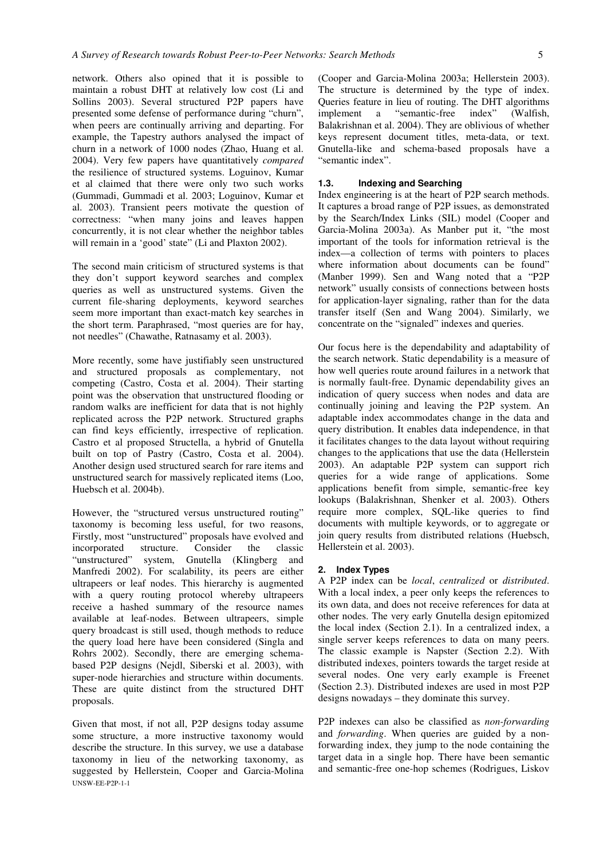network. Others also opined that it is possible to maintain a robust DHT at relatively low cost (Li and Sollins 2003). Several structured P2P papers have presented some defense of performance during "churn", when peers are continually arriving and departing. For example, the Tapestry authors analysed the impact of churn in a network of 1000 nodes (Zhao, Huang et al. 2004). Very few papers have quantitatively *compared* the resilience of structured systems. Loguinov, Kumar et al claimed that there were only two such works (Gummadi, Gummadi et al. 2003; Loguinov, Kumar et al. 2003). Transient peers motivate the question of correctness: "when many joins and leaves happen concurrently, it is not clear whether the neighbor tables will remain in a 'good' state" (Li and Plaxton 2002).

The second main criticism of structured systems is that they don't support keyword searches and complex queries as well as unstructured systems. Given the current file-sharing deployments, keyword searches seem more important than exact-match key searches in the short term. Paraphrased, "most queries are for hay, not needles" (Chawathe, Ratnasamy et al. 2003).

More recently, some have justifiably seen unstructured and structured proposals as complementary, not competing (Castro, Costa et al. 2004). Their starting point was the observation that unstructured flooding or random walks are inefficient for data that is not highly replicated across the P2P network. Structured graphs can find keys efficiently, irrespective of replication. Castro et al proposed Structella, a hybrid of Gnutella built on top of Pastry (Castro, Costa et al. 2004). Another design used structured search for rare items and unstructured search for massively replicated items (Loo, Huebsch et al. 2004b).

However, the "structured versus unstructured routing" taxonomy is becoming less useful, for two reasons, Firstly, most "unstructured" proposals have evolved and incorporated structure. Consider the classic " unstructured" system, Gnutella (Klingberg and Manfredi 2002). For scalability, its peers are either ultrapeers or leaf nodes. This hierarchy is augmented with a query routing protocol whereby ultrapeers receive a hashed summary of the resource names available at leaf-nodes. Between ultrapeers, simple query broadcast is still used, though methods to reduce the query load here have been considered (Singla and Rohrs 2002). Secondly, there are emerging schemabased P2P designs (Nejdl, Siberski et al. 2003), with super-node hierarchies and structure within documents. These are quite distinct from the structured DHT proposals.

UNSW-EE-P2P-1-1 Given that most, if not all, P2P designs today assume some structure, a more instructive taxonomy would describe the structure. In this survey, we use a database taxonomy in lieu of the networking taxonomy, as suggested by Hellerstein, Cooper and Garcia-Molina (Cooper and Garcia-Molina 2003a; Hellerstein 2003). The structure is determined by the type of index. Queries feature in lieu of routing. The DHT algorithms implement a "semantic-free index" (Walfish, Balakrishnan et al. 2004). They are oblivious of whether keys represent document titles, meta-data, or text. Gnutella-like and schema-based proposals have a "semantic index".

#### **1.3. Indexing and Searching**

Index engineering is at the heart of P2P search methods. It captures a broad range of P2P issues, as demonstrated by the Search/Index Links (SIL) model (Cooper and Garcia-Molina 2003a). As Manber put it, "the most important of the tools for information retrieval is the index—a collection of terms with pointers to places where information about documents can be found" (Manber 1999). Sen and Wang noted that a "P2P network" usually consists of connections between hosts for application-layer signaling, rather than for the data transfer itself (Sen and Wang 2004). Similarly, we concentrate on the "signaled" indexes and queries.

Our focus here is the dependability and adaptability of the search network. Static dependability is a measure of how well queries route around failures in a network that is normally fault-free. Dynamic dependability gives an indication of query success when nodes and data are continually joining and leaving the P2P system. An adaptable index accommodates change in the data and query distribution. It enables data independence, in that it facilitates changes to the data layout without requiring changes to the applications that use the data (Hellerstein 2003). An adaptable P2P system can support rich queries for a wide range of applications. Some applications benefit from simple, semantic-free key lookups (Balakrishnan, Shenker et al. 2003). Others require more complex, SQL-like queries to find documents with multiple keywords, or to aggregate or join query results from distributed relations (Huebsch, Hellerstein et al. 2003).

#### **2. Index Types**

A P2P index can be *local*, *centralized* or *distributed*. With a local index, a peer only keeps the references to its own data, and does not receive references for data at other nodes. The very early Gnutella design epitomized the local index (Section 2.1). In a centralized index, a single server keeps references to data on many peers. The classic example is Napster (Section 2.2). With distributed indexes, pointers towards the target reside at several nodes. One very early example is Freenet (Section 2.3). Distributed indexes are used in most P2P designs nowadays – they dominate this survey.

P2P indexes can also be classified as *non-forwarding* and *forwarding*. When queries are guided by a nonforwarding index, they jump to the node containing the target data in a single hop. There have been semantic and semantic-free one-hop schemes (Rodrigues, Liskov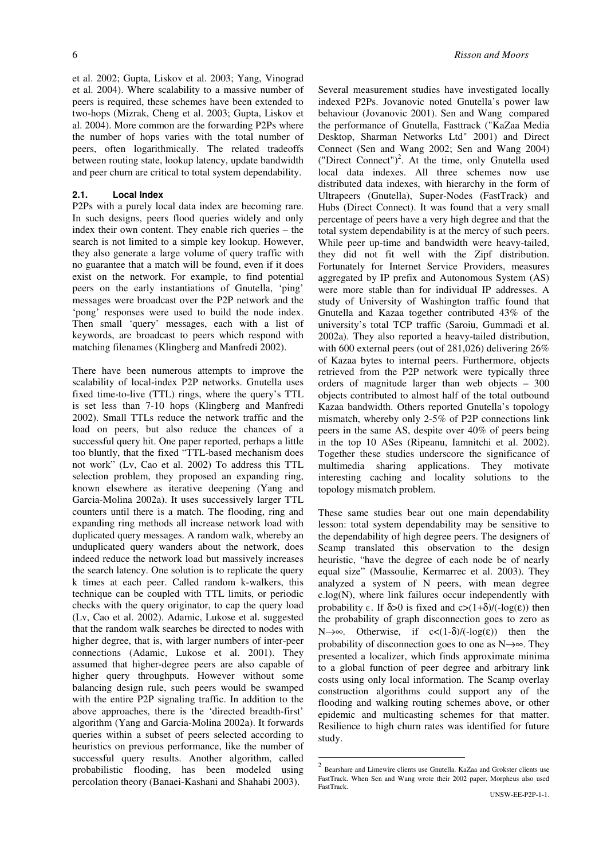et al. 2002; Gupta, Liskov et al. 2003; Yang, Vinograd et al. 2004). Where scalability to a massive number of peers is required, these schemes have been extended to two-hops (Mizrak, Cheng et al. 2003; Gupta, Liskov et al. 2004). More common are the forwarding P2Ps where the number of hops varies with the total number of peers, often logarithmically. The related tradeoffs between routing state, lookup latency, update bandwidth and peer churn are critical to total system dependability.

# **2.1. Local Index**

P2Ps with a purely local data index are becoming rare. In such designs, peers flood queries widely and only index their own content. They enable rich queries – the search is not limited to a simple key lookup. However, they also generate a large volume of query traffic with no guarantee that a match will be found, even if it does exist on the network. For example, to find potential peers on the early instantiations of Gnutella, 'ping' messages were broadcast over the P2P network and the 'pong' responses were used to build the node index. Then small 'query' messages, each with a list of keywords, are broadcast to peers which respond with matching filenames (Klingberg and Manfredi 2002).

There have been numerous attempts to improve the scalability of local-index P2P networks. Gnutella uses fixed time-to-live (TTL) rings, where the query's TTL is set less than 7-10 hops (Klingberg and Manfredi 2002). Small TTLs reduce the network traffic and the load on peers, but also reduce the chances of a successful query hit. One paper reported, perhaps a little too bluntly, that the fixed "TTL-based mechanism does not work" (Lv, Cao et al. 2002) To address this TTL selection problem, they proposed an expanding ring, known elsewhere as iterative deepening (Yang and Garcia-Molina 2002a). It uses successively larger TTL counters until there is a match. The flooding, ring and expanding ring methods all increase network load with duplicated query messages. A random walk, whereby an unduplicated query wanders about the network, does indeed reduce the network load but massively increases the search latency. One solution is to replicate the query k times at each peer. Called random k-walkers, this technique can be coupled with TTL limits, or periodic checks with the query originator, to cap the query load (Lv, Cao et al. 2002). Adamic, Lukose et al. suggested that the random walk searches be directed to nodes with higher degree, that is, with larger numbers of inter-peer connections (Adamic, Lukose et al. 2001). They assumed that higher-degree peers are also capable of higher query throughputs. However without some balancing design rule, such peers would be swamped with the entire P2P signaling traffic. In addition to the above approaches, there is the 'directed breadth-first' algorithm (Yang and Garcia-Molina 2002a). It forwards queries within a subset of peers selected according to heuristics on previous performance, like the number of successful query results. Another algorithm, called probabilistic flooding, has been modeled using percolation theory (Banaei-Kashani and Shahabi 2003).

Several measurement studies have investigated locally indexed P2Ps. Jovanovic noted Gnutella's power law behaviour (Jovanovic 2001). Sen and Wang compared the performance of Gnutella, Fasttrack ("KaZaa Media Desktop, Sharman Networks Ltd" 2001) and Direct Connect (Sen and Wang 2002; Sen and Wang 2004) ("Direct Connect") 2 . At the time, only Gnutella used local data indexes. All three schemes now use distributed data indexes, with hierarchy in the form of Ultrapeers (Gnutella), Super-Nodes (FastTrack) and Hubs (Direct Connect). It was found that a very small percentage of peers have a very high degree and that the total system dependability is at the mercy of such peers. While peer up-time and bandwidth were heavy-tailed, they did not fit well with the Zipf distribution. Fortunately for Internet Service Providers, measures aggregated by IP prefix and Autonomous System (AS) were more stable than for individual IP addresses. A study of University of Washington traffic found that Gnutella and Kazaa together contributed 43% of the university's total TCP traffic (Saroiu, Gummadi et al. 2002a). They also reported a heavy-tailed distribution, with 600 external peers (out of 281,026) delivering 26% of Kazaa bytes to internal peers. Furthermore, objects retrieved from the P2P network were typically three orders of magnitude larger than web objects – 300 objects contributed to almost half of the total outbound Kazaa bandwidth. Others reported Gnutella's topology mismatch, whereby only 2-5% of P2P connections link peers in the same AS, despite over 40% of peers being in the top 10 ASes (Ripeanu, Iamnitchi et al. 2002). Together these studies underscore the significance of multimedia sharing applications. They motivate interesting caching and locality solutions to the topology mismatch problem.

These same studies bear out one main dependability lesson: total system dependability may be sensitive to the dependability of high degree peers. The designers of Scamp translated this observation to the design heuristic, "have the degree of each node be of nearly equal size" (Massoulie, Kermarrec et al. 2003). They analyzed a system of N peers, with mean degree c.log(N), where link failures occur independently with probability  $\epsilon$ . If  $\delta > 0$  is fixed and  $c > (1+\delta)/(-\log(\epsilon))$  then the probability of graph disconnection goes to zero as N→∞. Otherwise, if  $c < (1-\delta)/(-\log(\epsilon))$  then the probability of disconnection goes to one as  $N \rightarrow \infty$ . They presented a localizer, which finds approximate minima to a global function of peer degree and arbitrary link costs using only local information. The Scamp overlay construction algorithms could support any of the flooding and walking routing schemes above, or other epidemic and multicasting schemes for that matter. Resilience to high churn rates was identified for future study.

<sup>2</sup> Bearshare and Limewire clients use Gnutella. KaZaa and Grokster clients use FastTrack. When Sen and Wang wrote their 2002 paper, Morpheus also used FastTrack.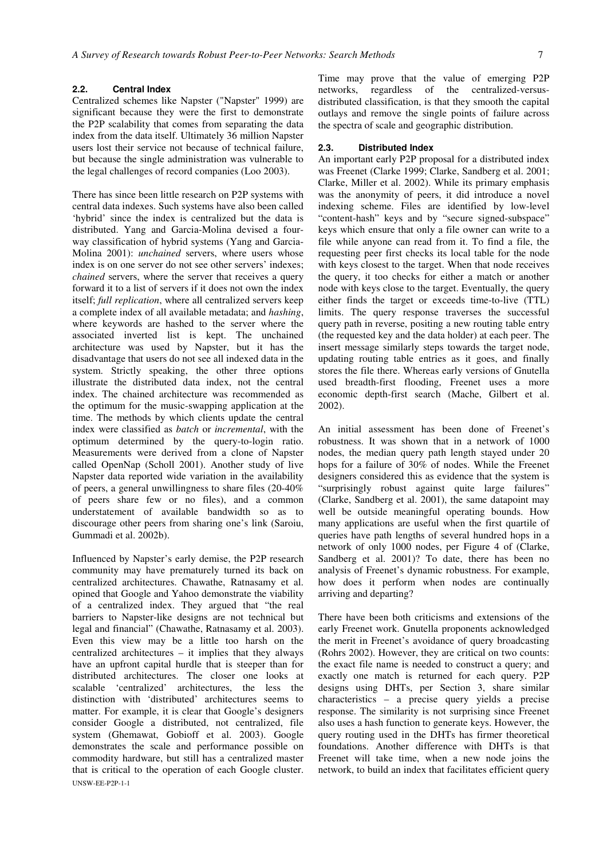#### **2.2. Central Index**

Centralized schemes like Napster ("Napster" 1999) are significant because they were the first to demonstrate the P2P scalability that comes from separating the data index from the data itself. Ultimately 36 million Napster users lost their service not because of technical failure, but because the single administration was vulnerable to the legal challenges of record companies (Loo 2003).

There has since been little research on P2P systems with central data indexes. Such systems have also been called 'hybrid' since the index is centralized but the data is distributed. Yang and Garcia-Molina devised a fourway classification of hybrid systems (Yang and Garcia-Molina 2001): *unchained* servers, where users whose index is on one server do not see other servers' indexes; *chained* servers, where the server that receives a query forward it to a list of servers if it does not own the index itself; *full replication*, where all centralized servers keep a complete index of all available metadata; and *hashing*, where keywords are hashed to the server where the associated inverted list is kept. The unchained architecture was used by Napster, but it has the disadvantage that users do not see all indexed data in the system. Strictly speaking, the other three options illustrate the distributed data index, not the central index. The chained architecture was recommended as the optimum for the music-swapping application at the time. The methods by which clients update the central index were classified as *batch* or *incremental*, with the optimum determined by the query-to-login ratio. Measurements were derived from a clone of Napster called OpenNap (Scholl 2001). Another study of live Napster data reported wide variation in the availability of peers, a general unwillingness to share files (20-40% of peers share few or no files), and a common understatement of available bandwidth so as to discourage other peers from sharing one's link (Saroiu, Gummadi et al. 2002b).

UNSW-EE-P2P-1-1 Influenced by Napster's early demise, the P2P research community may have prematurely turned its back on centralized architectures. Chawathe, Ratnasamy et al. opined that Google and Yahoo demonstrate the viability of a centralized index. They argued that "the real barriers to Napster-like designs are not technical but legal and financial" (Chawathe, Ratnasamy et al. 2003). Even this view may be a little too harsh on the centralized architectures – it implies that they always have an upfront capital hurdle that is steeper than for distributed architectures. The closer one looks at scalable 'centralized' architectures, the less the distinction with 'distributed' architectures seems to matter. For example, it is clear that Google's designers consider Google a distributed, not centralized, file system (Ghemawat, Gobioff et al. 2003). Google demonstrates the scale and performance possible on commodity hardware, but still has a centralized master that is critical to the operation of each Google cluster.

Time may prove that the value of emerging P2P networks, regardless of the centralized-versusdistributed classification, is that they smooth the capital outlays and remove the single points of failure across the spectra of scale and geographic distribution.

# **2.3. Distributed Index**

An important early P2P proposal for a distributed index was Freenet (Clarke 1999; Clarke, Sandberg et al. 2001; Clarke, Miller et al. 2002). While its primary emphasis was the anonymity of peers, it did introduce a novel indexing scheme. Files are identified by low-level " content-hash" keys and by "secure signed-subspace" keys which ensure that only a file owner can write to a file while anyone can read from it. To find a file, the requesting peer first checks its local table for the node with keys closest to the target. When that node receives the query, it too checks for either a match or another node with keys close to the target. Eventually, the query either finds the target or exceeds time-to-live (TTL) limits. The query response traverses the successful query path in reverse, positing a new routing table entry (the requested key and the data holder) at each peer. The insert message similarly steps towards the target node, updating routing table entries as it goes, and finally stores the file there. Whereas early versions of Gnutella used breadth-first flooding, Freenet uses a more economic depth-first search (Mache, Gilbert et al. 2002).

An initial assessment has been done of Freenet's robustness. It was shown that in a network of 1000 nodes, the median query path length stayed under 20 hops for a failure of 30% of nodes. While the Freenet designers considered this as evidence that the system is "surprisingly robust against quite large failures" (Clarke, Sandberg et al. 2001), the same datapoint may well be outside meaningful operating bounds. How many applications are useful when the first quartile of queries have path lengths of several hundred hops in a network of only 1000 nodes, per Figure 4 of (Clarke, Sandberg et al. 2001)? To date, there has been no analysis of Freenet's dynamic robustness. For example, how does it perform when nodes are continually arriving and departing?

There have been both criticisms and extensions of the early Freenet work. Gnutella proponents acknowledged the merit in Freenet's avoidance of query broadcasting (Rohrs 2002). However, they are critical on two counts: the exact file name is needed to construct a query; and exactly one match is returned for each query. P2P designs using DHTs, per Section 3, share similar characteristics – a precise query yields a precise response. The similarity is not surprising since Freenet also uses a hash function to generate keys. However, the query routing used in the DHTs has firmer theoretical foundations. Another difference with DHTs is that Freenet will take time, when a new node joins the network, to build an index that facilitates efficient query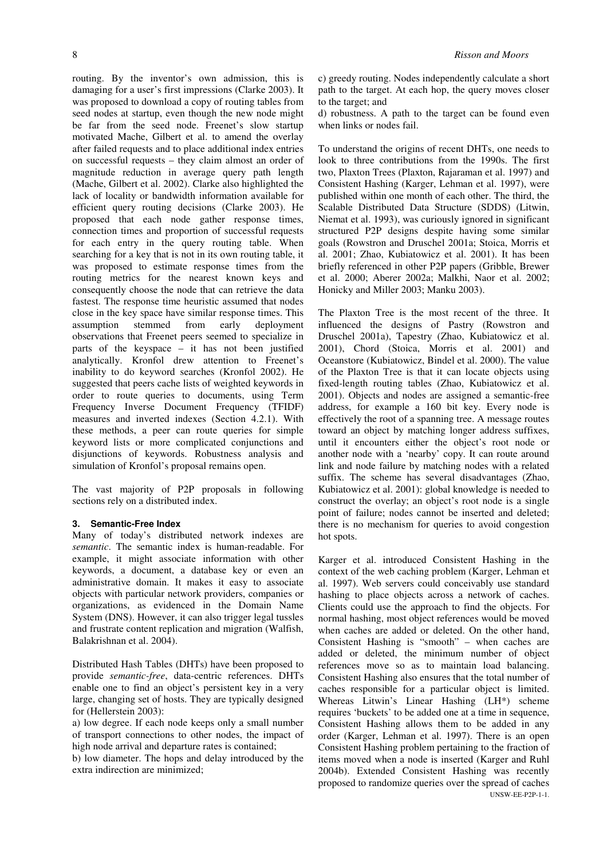routing. By the inventor's own admission, this is damaging for a user's first impressions (Clarke 2003). It was proposed to download a copy of routing tables from seed nodes at startup, even though the new node might be far from the seed node. Freenet's slow startup motivated Mache, Gilbert et al. to amend the overlay after failed requests and to place additional index entries on successful requests – they claim almost an order of magnitude reduction in average query path length (Mache, Gilbert et al. 2002). Clarke also highlighted the lack of locality or bandwidth information available for efficient query routing decisions (Clarke 2003). He proposed that each node gather response times, connection times and proportion of successful requests for each entry in the query routing table. When searching for a key that is not in its own routing table, it was proposed to estimate response times from the routing metrics for the nearest known keys and consequently choose the node that can retrieve the data fastest. The response time heuristic assumed that nodes close in the key space have similar response times. This assumption stemmed from early deployment observations that Freenet peers seemed to specialize in parts of the keyspace – it has not been justified analytically. Kronfol drew attention to Freenet's inability to do keyword searches (Kronfol 2002). He suggested that peers cache lists of weighted keywords in order to route queries to documents, using Term Frequency Inverse Document Frequency (TFIDF) measures and inverted indexes (Section 4.2.1). With these methods, a peer can route queries for simple keyword lists or more complicated conjunctions and disjunctions of keywords. Robustness analysis and simulation of Kronfol's proposal remains open.

The vast majority of P2P proposals in following sections rely on a distributed index.

#### **3. Semantic-Free Index**

Many of today's distributed network indexes are *semantic*. The semantic index is human-readable. For example, it might associate information with other keywords, a document, a database key or even an administrative domain. It makes it easy to associate objects with particular network providers, companies or organizations, as evidenced in the Domain Name System (DNS). However, it can also trigger legal tussles and frustrate content replication and migration (Walfish, Balakrishnan et al. 2004).

Distributed Hash Tables (DHTs) have been proposed to provide *semantic-free*, data-centric references. DHTs enable one to find an object's persistent key in a very large, changing set of hosts. They are typically designed for (Hellerstein 2003):

a) low degree. If each node keeps only a small number of transport connections to other nodes, the impact of high node arrival and departure rates is contained;

b) low diameter. The hops and delay introduced by the extra indirection are minimized;

c) greedy routing. Nodes independently calculate a short path to the target. At each hop, the query moves closer to the target; and

d) robustness. A path to the target can be found even when links or nodes fail.

To understand the origins of recent DHTs, one needs to look to three contributions from the 1990s. The first two, Plaxton Trees (Plaxton, Rajaraman et al. 1997) and Consistent Hashing (Karger, Lehman et al. 1997), were published within one month of each other. The third, the Scalable Distributed Data Structure (SDDS) (Litwin, Niemat et al. 1993), was curiously ignored in significant structured P2P designs despite having some similar goals (Rowstron and Druschel 2001a; Stoica, Morris et al. 2001; Zhao, Kubiatowicz et al. 2001). It has been briefly referenced in other P2P papers (Gribble, Brewer et al. 2000; Aberer 2002a; Malkhi, Naor et al. 2002; Honicky and Miller 2003; Manku 2003).

The Plaxton Tree is the most recent of the three. It influenced the designs of Pastry (Rowstron and Druschel 2001a), Tapestry (Zhao, Kubiatowicz et al. 2001), Chord (Stoica, Morris et al. 2001) and Oceanstore (Kubiatowicz, Bindel et al. 2000). The value of the Plaxton Tree is that it can locate objects using fixed-length routing tables (Zhao, Kubiatowicz et al. 2001). Objects and nodes are assigned a semantic-free address, for example a 160 bit key. Every node is effectively the root of a spanning tree. A message routes toward an object by matching longer address suffixes, until it encounters either the object's root node or another node with a 'nearby' copy. It can route around link and node failure by matching nodes with a related suffix. The scheme has several disadvantages (Zhao, Kubiatowicz et al. 2001): global knowledge is needed to construct the overlay; an object's root node is a single point of failure; nodes cannot be inserted and deleted; there is no mechanism for queries to avoid congestion hot spots.

UNSW-EE-P2P-1-1. Karger et al. introduced Consistent Hashing in the context of the web caching problem (Karger, Lehman et al. 1997). Web servers could conceivably use standard hashing to place objects across a network of caches. Clients could use the approach to find the objects. For normal hashing, most object references would be moved when caches are added or deleted. On the other hand, Consistent Hashing is "smooth" – when caches are added or deleted, the minimum number of object references move so as to maintain load balancing. Consistent Hashing also ensures that the total number of caches responsible for a particular object is limited. Whereas Litwin's Linear Hashing (LH\*) scheme requires 'buckets' to be added one at a time in sequence, Consistent Hashing allows them to be added in any order (Karger, Lehman et al. 1997). There is an open Consistent Hashing problem pertaining to the fraction of items moved when a node is inserted (Karger and Ruhl 2004b). Extended Consistent Hashing was recently proposed to randomize queries over the spread of caches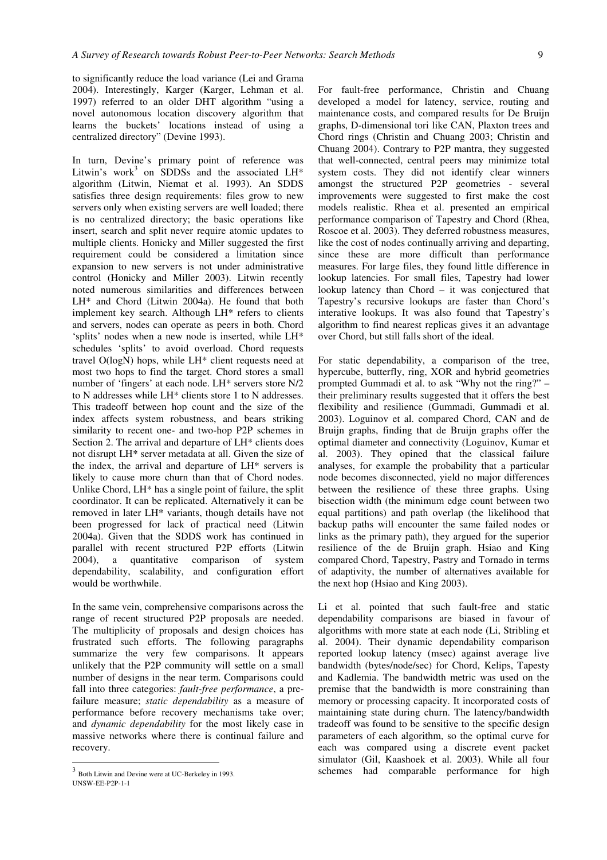to significantly reduce the load variance (Lei and Grama 2004). Interestingly, Karger (Karger, Lehman et al. 1997) referred to an older DHT algorithm "using a novel autonomous location discovery algorithm that learns the buckets' locations instead of using a centralized directory" (Devine 1993).

In turn, Devine's primary point of reference was Litwin's work<sup>3</sup> on SDDSs and the associated LH\* algorithm (Litwin, Niemat et al. 1993). An SDDS satisfies three design requirements: files grow to new servers only when existing servers are well loaded; there is no centralized directory; the basic operations like insert, search and split never require atomic updates to multiple clients. Honicky and Miller suggested the first requirement could be considered a limitation since expansion to new servers is not under administrative control (Honicky and Miller 2003). Litwin recently noted numerous similarities and differences between LH\* and Chord (Litwin 2004a). He found that both implement key search. Although LH\* refers to clients and servers, nodes can operate as peers in both. Chord 'splits' nodes when a new node is inserted, while LH\* schedules 'splits' to avoid overload. Chord requests travel  $O(logN)$  hops, while  $LH^*$  client requests need at most two hops to find the target. Chord stores a small number of 'fingers' at each node. LH\* servers store N/2 to N addresses while LH\* clients store 1 to N addresses. This tradeoff between hop count and the size of the index affects system robustness, and bears striking similarity to recent one- and two-hop P2P schemes in Section 2. The arrival and departure of LH<sup>\*</sup> clients does not disrupt LH\* server metadata at all. Given the size of the index, the arrival and departure of LH\* servers is likely to cause more churn than that of Chord nodes. Unlike Chord, LH\* has a single point of failure, the split coordinator. It can be replicated. Alternatively it can be removed in later LH\* variants, though details have not been progressed for lack of practical need (Litwin 2004a). Given that the SDDS work has continued in parallel with recent structured P2P efforts (Litwin 2004), a quantitative comparison of system dependability, scalability, and configuration effort would be worthwhile.

In the same vein, comprehensive comparisons across the range of recent structured P2P proposals are needed. The multiplicity of proposals and design choices has frustrated such efforts. The following paragraphs summarize the very few comparisons. It appears unlikely that the P2P community will settle on a small number of designs in the near term. Comparisons could fall into three categories: *fault-free performance*, a prefailure measure; *static dependability* as a measure of performance before recovery mechanisms take over; and *dynamic dependability* for the most likely case in massive networks where there is continual failure and recovery.

UNSW-EE-P2P-1-1

For fault-free performance, Christin and Chuang developed a model for latency, service, routing and maintenance costs, and compared results for De Bruijn graphs, D-dimensional tori like CAN, Plaxton trees and Chord rings (Christin and Chuang 2003; Christin and Chuang 2004). Contrary to P2P mantra, they suggested that well-connected, central peers may minimize total system costs. They did not identify clear winners amongst the structured P2P geometries - several improvements were suggested to first make the cost models realistic. Rhea et al. presented an empirical performance comparison of Tapestry and Chord (Rhea, Roscoe et al. 2003). They deferred robustness measures, like the cost of nodes continually arriving and departing, since these are more difficult than performance measures. For large files, they found little difference in lookup latencies. For small files, Tapestry had lower lookup latency than Chord – it was conjectured that Tapestry's recursive lookups are faster than Chord's interative lookups. It was also found that Tapestry's algorithm to find nearest replicas gives it an advantage over Chord, but still falls short of the ideal.

For static dependability, a comparison of the tree, hypercube, butterfly, ring, XOR and hybrid geometries prompted Gummadi et al. to ask "Why not the ring?" – their preliminary results suggested that it offers the best flexibility and resilience (Gummadi, Gummadi et al. 2003). Loguinov et al. compared Chord, CAN and de Bruijn graphs, finding that de Bruijn graphs offer the optimal diameter and connectivity (Loguinov, Kumar et al. 2003). They opined that the classical failure analyses, for example the probability that a particular node becomes disconnected, yield no major differences between the resilience of these three graphs. Using bisection width (the minimum edge count between two equal partitions) and path overlap (the likelihood that backup paths will encounter the same failed nodes or links as the primary path), they argued for the superior resilience of the de Bruijn graph. Hsiao and King compared Chord, Tapestry, Pastry and Tornado in terms of adaptivity, the number of alternatives available for the next hop (Hsiao and King 2003).

Li et al. pointed that such fault-free and static dependability comparisons are biased in favour of algorithms with more state at each node (Li, Stribling et al. 2004). Their dynamic dependability comparison reported lookup latency (msec) against average live bandwidth (bytes/node/sec) for Chord, Kelips, Tapesty and Kadlemia. The bandwidth metric was used on the premise that the bandwidth is more constraining than memory or processing capacity. It incorporated costs of maintaining state during churn. The latency/bandwidth tradeoff was found to be sensitive to the specific design parameters of each algorithm, so the optimal curve for each was compared using a discrete event packet simulator (Gil, Kaashoek et al. 2003). While all four schemes had comparable performance for high

<sup>&</sup>lt;sup>3</sup> Both Litwin and Devine were at UC-Berkeley in 1993.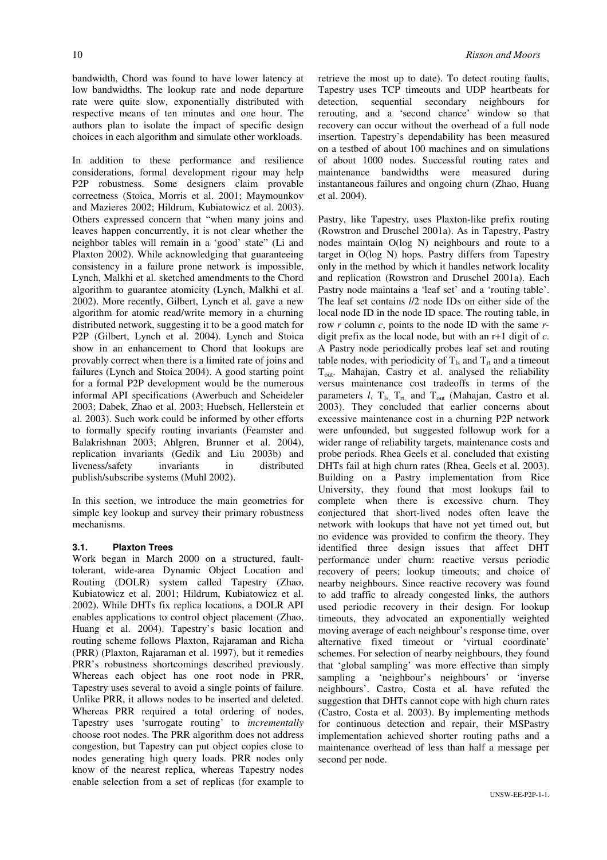bandwidth, Chord was found to have lower latency at low bandwidths. The lookup rate and node departure rate were quite slow, exponentially distributed with respective means of ten minutes and one hour. The authors plan to isolate the impact of specific design choices in each algorithm and simulate other workloads.

In addition to these performance and resilience considerations, formal development rigour may help P2P robustness. Some designers claim provable correctness (Stoica, Morris et al. 2001; Maymounkov and Mazieres 2002; Hildrum, Kubiatowicz et al. 2003). Others expressed concern that "when many joins and leaves happen concurrently, it is not clear whether the neighbor tables will remain in a 'good' state" (Li and Plaxton 2002). While acknowledging that guaranteeing consistency in a failure prone network is impossible, Lynch, Malkhi et al. sketched amendments to the Chord algorithm to guarantee atomicity (Lynch, Malkhi et al. 2002). More recently, Gilbert, Lynch et al. gave a new algorithm for atomic read/write memory in a churning distributed network, suggesting it to be a good match for P2P (Gilbert, Lynch et al. 2004). Lynch and Stoica show in an enhancement to Chord that lookups are provably correct when there is a limited rate of joins and failures (Lynch and Stoica 2004). A good starting point for a formal P2P development would be the numerous informal API specifications (Awerbuch and Scheideler 2003; Dabek, Zhao et al. 2003; Huebsch, Hellerstein et al. 2003). Such work could be informed by other efforts to formally specify routing invariants (Feamster and Balakrishnan 2003; Ahlgren, Brunner et al. 2004), replication invariants (Gedik and Liu 2003b) and liveness/safety invariants in distributed publish/subscribe systems (Muhl 2002).

In this section, we introduce the main geometries for simple key lookup and survey their primary robustness mechanisms.

# **3.1. Plaxton Trees**

Work began in March 2000 on a structured, faulttolerant, wide-area Dynamic Object Location and Routing (DOLR) system called Tapestry (Zhao, Kubiatowicz et al. 2001; Hildrum, Kubiatowicz et al. 2002). While DHTs fix replica locations, a DOLR API enables applications to control object placement (Zhao, Huang et al. 2004). Tapestry's basic location and routing scheme follows Plaxton, Rajaraman and Richa (PRR) (Plaxton, Rajaraman et al. 1997), but it remedies PRR's robustness shortcomings described previously. Whereas each object has one root node in PRR, Tapestry uses several to avoid a single points of failure. Unlike PRR, it allows nodes to be inserted and deleted. Whereas PRR required a total ordering of nodes, Tapestry uses 'surrogate routing' to *incrementally* choose root nodes. The PRR algorithm does not address congestion, but Tapestry can put object copies close to nodes generating high query loads. PRR nodes only know of the nearest replica, whereas Tapestry nodes enable selection from a set of replicas (for example to

retrieve the most up to date). To detect routing faults, Tapestry uses TCP timeouts and UDP heartbeats for detection, sequential secondary neighbours for rerouting, and a 'second chance' window so that recovery can occur without the overhead of a full node insertion. Tapestry's dependability has been measured on a testbed of about 100 machines and on simulations of about 1000 nodes. Successful routing rates and maintenance bandwidths were measured during instantaneous failures and ongoing churn (Zhao, Huang et al. 2004).

Pastry, like Tapestry, uses Plaxton-like prefix routing (Rowstron and Druschel 2001a). As in Tapestry, Pastry nodes maintain O(log N) neighbours and route to a target in O(log N) hops. Pastry differs from Tapestry only in the method by which it handles network locality and replication (Rowstron and Druschel 2001a). Each Pastry node maintains a 'leaf set' and a 'routing table'. The leaf set contains *l*/2 node IDs on either side of the local node ID in the node ID space. The routing table, in row *r* column *c*, points to the node ID with the same *r*digit prefix as the local node, but with an r+1 digit of *c*. A Pastry node periodically probes leaf set and routing table nodes, with periodicity of  $T_{ls}$  and  $T_{rt}$  and a timeout T<sub>out</sub>. Mahajan, Castry et al. analysed the reliability versus maintenance cost tradeoffs in terms of the parameters *l*, T<sub>1s, T<sub>rt,</sub> and T<sub>out</sub> (Mahajan, Castro et al.</sub> 2003). They concluded that earlier concerns about excessive maintenance cost in a churning P2P network were unfounded, but suggested followup work for a wider range of reliability targets, maintenance costs and probe periods. Rhea Geels et al. concluded that existing DHTs fail at high churn rates (Rhea, Geels et al. 2003). Building on a Pastry implementation from Rice University, they found that most lookups fail to complete when there is excessive churn. They conjectured that short-lived nodes often leave the network with lookups that have not yet timed out, but no evidence was provided to confirm the theory. They identified three design issues that affect DHT performance under churn: reactive versus periodic recovery of peers; lookup timeouts; and choice of nearby neighbours. Since reactive recovery was found to add traffic to already congested links, the authors used periodic recovery in their design. For lookup timeouts, they advocated an exponentially weighted moving average of each neighbour's response time, over alternative fixed timeout or 'virtual coordinate' schemes. For selection of nearby neighbours, they found that 'global sampling' was more effective than simply sampling a 'neighbour's neighbours' or 'inverse neighbours'. Castro, Costa et al. have refuted the suggestion that DHTs cannot cope with high churn rates (Castro, Costa et al. 2003). By implementing methods for continuous detection and repair, their MSPastry implementation achieved shorter routing paths and a maintenance overhead of less than half a message per second per node.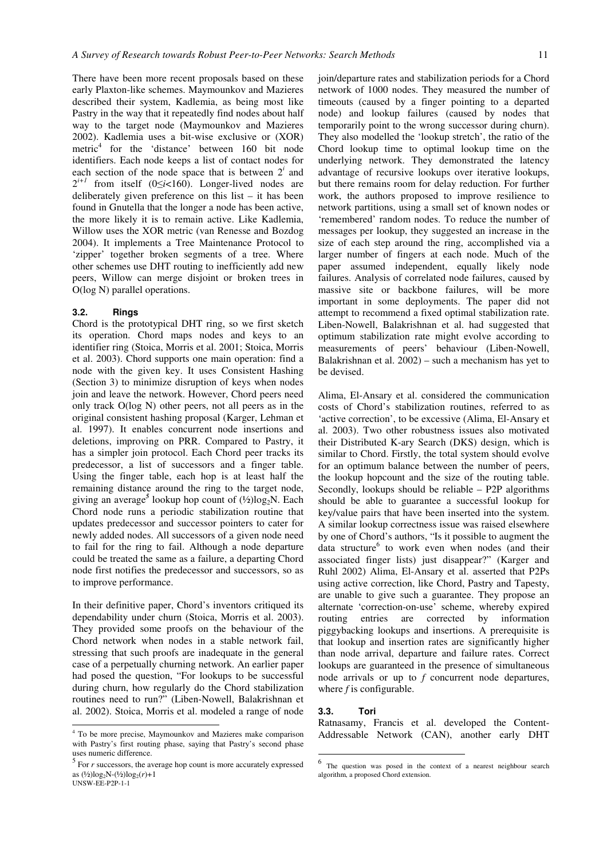There have been more recent proposals based on these early Plaxton-like schemes. Maymounkov and Mazieres described their system, Kadlemia, as being most like Pastry in the way that it repeatedly find nodes about half way to the target node (Maymounkov and Mazieres 2002). Kadlemia uses a bit-wise exclusive or (XOR) metric 4 for the 'distance' between 160 bit node identifiers. Each node keeps a list of contact nodes for each section of the node space that is between  $2^i$  and  $2^{i+1}$  from itself (0 $\le i$ <160). Longer-lived nodes are deliberately given preference on this list – it has been found in Gnutella that the longer a node has been active, the more likely it is to remain active. Like Kadlemia, Willow uses the XOR metric (van Renesse and Bozdog 2004). It implements a Tree Maintenance Protocol to 'zipper' together broken segments of a tree. Where other schemes use DHT routing to inefficiently add new peers, Willow can merge disjoint or broken trees in O(log N) parallel operations.

# **3.2. Rings**

Chord is the prototypical DHT ring, so we first sketch its operation. Chord maps nodes and keys to an identifier ring (Stoica, Morris et al. 2001; Stoica, Morris et al. 2003). Chord supports one main operation: find a node with the given key. It uses Consistent Hashing (Section 3) to minimize disruption of keys when nodes join and leave the network. However, Chord peers need only track O(log N) other peers, not all peers as in the original consistent hashing proposal (Karger, Lehman et al. 1997). It enables concurrent node insertions and deletions, improving on PRR. Compared to Pastry, it has a simpler join protocol. Each Chord peer tracks its predecessor, a list of successors and a finger table. Using the finger table, each hop is at least half the remaining distance around the ring to the target node, giving an average *5* lookup hop count of (½)log2N. Each Chord node runs a periodic stabilization routine that updates predecessor and successor pointers to cater for newly added nodes. All successors of a given node need to fail for the ring to fail. Although a node departure could be treated the same as a failure, a departing Chord node first notifies the predecessor and successors, so as to improve performance.

In their definitive paper, Chord's inventors critiqued its dependability under churn (Stoica, Morris et al. 2003). They provided some proofs on the behaviour of the Chord network when nodes in a stable network fail, stressing that such proofs are inadequate in the general case of a perpetually churning network. An earlier paper had posed the question, "For lookups to be successful during churn, how regularly do the Chord stabilization routines need to run?" (Liben-Nowell, Balakrishnan et al. 2002). Stoica, Morris et al. modeled a range of node join/departure rates and stabilization periods for a Chord network of 1000 nodes. They measured the number of timeouts (caused by a finger pointing to a departed node) and lookup failures (caused by nodes that temporarily point to the wrong successor during churn). They also modelled the 'lookup stretch' , the ratio of the Chord lookup time to optimal lookup time on the underlying network. They demonstrated the latency advantage of recursive lookups over iterative lookups, but there remains room for delay reduction. For further work, the authors proposed to improve resilience to network partitions, using a small set of known nodes or 'remembered' random nodes. To reduce the number of messages per lookup, they suggested an increase in the size of each step around the ring, accomplished via a larger number of fingers at each node. Much of the paper assumed independent, equally likely node failures. Analysis of correlated node failures, caused by massive site or backbone failures, will be more important in some deployments. The paper did not attempt to recommend a fixed optimal stabilization rate. Liben-Nowell, Balakrishnan et al. had suggested that optimum stabilization rate might evolve according to measurements of peers' behaviour (Liben-Nowell, Balakrishnan et al. 2002) – such a mechanism has yet to be devised.

Alima, El-Ansary et al. considered the communication costs of Chord's stabilization routines, referred to as 'active correction', to be excessive (Alima, El-Ansary et al. 2003). Two other robustness issues also motivated their Distributed K-ary Search (DKS) design, which is similar to Chord. Firstly, the total system should evolve for an optimum balance between the number of peers, the lookup hopcount and the size of the routing table. Secondly, lookups should be reliable – P2P algorithms should be able to guarantee a successful lookup for key/value pairs that have been inserted into the system. A similar lookup correctness issue was raised elsewhere by one of Chord's authors, "Is it possible to augment the data structure<sup>6</sup> to work even when nodes (and their associated finger lists) just disappear?" (Karger and Ruhl 2002) Alima, El-Ansary et al. asserted that P2Ps using active correction, like Chord, Pastry and Tapesty, are unable to give such a guarantee. They propose an alternate 'correction-on-use' scheme, whereby expired routing entries are corrected by information piggybacking lookups and insertions. A prerequisite is that lookup and insertion rates are significantly higher than node arrival, departure and failure rates. Correct lookups are guaranteed in the presence of simultaneous node arrivals or up to *f* concurrent node departures, where *f* is configurable.

#### **3.3. Tori**

Ratnasamy, Francis et al. developed the Content-Addressable Network (CAN), another early DHT

<sup>4</sup> To be more precise, Maymounkov and Mazieres make comparison with Pastry's first routing phase, saying that Pastry's second phase uses numeric difference.

UNSW-EE-P2P-1-1  $5$  For  $r$  successors, the average hop count is more accurately expressed as (½)log2N-(½)log2(*r*)+1

<sup>6</sup> The question was posed in the context of a nearest neighbour search algorithm, a proposed Chord extension.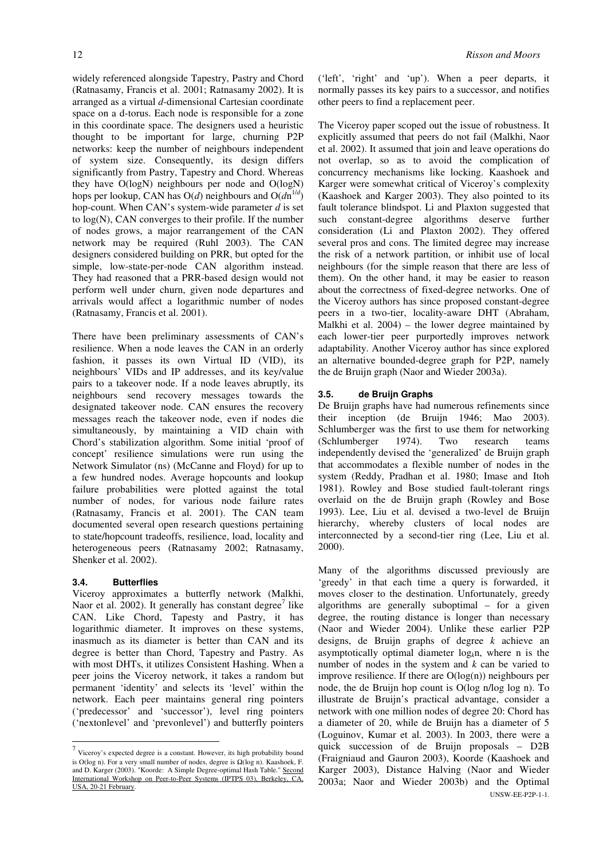widely referenced alongside Tapestry, Pastry and Chord (Ratnasamy, Francis et al. 2001; Ratnasamy 2002). It is arranged as a virtual *d*-dimensional Cartesian coordinate space on a d-torus. Each node is responsible for a zone in this coordinate space. The designers used a heuristic thought to be important for large, churning P2P networks: keep the number of neighbours independent of system size. Consequently, its design differs significantly from Pastry, Tapestry and Chord. Whereas they have O(logN) neighbours per node and O(logN) hops per lookup, CAN has  $O(d)$  neighbours and  $O(dn^{1/d})$ hop-count. When CAN's system-wide parameter *d* is set to log(N), CAN converges to their profile. If the number of nodes grows, a major rearrangement of the CAN network may be required (Ruhl 2003). The CAN designers considered building on PRR, but opted for the simple, low-state-per-node CAN algorithm instead. They had reasoned that a PRR-based design would not perform well under churn, given node departures and arrivals would affect a logarithmic number of nodes (Ratnasamy, Francis et al. 2001).

There have been preliminary assessments of CAN's resilience. When a node leaves the CAN in an orderly fashion, it passes its own Virtual ID (VID), its neighbours' VIDs and IP addresses, and its key/value pairs to a takeover node. If a node leaves abruptly, its neighbours send recovery messages towards the designated takeover node. CAN ensures the recovery messages reach the takeover node, even if nodes die simultaneously, by maintaining a VID chain with Chord's stabilization algorithm. Some initial 'proof of concept' resilience simulations were run using the Network Simulator (ns) (McCanne and Floyd) for up to a few hundred nodes. Average hopcounts and lookup failure probabilities were plotted against the total number of nodes, for various node failure rates (Ratnasamy, Francis et al. 2001). The CAN team documented several open research questions pertaining to state/hopcount tradeoffs, resilience, load, locality and heterogeneous peers (Ratnasamy 2002; Ratnasamy, Shenker et al. 2002).

# **3.4. Butterflies**

Viceroy approximates a butterfly network (Malkhi, Naor et al. 2002). It generally has constant degree<sup>7</sup> like CAN. Like Chord, Tapesty and Pastry, it has logarithmic diameter. It improves on these systems, inasmuch as its diameter is better than CAN and its degree is better than Chord, Tapestry and Pastry. As with most DHTs, it utilizes Consistent Hashing. When a peer joins the Viceroy network, it takes a random but permanent 'identity' and selects its 'level' within the network. Each peer maintains general ring pointers ('predecessor' and 'successor'), level ring pointers ('nextonlevel' and 'prevonlevel') and butterfly pointers ('left', 'right' and 'up'). When a peer departs, it normally passes its key pairs to a successor, and notifies other peers to find a replacement peer.

The Viceroy paper scoped out the issue of robustness. It explicitly assumed that peers do not fail (Malkhi, Naor et al. 2002). It assumed that join and leave operations do not overlap, so as to avoid the complication of concurrency mechanisms like locking. Kaashoek and Karger were somewhat critical of Viceroy's complexity (Kaashoek and Karger 2003). They also pointed to its fault tolerance blindspot. Li and Plaxton suggested that such constant-degree algorithms deserve further consideration (Li and Plaxton 2002). They offered several pros and cons. The limited degree may increase the risk of a network partition, or inhibit use of local neighbours (for the simple reason that there are less of them). On the other hand, it may be easier to reason about the correctness of fixed-degree networks. One of the Viceroy authors has since proposed constant-degree peers in a two-tier, locality-aware DHT (Abraham, Malkhi et al. 2004) – the lower degree maintained by each lower-tier peer purportedly improves network adaptability. Another Viceroy author has since explored an alternative bounded-degree graph for P2P, namely the de Bruijn graph (Naor and Wieder 2003a).

# **3.5. de Bruijn Graphs**

De Bruijn graphs have had numerous refinements since their inception (de Bruijn 1946; Mao 2003). Schlumberger was the first to use them for networking (Schlumberger 1974). Two research teams independently devised the 'generalized' de Bruijn graph that accommodates a flexible number of nodes in the system (Reddy, Pradhan et al. 1980; Imase and Itoh 1981). Rowley and Bose studied fault-tolerant rings overlaid on the de Bruijn graph (Rowley and Bose 1993). Lee, Liu et al. devised a two-level de Bruijn hierarchy, whereby clusters of local nodes are interconnected by a second-tier ring (Lee, Liu et al. 2000).

UNSW-EE-P2P-1-1. Many of the algorithms discussed previously are 'greedy' in that each time a query is forwarded, it moves closer to the destination. Unfortunately, greedy algorithms are generally suboptimal – for a given degree, the routing distance is longer than necessary (Naor and Wieder 2004). Unlike these earlier P2P designs, de Bruijn graphs of degree *k* achieve an asymptotically optimal diameter log*k*n, where n is the number of nodes in the system and *k* can be varied to improve resilience. If there are  $O(log(n))$  neighbours per node, the de Bruijn hop count is O(log n/log log n). To illustrate de Bruijn's practical advantage, consider a network with one million nodes of degree 20: Chord has a diameter of 20, while de Bruijn has a diameter of 5 (Loguinov, Kumar et al. 2003). In 2003, there were a quick succession of de Bruijn proposals – D2B (Fraigniaud and Gauron 2003), Koorde (Kaashoek and Karger 2003), Distance Halving (Naor and Wieder 2003a; Naor and Wieder 2003b) and the Optimal

<sup>7</sup> Viceroy's expected degree is a constant. However, its high probability bound is O(log n). For a very small number of nodes, degree is  $\Omega(\log n)$ . Kaashoek, F. and D. Karger (2003). "Koorde: A Simple Degree-optimal Hash Table." Second International Workshop on Peer-to-Peer Systems (IPTPS 03), Berkeley, CA, USA, 20-21 February.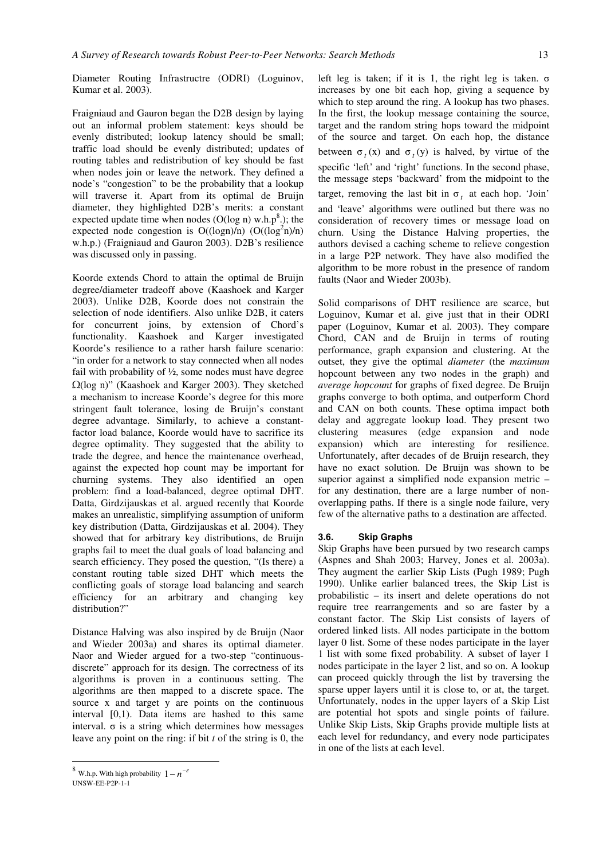Diameter Routing Infrastructre (ODRI) (Loguinov, Kumar et al. 2003).

Fraigniaud and Gauron began the D2B design by laying out an informal problem statement: keys should be evenly distributed; lookup latency should be small; traffic load should be evenly distributed; updates of routing tables and redistribution of key should be fast when nodes join or leave the network. They defined a node's " congestion" to be the probability that a lookup will traverse it. Apart from its optimal de Bruijn diameter, they highlighted D2B's merits: a constant expected update time when nodes (O(log n) w.h.p<sup>8</sup>.); the expected node congestion is  $O((\text{log} n)/n)$   $(O((\text{log}^2 n)/n)$ w.h.p.) (Fraigniaud and Gauron 2003). D2B's resilience was discussed only in passing.

Koorde extends Chord to attain the optimal de Bruijn degree/diameter tradeoff above (Kaashoek and Karger 2003). Unlike D2B, Koorde does not constrain the selection of node identifiers. Also unlike D2B, it caters for concurrent joins, by extension of Chord's functionality. Kaashoek and Karger investigated Koorde's resilience to a rather harsh failure scenario: " in order for a network to stay connected when all nodes fail with probability of ½, some nodes must have degree  $Q(\log n)$ " (Kaashoek and Karger 2003). They sketched a mechanism to increase Koorde's degree for this more stringent fault tolerance, losing de Bruijn's constant degree advantage. Similarly, to achieve a constantfactor load balance, Koorde would have to sacrifice its degree optimality. They suggested that the ability to trade the degree, and hence the maintenance overhead, against the expected hop count may be important for churning systems. They also identified an open problem: find a load-balanced, degree optimal DHT. Datta, Girdzijauskas et al. argued recently that Koorde makes an unrealistic, simplifying assumption of uniform key distribution (Datta, Girdzijauskas et al. 2004). They showed that for arbitrary key distributions, de Bruijn graphs fail to meet the dual goals of load balancing and search efficiency. They posed the question, "(Is there) a constant routing table sized DHT which meets the conflicting goals of storage load balancing and search efficiency for an arbitrary and changing key distribution?"

Distance Halving was also inspired by de Bruijn (Naor and Wieder 2003a) and shares its optimal diameter. Naor and Wieder argued for a two-step "continuousdiscrete" approach for its design. The correctness of its algorithms is proven in a continuous setting. The algorithms are then mapped to a discrete space. The source x and target y are points on the continuous interval [0,1). Data items are hashed to this same interval.  $\sigma$  is a string which determines how messages leave any point on the ring: if bit *t* of the string is 0, the

UNSW-EE-P2P-1-1

left leg is taken; if it is 1, the right leg is taken.  $\sigma$ increases by one bit each hop, giving a sequence by which to step around the ring. A lookup has two phases. In the first, the lookup message containing the source, target and the random string hops toward the midpoint of the source and target. On each hop, the distance between  $\sigma_t(x)$  and  $\sigma_t(y)$  is halved, by virtue of the specific 'left' and 'right' functions. In the second phase, the message steps 'backward' from the midpoint to the target, removing the last bit in  $\sigma_t$  at each hop. 'Join' and 'leave' algorithms were outlined but there was no consideration of recovery times or message load on churn. Using the Distance Halving properties, the authors devised a caching scheme to relieve congestion in a large P2P network. They have also modified the algorithm to be more robust in the presence of random faults (Naor and Wieder 2003b).

Solid comparisons of DHT resilience are scarce, but Loguinov, Kumar et al. give just that in their ODRI paper (Loguinov, Kumar et al. 2003). They compare Chord, CAN and de Bruijn in terms of routing performance, graph expansion and clustering. At the outset, they give the optimal *diameter* (the *maximum* hopcount between any two nodes in the graph) and *average hopcount* for graphs of fixed degree. De Bruijn graphs converge to both optima, and outperform Chord and CAN on both counts. These optima impact both delay and aggregate lookup load. They present two clustering measures (edge expansion and node expansion) which are interesting for resilience. Unfortunately, after decades of de Bruijn research, they have no exact solution. De Bruijn was shown to be superior against a simplified node expansion metric – for any destination, there are a large number of nonoverlapping paths. If there is a single node failure, very few of the alternative paths to a destination are affected.

#### **3.6. Skip Graphs**

Skip Graphs have been pursued by two research camps (Aspnes and Shah 2003; Harvey, Jones et al. 2003a). They augment the earlier Skip Lists (Pugh 1989; Pugh 1990). Unlike earlier balanced trees, the Skip List is probabilistic – its insert and delete operations do not require tree rearrangements and so are faster by a constant factor. The Skip List consists of layers of ordered linked lists. All nodes participate in the bottom layer 0 list. Some of these nodes participate in the layer 1 list with some fixed probability. A subset of layer 1 nodes participate in the layer 2 list, and so on. A lookup can proceed quickly through the list by traversing the sparse upper layers until it is close to, or at, the target. Unfortunately, nodes in the upper layers of a Skip List are potential hot spots and single points of failure. Unlike Skip Lists, Skip Graphs provide multiple lists at each level for redundancy, and every node participates in one of the lists at each level.

<sup>&</sup>lt;sup>8</sup> W.h.p. With high probability  $1 - n^{-\varepsilon}$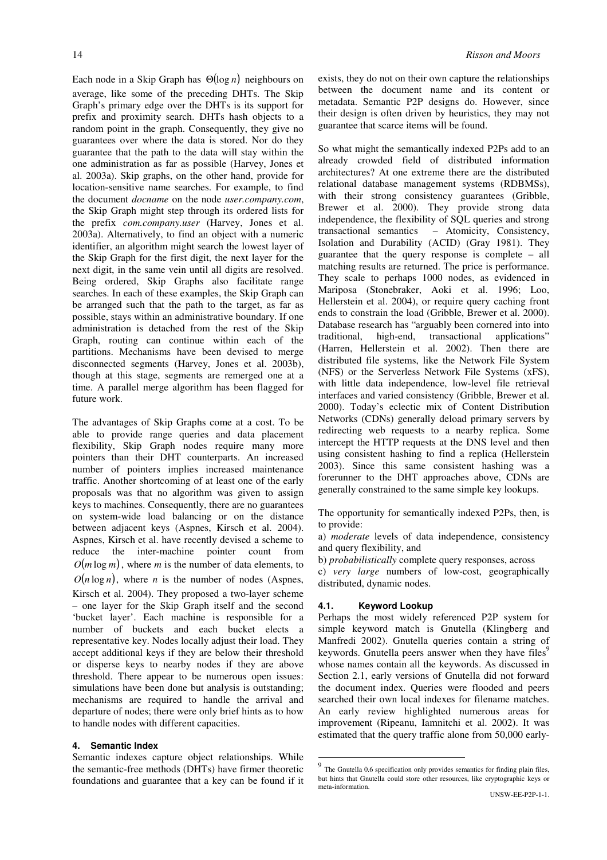Each node in a Skip Graph has Θ(log *n*) neighbours on average, like some of the preceding DHTs. The Skip Graph's primary edge over the DHTs is its support for prefix and proximity search. DHTs hash objects to a random point in the graph. Consequently, they give no guarantees over where the data is stored. Nor do they guarantee that the path to the data will stay within the one administration as far as possible (Harvey, Jones et al. 2003a). Skip graphs, on the other hand, provide for location-sensitive name searches. For example, to find the document *docname* on the node *user.company.com*, the Skip Graph might step through its ordered lists for the prefix *com.company.user* (Harvey, Jones et al. 2003a). Alternatively, to find an object with a numeric identifier, an algorithm might search the lowest layer of the Skip Graph for the first digit, the next layer for the next digit, in the same vein until all digits are resolved. Being ordered, Skip Graphs also facilitate range searches. In each of these examples, the Skip Graph can be arranged such that the path to the target, as far as possible, stays within an administrative boundary. If one administration is detached from the rest of the Skip Graph, routing can continue within each of the partitions. Mechanisms have been devised to merge disconnected segments (Harvey, Jones et al. 2003b), though at this stage, segments are remerged one at a time. A parallel merge algorithm has been flagged for future work.

The advantages of Skip Graphs come at a cost. To be able to provide range queries and data placement flexibility, Skip Graph nodes require many more pointers than their DHT counterparts. An increased number of pointers implies increased maintenance traffic. Another shortcoming of at least one of the early proposals was that no algorithm was given to assign keys to machines. Consequently, there are no guarantees on system-wide load balancing or on the distance between adjacent keys (Aspnes, Kirsch et al. 2004). Aspnes, Kirsch et al. have recently devised a scheme to reduce the inter-machine pointer count from  $O(m \log m)$ , where *m* is the number of data elements, to  $O(n \log n)$ , where *n* is the number of nodes (Aspnes, Kirsch et al. 2004). They proposed a two-layer scheme – one layer for the Skip Graph itself and the second 'bucket layer'. Each machine is responsible for a number of buckets and each bucket elects a representative key. Nodes locally adjust their load. They accept additional keys if they are below their threshold or disperse keys to nearby nodes if they are above threshold. There appear to be numerous open issues: simulations have been done but analysis is outstanding; mechanisms are required to handle the arrival and departure of nodes; there were only brief hints as to how to handle nodes with different capacities.

# **4. Semantic Index**

Semantic indexes capture object relationships. While the semantic-free methods (DHTs) have firmer theoretic foundations and guarantee that a key can be found if it exists, they do not on their own capture the relationships between the document name and its content or metadata. Semantic P2P designs do. However, since their design is often driven by heuristics, they may not guarantee that scarce items will be found.

So what might the semantically indexed P2Ps add to an already crowded field of distributed information architectures? At one extreme there are the distributed relational database management systems (RDBMSs), with their strong consistency guarantees (Gribble, Brewer et al. 2000). They provide strong data independence, the flexibility of SQL queries and strong transactional semantics – Atomicity, Consistency, Isolation and Durability (ACID) (Gray 1981). They guarantee that the query response is complete – all matching results are returned. The price is performance. They scale to perhaps 1000 nodes, as evidenced in Mariposa (Stonebraker, Aoki et al. 1996; Loo, Hellerstein et al. 2004), or require query caching front ends to constrain the load (Gribble, Brewer et al. 2000). Database research has "arguably been cornered into into traditional, high-end, transactional applications" (Harren, Hellerstein et al. 2002). Then there are distributed file systems, like the Network File System (NFS) or the Serverless Network File Systems (xFS), with little data independence, low-level file retrieval interfaces and varied consistency (Gribble, Brewer et al. 2000). Today's eclectic mix of Content Distribution Networks (CDNs) generally deload primary servers by redirecting web requests to a nearby replica. Some intercept the HTTP requests at the DNS level and then using consistent hashing to find a replica (Hellerstein 2003). Since this same consistent hashing was a forerunner to the DHT approaches above, CDNs are generally constrained to the same simple key lookups.

The opportunity for semantically indexed P2Ps, then, is to provide:

a) *moderate* levels of data independence, consistency and query flexibility, and

b) *probabilistically* complete query responses, across

c) *very large* numbers of low-cost, geographically distributed, dynamic nodes.

#### **4.1. Keyword Lookup**

Perhaps the most widely referenced P2P system for simple keyword match is Gnutella (Klingberg and Manfredi 2002). Gnutella queries contain a string of keywords. Gnutella peers answer when they have files<sup>9</sup> whose names contain all the keywords. As discussed in Section 2.1, early versions of Gnutella did not forward the document index. Queries were flooded and peers searched their own local indexes for filename matches. An early review highlighted numerous areas for improvement (Ripeanu, Iamnitchi et al. 2002). It was estimated that the query traffic alone from 50,000 early-

<sup>&</sup>lt;sup>9</sup> The Gnutella 0.6 specification only provides semantics for finding plain files, but hints that Gnutella could store other resources, like cryptographic keys or meta-information.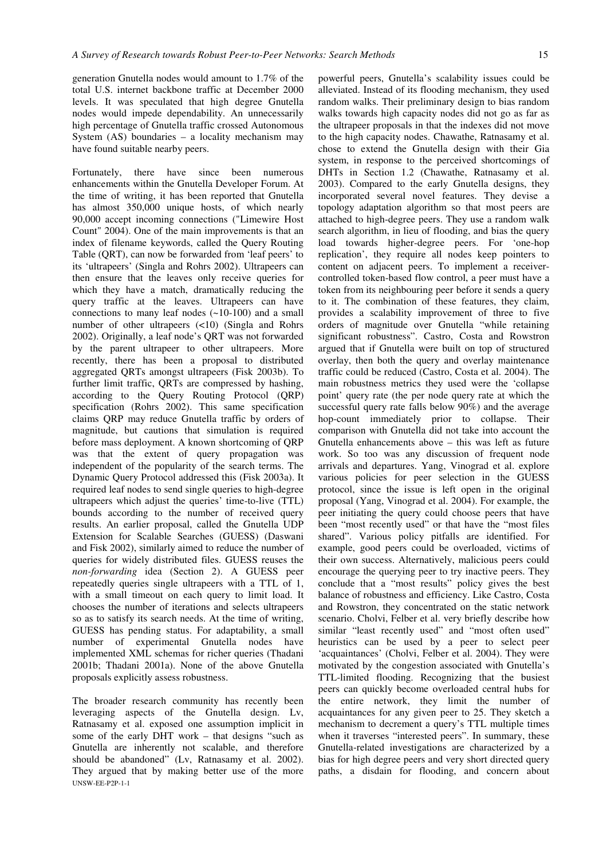generation Gnutella nodes would amount to 1.7% of the total U.S. internet backbone traffic at December 2000 levels. It was speculated that high degree Gnutella nodes would impede dependability. An unnecessarily high percentage of Gnutella traffic crossed Autonomous System (AS) boundaries – a locality mechanism may have found suitable nearby peers.

Fortunately, there have since been numerous enhancements within the Gnutella Developer Forum. At the time of writing, it has been reported that Gnutella has almost 350,000 unique hosts, of which nearly 90,000 accept incoming connections ("Limewire Host Count" 2004). One of the main improvements is that an index of filename keywords, called the Query Routing Table (QRT), can now be forwarded from 'leaf peers' to its 'ultrapeers' (Singla and Rohrs 2002). Ultrapeers can then ensure that the leaves only receive queries for which they have a match, dramatically reducing the query traffic at the leaves. Ultrapeers can have connections to many leaf nodes (~10-100) and a small number of other ultrapeers (<10) (Singla and Rohrs 2002). Originally, a leaf node's QRT was not forwarded by the parent ultrapeer to other ultrapeers. More recently, there has been a proposal to distributed aggregated QRTs amongst ultrapeers (Fisk 2003b). To further limit traffic, QRTs are compressed by hashing, according to the Query Routing Protocol (QRP) specification (Rohrs 2002). This same specification claims QRP may reduce Gnutella traffic by orders of magnitude, but cautions that simulation is required before mass deployment. A known shortcoming of QRP was that the extent of query propagation was independent of the popularity of the search terms. The Dynamic Query Protocol addressed this (Fisk 2003a). It required leaf nodes to send single queries to high-degree ultrapeers which adjust the queries' time-to-live (TTL) bounds according to the number of received query results. An earlier proposal, called the Gnutella UDP Extension for Scalable Searches (GUESS) (Daswani and Fisk 2002), similarly aimed to reduce the number of queries for widely distributed files. GUESS reuses the *non-forwarding* idea (Section 2). A GUESS peer repeatedly queries single ultrapeers with a TTL of 1, with a small timeout on each query to limit load. It chooses the number of iterations and selects ultrapeers so as to satisfy its search needs. At the time of writing, GUESS has pending status. For adaptability, a small number of experimental Gnutella nodes have implemented XML schemas for richer queries (Thadani 2001b; Thadani 2001a). None of the above Gnutella proposals explicitly assess robustness.

UNSW-EE-P2P-1-1 The broader research community has recently been leveraging aspects of the Gnutella design. Lv, Ratnasamy et al. exposed one assumption implicit in some of the early DHT work – that designs "such as Gnutella are inherently not scalable, and therefore should be abandoned" (Lv, Ratnasamy et al. 2002). They argued that by making better use of the more powerful peers, Gnutella's scalability issues could be alleviated. Instead of its flooding mechanism, they used random walks. Their preliminary design to bias random walks towards high capacity nodes did not go as far as the ultrapeer proposals in that the indexes did not move to the high capacity nodes. Chawathe, Ratnasamy et al. chose to extend the Gnutella design with their Gia system, in response to the perceived shortcomings of DHTs in Section 1.2 (Chawathe, Ratnasamy et al. 2003). Compared to the early Gnutella designs, they incorporated several novel features. They devise a topology adaptation algorithm so that most peers are attached to high-degree peers. They use a random walk search algorithm, in lieu of flooding, and bias the query load towards higher-degree peers. For 'one-hop replication', they require all nodes keep pointers to content on adjacent peers. To implement a receivercontrolled token-based flow control, a peer must have a token from its neighbouring peer before it sends a query to it. The combination of these features, they claim, provides a scalability improvement of three to five orders of magnitude over Gnutella "while retaining significant robustness". Castro, Costa and Rowstron argued that if Gnutella were built on top of structured overlay, then both the query and overlay maintenance traffic could be reduced (Castro, Costa et al. 2004). The main robustness metrics they used were the 'collapse point' query rate (the per node query rate at which the successful query rate falls below 90%) and the average hop-count immediately prior to collapse. Their comparison with Gnutella did not take into account the Gnutella enhancements above – this was left as future work. So too was any discussion of frequent node arrivals and departures. Yang, Vinograd et al. explore various policies for peer selection in the GUESS protocol, since the issue is left open in the original proposal (Yang, Vinograd et al. 2004). For example, the peer initiating the query could choose peers that have been "most recently used" or that have the "most files" shared". Various policy pitfalls are identified. For example, good peers could be overloaded, victims of their own success. Alternatively, malicious peers could encourage the querying peer to try inactive peers. They conclude that a "most results" policy gives the best balance of robustness and efficiency. Like Castro, Costa and Rowstron, they concentrated on the static network scenario. Cholvi, Felber et al. very briefly describe how similar "least recently used" and "most often used" heuristics can be used by a peer to select peer 'acquaintances' (Cholvi, Felber et al. 2004). They were motivated by the congestion associated with Gnutella's TTL-limited flooding. Recognizing that the busiest peers can quickly become overloaded central hubs for the entire network, they limit the number of acquaintances for any given peer to 25. They sketch a mechanism to decrement a query's TTL multiple times when it traverses "interested peers". In summary, these Gnutella-related investigations are characterized by a bias for high degree peers and very short directed query paths, a disdain for flooding, and concern about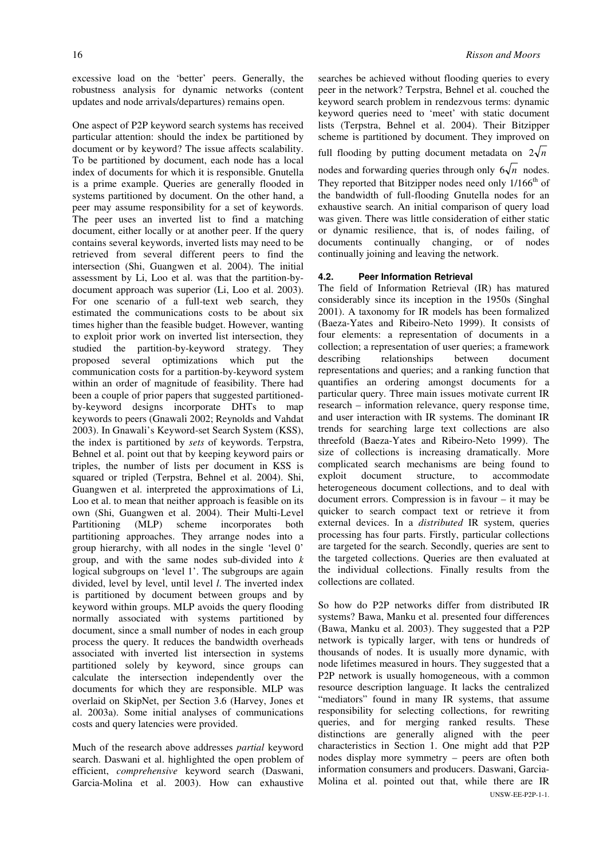excessive load on the 'better' peers. Generally, the robustness analysis for dynamic networks (content updates and node arrivals/departures) remains open.

One aspect of P2P keyword search systems has received particular attention: should the index be partitioned by document or by keyword? The issue affects scalability. To be partitioned by document, each node has a local index of documents for which it is responsible. Gnutella is a prime example. Queries are generally flooded in systems partitioned by document. On the other hand, a peer may assume responsibility for a set of keywords. The peer uses an inverted list to find a matching document, either locally or at another peer. If the query contains several keywords, inverted lists may need to be retrieved from several different peers to find the intersection (Shi, Guangwen et al. 2004). The initial assessment by Li, Loo et al. was that the partition-bydocument approach was superior (Li, Loo et al. 2003). For one scenario of a full-text web search, they estimated the communications costs to be about six times higher than the feasible budget. However, wanting to exploit prior work on inverted list intersection, they studied the partition-by-keyword strategy. They proposed several optimizations which put the communication costs for a partition-by-keyword system within an order of magnitude of feasibility. There had been a couple of prior papers that suggested partitionedby-keyword designs incorporate DHTs to map keywords to peers (Gnawali 2002; Reynolds and Vahdat 2003). In Gnawali's Keyword-set Search System (KSS), the index is partitioned by *sets* of keywords. Terpstra, Behnel et al. point out that by keeping keyword pairs or triples, the number of lists per document in KSS is squared or tripled (Terpstra, Behnel et al. 2004). Shi, Guangwen et al. interpreted the approximations of Li, Loo et al. to mean that neither approach is feasible on its own (Shi, Guangwen et al. 2004). Their Multi-Level Partitioning (MLP) scheme incorporates both partitioning approaches. They arrange nodes into a group hierarchy, with all nodes in the single 'level 0' group, and with the same nodes sub-divided into *k* logical subgroups on 'level 1'. The subgroups are again divided, level by level, until level *l*. The inverted index is partitioned by document between groups and by keyword within groups. MLP avoids the query flooding normally associated with systems partitioned by document, since a small number of nodes in each group process the query. It reduces the bandwidth overheads associated with inverted list intersection in systems partitioned solely by keyword, since groups can calculate the intersection independently over the documents for which they are responsible. MLP was overlaid on SkipNet, per Section 3.6 (Harvey, Jones et al. 2003a). Some initial analyses of communications costs and query latencies were provided.

Much of the research above addresses *partial* keyword search. Daswani et al. highlighted the open problem of efficient, *comprehensive* keyword search (Daswani, Garcia-Molina et al. 2003). How can exhaustive

searches be achieved without flooding queries to every peer in the network? Terpstra, Behnel et al. couched the keyword search problem in rendezvous terms: dynamic keyword queries need to 'meet' with static document lists (Terpstra, Behnel et al. 2004). Their Bitzipper scheme is partitioned by document. They improved on full flooding by putting document metadata on  $2\sqrt{n}$ nodes and forwarding queries through only  $6\sqrt{n}$  nodes. They reported that Bitzipper nodes need only 1/166<sup>th</sup> of the bandwidth of full-flooding Gnutella nodes for an exhaustive search. An initial comparison of query load was given. There was little consideration of either static or dynamic resilience, that is, of nodes failing, of documents continually changing, or of nodes continually joining and leaving the network.

# **4.2. Peer Information Retrieval**

The field of Information Retrieval (IR) has matured considerably since its inception in the 1950s (Singhal 2001). A taxonomy for IR models has been formalized (Baeza-Yates and Ribeiro-Neto 1999). It consists of four elements: a representation of documents in a collection; a representation of user queries; a framework describing relationships between document representations and queries; and a ranking function that quantifies an ordering amongst documents for a particular query. Three main issues motivate current IR research – information relevance, query response time, and user interaction with IR systems. The dominant IR trends for searching large text collections are also threefold (Baeza-Yates and Ribeiro-Neto 1999). The size of collections is increasing dramatically. More complicated search mechanisms are being found to exploit document structure, to accommodate heterogeneous document collections, and to deal with document errors. Compression is in favour – it may be quicker to search compact text or retrieve it from external devices. In a *distributed* IR system, queries processing has four parts. Firstly, particular collections are targeted for the search. Secondly, queries are sent to the targeted collections. Queries are then evaluated at the individual collections. Finally results from the collections are collated.

UNSW-EE-P2P-1-1. So how do P2P networks differ from distributed IR systems? Bawa, Manku et al. presented four differences (Bawa, Manku et al. 2003). They suggested that a P2P network is typically larger, with tens or hundreds of thousands of nodes. It is usually more dynamic, with node lifetimes measured in hours. They suggested that a P2P network is usually homogeneous, with a common resource description language. It lacks the centralized "mediators" found in many IR systems, that assume responsibility for selecting collections, for rewriting queries, and for merging ranked results. These distinctions are generally aligned with the peer characteristics in Section 1. One might add that P2P nodes display more symmetry – peers are often both information consumers and producers. Daswani, Garcia-Molina et al. pointed out that, while there are IR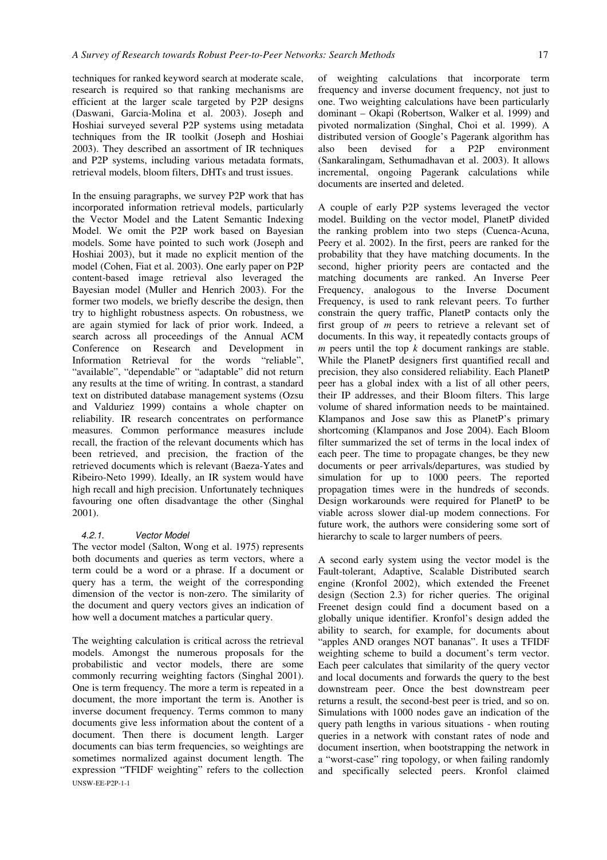techniques for ranked keyword search at moderate scale, research is required so that ranking mechanisms are efficient at the larger scale targeted by P2P designs (Daswani, Garcia-Molina et al. 2003). Joseph and Hoshiai surveyed several P2P systems using metadata techniques from the IR toolkit (Joseph and Hoshiai 2003). They described an assortment of IR techniques and P2P systems, including various metadata formats, retrieval models, bloom filters, DHTs and trust issues.

In the ensuing paragraphs, we survey P2P work that has incorporated information retrieval models, particularly the Vector Model and the Latent Semantic Indexing Model. We omit the P2P work based on Bayesian models. Some have pointed to such work (Joseph and Hoshiai 2003), but it made no explicit mention of the model (Cohen, Fiat et al. 2003). One early paper on P2P content-based image retrieval also leveraged the Bayesian model (Muller and Henrich 2003). For the former two models, we briefly describe the design, then try to highlight robustness aspects. On robustness, we are again stymied for lack of prior work. Indeed, a search across all proceedings of the Annual ACM<br>Conference on Research and Development in Conference on Research and Information Retrieval for the words "reliable", " available", " dependable" or " adaptable" did not return any results at the time of writing. In contrast, a standard text on distributed database management systems (Ozsu and Valduriez 1999) contains a whole chapter on reliability. IR research concentrates on performance measures. Common performance measures include recall, the fraction of the relevant documents which has been retrieved, and precision, the fraction of the retrieved documents which is relevant (Baeza-Yates and Ribeiro-Neto 1999). Ideally, an IR system would have high recall and high precision. Unfortunately techniques favouring one often disadvantage the other (Singhal 2001).

#### *4.2.1. Vector Model*

The vector model (Salton, Wong et al. 1975) represents both documents and queries as term vectors, where a term could be a word or a phrase. If a document or query has a term, the weight of the corresponding dimension of the vector is non-zero. The similarity of the document and query vectors gives an indication of how well a document matches a particular query.

UNSW-EE-P2P-1-1 The weighting calculation is critical across the retrieval models. Amongst the numerous proposals for the probabilistic and vector models, there are some commonly recurring weighting factors (Singhal 2001). One is term frequency. The more a term is repeated in a document, the more important the term is. Another is inverse document frequency. Terms common to many documents give less information about the content of a document. Then there is document length. Larger documents can bias term frequencies, so weightings are sometimes normalized against document length. The expression "TFIDF weighting" refers to the collection

of weighting calculations that incorporate term frequency and inverse document frequency, not just to one. Two weighting calculations have been particularly dominant – Okapi (Robertson, Walker et al. 1999) and pivoted normalization (Singhal, Choi et al. 1999). A distributed version of Google's Pagerank algorithm has also been devised for a P2P environment (Sankaralingam, Sethumadhavan et al. 2003). It allows incremental, ongoing Pagerank calculations while documents are inserted and deleted.

A couple of early P2P systems leveraged the vector model. Building on the vector model, PlanetP divided the ranking problem into two steps (Cuenca-Acuna, Peery et al. 2002). In the first, peers are ranked for the probability that they have matching documents. In the second, higher priority peers are contacted and the matching documents are ranked. An Inverse Peer Frequency, analogous to the Inverse Document Frequency, is used to rank relevant peers. To further constrain the query traffic, PlanetP contacts only the first group of *m* peers to retrieve a relevant set of documents. In this way, it repeatedly contacts groups of *m* peers until the top *k* document rankings are stable. While the PlanetP designers first quantified recall and precision, they also considered reliability. Each PlanetP peer has a global index with a list of all other peers, their IP addresses, and their Bloom filters. This large volume of shared information needs to be maintained. Klampanos and Jose saw this as PlanetP's primary shortcoming (Klampanos and Jose 2004). Each Bloom filter summarized the set of terms in the local index of each peer. The time to propagate changes, be they new documents or peer arrivals/departures, was studied by simulation for up to 1000 peers. The reported propagation times were in the hundreds of seconds. Design workarounds were required for PlanetP to be viable across slower dial-up modem connections. For future work, the authors were considering some sort of hierarchy to scale to larger numbers of peers.

A second early system using the vector model is the Fault-tolerant, Adaptive, Scalable Distributed search engine (Kronfol 2002), which extended the Freenet design (Section 2.3) for richer queries. The original Freenet design could find a document based on a globally unique identifier. Kronfol's design added the ability to search, for example, for documents about " apples AND oranges NOT bananas". It uses a TFIDF weighting scheme to build a document's term vector. Each peer calculates that similarity of the query vector and local documents and forwards the query to the best downstream peer. Once the best downstream peer returns a result, the second-best peer is tried, and so on. Simulations with 1000 nodes gave an indication of the query path lengths in various situations - when routing queries in a network with constant rates of node and document insertion, when bootstrapping the network in a "worst-case" ring topology, or when failing randomly and specifically selected peers. Kronfol claimed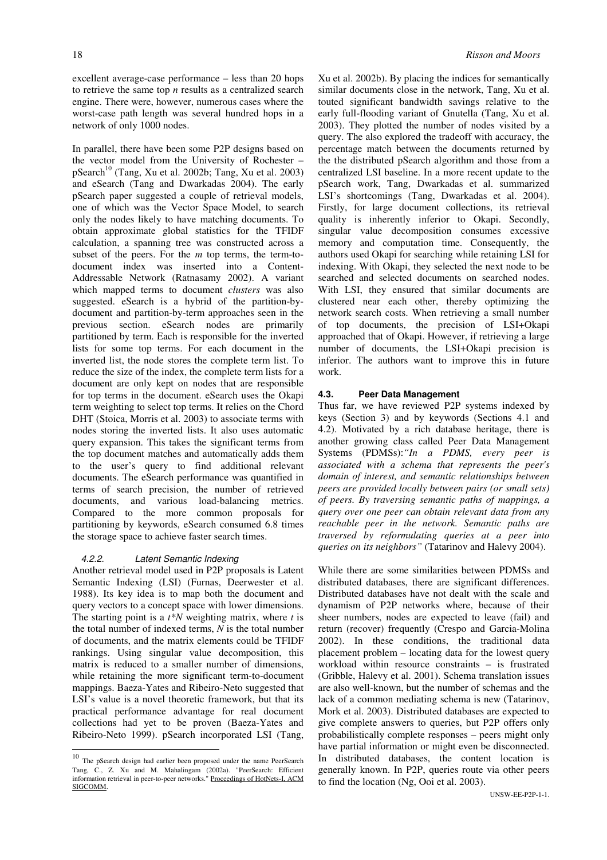excellent average-case performance – less than 20 hops to retrieve the same top *n* results as a centralized search engine. There were, however, numerous cases where the worst-case path length was several hundred hops in a network of only 1000 nodes.

In parallel, there have been some P2P designs based on the vector model from the University of Rochester – pSearch 10 (Tang, Xu et al. 2002b; Tang, Xu et al. 2003) and eSearch (Tang and Dwarkadas 2004). The early pSearch paper suggested a couple of retrieval models, one of which was the Vector Space Model, to search only the nodes likely to have matching documents. To obtain approximate global statistics for the TFIDF calculation, a spanning tree was constructed across a subset of the peers. For the *m* top terms, the term-todocument index was inserted into a Content-Addressable Network (Ratnasamy 2002). A variant which mapped terms to document *clusters* was also suggested. eSearch is a hybrid of the partition-bydocument and partition-by-term approaches seen in the previous section. eSearch nodes are primarily partitioned by term. Each is responsible for the inverted lists for some top terms. For each document in the inverted list, the node stores the complete term list. To reduce the size of the index, the complete term lists for a document are only kept on nodes that are responsible for top terms in the document. eSearch uses the Okapi term weighting to select top terms. It relies on the Chord DHT (Stoica, Morris et al. 2003) to associate terms with nodes storing the inverted lists. It also uses automatic query expansion. This takes the significant terms from the top document matches and automatically adds them to the user's query to find additional relevant documents. The eSearch performance was quantified in terms of search precision, the number of retrieved documents, and various load-balancing metrics. Compared to the more common proposals for partitioning by keywords, eSearch consumed 6.8 times the storage space to achieve faster search times.

#### *4.2.2. Latent Semantic Indexing*

Another retrieval model used in P2P proposals is Latent Semantic Indexing (LSI) (Furnas, Deerwester et al. 1988). Its key idea is to map both the document and query vectors to a concept space with lower dimensions. The starting point is a *t\*N* weighting matrix, where *t* is the total number of indexed terms, *N* is the total number of documents, and the matrix elements could be TFIDF rankings. Using singular value decomposition, this matrix is reduced to a smaller number of dimensions, while retaining the more significant term-to-document mappings. Baeza-Yates and Ribeiro-Neto suggested that LSI's value is a novel theoretic framework, but that its practical performance advantage for real document collections had yet to be proven (Baeza-Yates and Ribeiro-Neto 1999). pSearch incorporated LSI (Tang, Xu et al. 2002b). By placing the indices for semantically similar documents close in the network, Tang, Xu et al. touted significant bandwidth savings relative to the early full-flooding variant of Gnutella (Tang, Xu et al. 2003). They plotted the number of nodes visited by a query. The also explored the tradeoff with accuracy, the percentage match between the documents returned by the the distributed pSearch algorithm and those from a centralized LSI baseline. In a more recent update to the pSearch work, Tang, Dwarkadas et al. summarized LSI's shortcomings (Tang, Dwarkadas et al. 2004). Firstly, for large document collections, its retrieval quality is inherently inferior to Okapi. Secondly, singular value decomposition consumes excessive memory and computation time. Consequently, the authors used Okapi for searching while retaining LSI for indexing. With Okapi, they selected the next node to be searched and selected documents on searched nodes. With LSI, they ensured that similar documents are clustered near each other, thereby optimizing the network search costs. When retrieving a small number of top documents, the precision of LSI+Okapi approached that of Okapi. However, if retrieving a large number of documents, the LSI+Okapi precision is inferior. The authors want to improve this in future work.

#### **4.3. Peer Data Management**

Thus far, we have reviewed P2P systems indexed by keys (Section 3) and by keywords (Sections 4.1 and 4.2). Motivated by a rich database heritage, there is another growing class called Peer Data Management Systems (PDMSs):*"In a PDMS, every peer is associated with a schema that represents the peer's domain of interest, and semantic relationships between peers are provided locally between pairs (or small sets) of peers. By traversing semantic paths of mappings, a query over one peer can obtain relevant data from any reachable peer in the network. Semantic paths are traversed by reformulating queries at a peer into queries on its neighbors"* (Tatarinov and Halevy 2004).

While there are some similarities between PDMSs and distributed databases, there are significant differences. Distributed databases have not dealt with the scale and dynamism of P2P networks where, because of their sheer numbers, nodes are expected to leave (fail) and return (recover) frequently (Crespo and Garcia-Molina 2002). In these conditions, the traditional data placement problem – locating data for the lowest query workload within resource constraints – is frustrated (Gribble, Halevy et al. 2001). Schema translation issues are also well-known, but the number of schemas and the lack of a common mediating schema is new (Tatarinov, Mork et al. 2003). Distributed databases are expected to give complete answers to queries, but P2P offers only probabilistically complete responses – peers might only have partial information or might even be disconnected. In distributed databases, the content location is generally known. In P2P, queries route via other peers to find the location (Ng, Ooi et al. 2003).

<sup>10</sup> The pSearch design had earlier been proposed under the name PeerSearch Tang, C., Z. Xu and M. Mahalingam (2002a). "PeerSearch: Efficient information retrieval in peer-to-peer networks." Proceedings of HotNets-I, ACM SIGCOMM.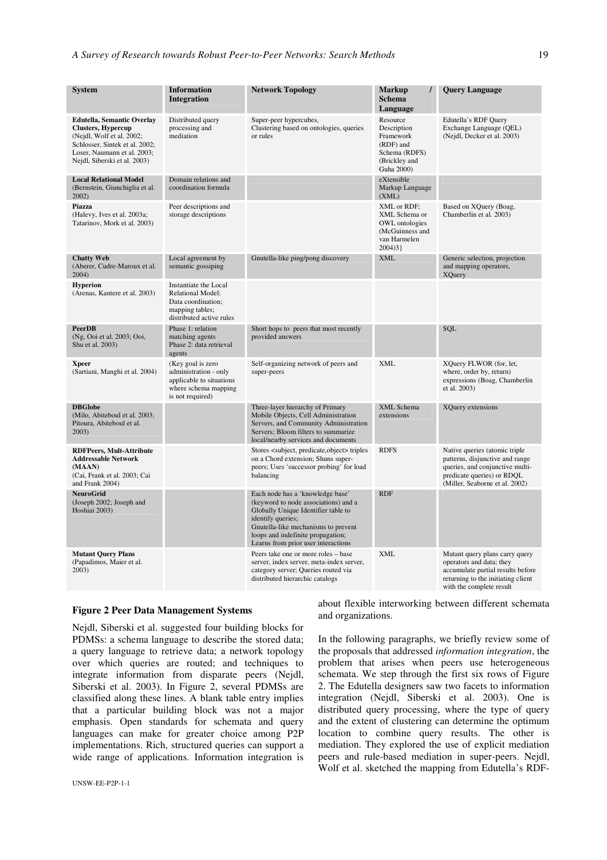| <b>System</b>                                                                                                                                                                                | <b>Information</b><br><b>Integration</b>                                                                               | <b>Network Topology</b>                                                                                                                                                                                                                                 | <b>Markup</b><br>Schema<br>Language                                                               | <b>Query Language</b>                                                                                                                                               |
|----------------------------------------------------------------------------------------------------------------------------------------------------------------------------------------------|------------------------------------------------------------------------------------------------------------------------|---------------------------------------------------------------------------------------------------------------------------------------------------------------------------------------------------------------------------------------------------------|---------------------------------------------------------------------------------------------------|---------------------------------------------------------------------------------------------------------------------------------------------------------------------|
| <b>Edutella, Semantic Overlay</b><br><b>Clusters, Hypercup</b><br>(Nejdl, Wolf et al. 2002;<br>Schlosser, Sintek et al. 2002;<br>Loser, Naumann et al. 2003;<br>Nejdl, Siberski et al. 2003) | Distributed query<br>processing and<br>mediation                                                                       | Super-peer hypercubes,<br>Clustering based on ontologies, queries<br>or rules                                                                                                                                                                           | Resource<br>Description<br>Framework<br>(RDF) and<br>Schema (RDFS)<br>(Brickley and<br>Guha 2000) | Edutella's RDF Query<br>Exchange Language (QEL)<br>(Nejdl, Decker et al. 2003)                                                                                      |
| <b>Local Relational Model</b><br>(Bernstein, Giunchiglia et al.)<br>2002)                                                                                                                    | Domain relations and<br>coordination formula                                                                           |                                                                                                                                                                                                                                                         | eXtensible<br>Markup Language<br>(XML)                                                            |                                                                                                                                                                     |
| Piazza<br>(Halevy, Ives et al. 2003a;<br>Tatarinov, Mork et al. 2003)                                                                                                                        | Peer descriptions and<br>storage descriptions                                                                          |                                                                                                                                                                                                                                                         | XML or RDF;<br>XML Schema or<br>OWL ontologies<br>(McGuinness and<br>van Harmelen<br>2004)3       | Based on XQuery (Boag,<br>Chamberlin et al. 2003)                                                                                                                   |
| <b>Chatty Web</b><br>(Aberer, Cudre-Maroux et al.<br>2004)                                                                                                                                   | Local agreement by<br>semantic gossiping                                                                               | Gnutella-like ping/pong discovery                                                                                                                                                                                                                       | <b>XML</b>                                                                                        | Generic selection, projection<br>and mapping operators,<br><b>XQuery</b>                                                                                            |
| <b>Hyperion</b><br>(Arenas, Kantere et al. 2003)                                                                                                                                             | Instantiate the Local<br><b>Relational Model:</b><br>Data coordination;<br>mapping tables;<br>distributed active rules |                                                                                                                                                                                                                                                         |                                                                                                   |                                                                                                                                                                     |
| <b>PeerDB</b><br>(Ng, Ooi et al. 2003; Ooi,<br>Shu et al. 2003)                                                                                                                              | Phase 1: relation<br>matching agents<br>Phase 2: data retrieval<br>agents                                              | Short hops to peers that most recently<br>provided answers                                                                                                                                                                                              |                                                                                                   | SQL                                                                                                                                                                 |
| <b>X</b> peer<br>(Sartiani, Manghi et al. 2004)                                                                                                                                              | (Key goal is zero<br>administration - only<br>applicable to situations<br>where schema mapping<br>is not required)     | Self-organizing network of peers and<br>super-peers                                                                                                                                                                                                     | <b>XML</b>                                                                                        | XQuery FLWOR (for, let,<br>where, order by, return)<br>expressions (Boag, Chamberlin<br>et al. 2003)                                                                |
| <b>DBGlobe</b><br>(Milo, Abiteboul et al. 2003;<br>Pitoura, Abiteboul et al.<br>2003)                                                                                                        |                                                                                                                        | Three-layer hierarchy of Primary<br>Mobile Objects, Cell Administration<br>Servers, and Community Administration<br>Servers; Bloom filters to summarize<br>local/nearby services and documents                                                          | XML Schema<br>extensions                                                                          | XQuery extensions                                                                                                                                                   |
| <b>RDFPeers, Mult-Attribute</b><br><b>Addressable Network</b><br>(MAAN)<br>(Cai, Frank et al. 2003; Cai<br>and Frank 2004)                                                                   |                                                                                                                        | Stores <subject, object="" predicate,=""> triples<br/>on a Chord extension; Shuns super-<br/>peers; Uses 'successor probing' for load<br/>balancing</subject,>                                                                                          | <b>RDFS</b>                                                                                       | Native queries (atomic triple<br>patterns, disjunctive and range<br>queries, and conjunctive multi-<br>predicate queries) or RDQL<br>(Miller, Seaborne et al. 2002) |
| <b>NeuroGrid</b><br>(Joseph 2002; Joseph and<br>Hoshiai 2003)                                                                                                                                |                                                                                                                        | Each node has a 'knowledge base'<br>(keyword to node associations) and a<br>Globally Unique Identifier table to<br>identify queries;<br>Gnutella-like mechanisms to prevent<br>loops and indefinite propagation;<br>Learns from prior user interactions | <b>RDF</b>                                                                                        |                                                                                                                                                                     |
| <b>Mutant Query Plans</b><br>(Papadimos, Maier et al.<br>2003)                                                                                                                               |                                                                                                                        | Peers take one or more roles – base<br>server, index server, meta-index server,<br>category server; Queries routed via<br>distributed hierarchic catalogs                                                                                               | <b>XML</b>                                                                                        | Mutant query plans carry query<br>operators and data; they<br>accumulate partial results before<br>returning to the initiating client<br>with the complete result   |

# **Figure 2 Peer Data Management Systems**

Nejdl, Siberski et al. suggested four building blocks for PDMSs: a schema language to describe the stored data; a query language to retrieve data; a network topology over which queries are routed; and techniques to integrate information from disparate peers (Nejdl, Siberski et al. 2003). In Figure 2, several PDMSs are classified along these lines. A blank table entry implies that a particular building block was not a major emphasis. Open standards for schemata and query languages can make for greater choice among P2P implementations. Rich, structured queries can support a wide range of applications. Information integration is

about flexible interworking between different schemata and organizations.

In the following paragraphs, we briefly review some of the proposals that addressed *information integration*, the problem that arises when peers use heterogeneous schemata. We step through the first six rows of Figure 2. The Edutella designers saw two facets to information integration (Nejdl, Siberski et al. 2003). One is distributed query processing, where the type of query and the extent of clustering can determine the optimum location to combine query results. The other is mediation. They explored the use of explicit mediation peers and rule-based mediation in super-peers. Nejdl, Wolf et al. sketched the mapping from Edutella's RDF-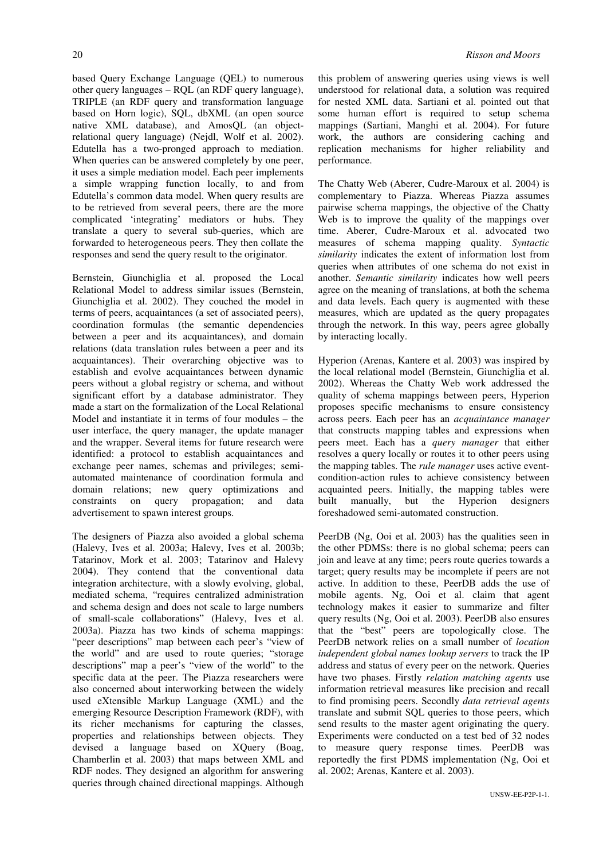based Query Exchange Language (QEL) to numerous other query languages – RQL (an RDF query language), TRIPLE (an RDF query and transformation language based on Horn logic), SQL, dbXML (an open source native XML database), and AmosQL (an objectrelational query language) (Nejdl, Wolf et al. 2002). Edutella has a two-pronged approach to mediation. When queries can be answered completely by one peer, it uses a simple mediation model. Each peer implements a simple wrapping function locally, to and from Edutella's common data model. When query results are to be retrieved from several peers, there are the more complicated 'integrating' mediators or hubs. They translate a query to several sub-queries, which are forwarded to heterogeneous peers. They then collate the responses and send the query result to the originator.

Bernstein, Giunchiglia et al. proposed the Local Relational Model to address similar issues (Bernstein, Giunchiglia et al. 2002). They couched the model in terms of peers, acquaintances (a set of associated peers), coordination formulas (the semantic dependencies between a peer and its acquaintances), and domain relations (data translation rules between a peer and its acquaintances). Their overarching objective was to establish and evolve acquaintances between dynamic peers without a global registry or schema, and without significant effort by a database administrator. They made a start on the formalization of the Local Relational Model and instantiate it in terms of four modules – the user interface, the query manager, the update manager and the wrapper. Several items for future research were identified: a protocol to establish acquaintances and exchange peer names, schemas and privileges; semiautomated maintenance of coordination formula and domain relations; new query optimizations and constraints on query propagation; and data advertisement to spawn interest groups.

The designers of Piazza also avoided a global schema (Halevy, Ives et al. 2003a; Halevy, Ives et al. 2003b; Tatarinov, Mork et al. 2003; Tatarinov and Halevy 2004). They contend that the conventional data integration architecture, with a slowly evolving, global, mediated schema, "requires centralized administration and schema design and does not scale to large numbers of small-scale collaborations" (Halevy, Ives et al. 2003a). Piazza has two kinds of schema mappings: " peer descriptions" map between each peer's "view of the world" and are used to route queries; "storage descriptions" map a peer's " view of the world" to the specific data at the peer. The Piazza researchers were also concerned about interworking between the widely used eXtensible Markup Language (XML) and the emerging Resource Description Framework (RDF), with its richer mechanisms for capturing the classes, properties and relationships between objects. They devised a language based on XQuery (Boag, Chamberlin et al. 2003) that maps between XML and RDF nodes. They designed an algorithm for answering queries through chained directional mappings. Although

this problem of answering queries using views is well understood for relational data, a solution was required for nested XML data. Sartiani et al. pointed out that some human effort is required to setup schema mappings (Sartiani, Manghi et al. 2004). For future work, the authors are considering caching and replication mechanisms for higher reliability and performance.

The Chatty Web (Aberer, Cudre-Maroux et al. 2004) is complementary to Piazza. Whereas Piazza assumes pairwise schema mappings, the objective of the Chatty Web is to improve the quality of the mappings over time. Aberer, Cudre-Maroux et al. advocated two measures of schema mapping quality. *Syntactic similarity* indicates the extent of information lost from queries when attributes of one schema do not exist in another. *Semantic similarity* indicates how well peers agree on the meaning of translations, at both the schema and data levels. Each query is augmented with these measures, which are updated as the query propagates through the network. In this way, peers agree globally by interacting locally.

Hyperion (Arenas, Kantere et al. 2003) was inspired by the local relational model (Bernstein, Giunchiglia et al. 2002). Whereas the Chatty Web work addressed the quality of schema mappings between peers, Hyperion proposes specific mechanisms to ensure consistency across peers. Each peer has an *acquaintance manager* that constructs mapping tables and expressions when peers meet. Each has a *query manager* that either resolves a query locally or routes it to other peers using the mapping tables. The *rule manager* uses active eventcondition-action rules to achieve consistency between acquainted peers. Initially, the mapping tables were built manually, but the Hyperion designers foreshadowed semi-automated construction.

PeerDB (Ng, Ooi et al. 2003) has the qualities seen in the other PDMSs: there is no global schema; peers can join and leave at any time; peers route queries towards a target; query results may be incomplete if peers are not active. In addition to these, PeerDB adds the use of mobile agents. Ng, Ooi et al. claim that agent technology makes it easier to summarize and filter query results (Ng, Ooi et al. 2003). PeerDB also ensures that the " best" peers are topologically close. The PeerDB network relies on a small number of *location independent global names lookup servers* to track the IP address and status of every peer on the network. Queries have two phases. Firstly *relation matching agents* use information retrieval measures like precision and recall to find promising peers. Secondly *data retrieval agents* translate and submit SQL queries to those peers, which send results to the master agent originating the query. Experiments were conducted on a test bed of 32 nodes to measure query response times. PeerDB was reportedly the first PDMS implementation (Ng, Ooi et al. 2002; Arenas, Kantere et al. 2003).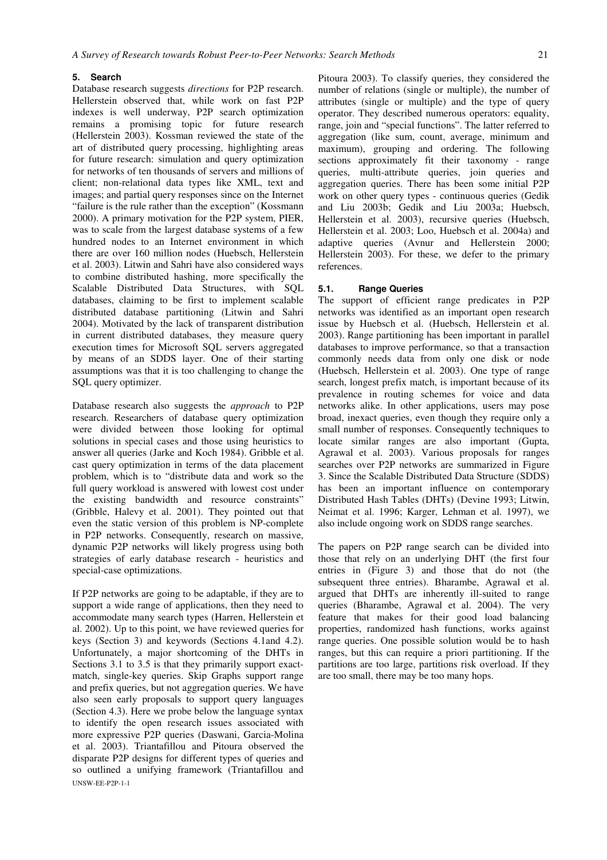### **5. Search**

Database research suggests *directions* for P2P research. Hellerstein observed that, while work on fast P2P indexes is well underway, P2P search optimization remains a promising topic for future research (Hellerstein 2003). Kossman reviewed the state of the art of distributed query processing, highlighting areas for future research: simulation and query optimization for networks of ten thousands of servers and millions of client; non-relational data types like XML, text and images; and partial query responses since on the Internet "failure is the rule rather than the exception" (Kossmann) 2000). A primary motivation for the P2P system, PIER, was to scale from the largest database systems of a few hundred nodes to an Internet environment in which there are over 160 million nodes (Huebsch, Hellerstein et al. 2003). Litwin and Sahri have also considered ways to combine distributed hashing, more specifically the Scalable Distributed Data Structures, with SQL databases, claiming to be first to implement scalable distributed database partitioning (Litwin and Sahri 2004). Motivated by the lack of transparent distribution in current distributed databases, they measure query execution times for Microsoft SQL servers aggregated by means of an SDDS layer. One of their starting assumptions was that it is too challenging to change the SQL query optimizer.

Database research also suggests the *approach* to P2P research. Researchers of database query optimization were divided between those looking for optimal solutions in special cases and those using heuristics to answer all queries (Jarke and Koch 1984). Gribble et al. cast query optimization in terms of the data placement problem, which is to "distribute data and work so the full query workload is answered with lowest cost under the existing bandwidth and resource constraints" (Gribble, Halevy et al. 2001). They pointed out that even the static version of this problem is NP-complete in P2P networks. Consequently, research on massive, dynamic P2P networks will likely progress using both strategies of early database research - heuristics and special-case optimizations.

UNSW-EE-P2P-1-1 If P2P networks are going to be adaptable, if they are to support a wide range of applications, then they need to accommodate many search types (Harren, Hellerstein et al. 2002). Up to this point, we have reviewed queries for keys (Section 3) and keywords (Sections 4.1and 4.2). Unfortunately, a major shortcoming of the DHTs in Sections 3.1 to 3.5 is that they primarily support exactmatch, single-key queries. Skip Graphs support range and prefix queries, but not aggregation queries. We have also seen early proposals to support query languages (Section 4.3). Here we probe below the language syntax to identify the open research issues associated with more expressive P2P queries (Daswani, Garcia-Molina et al. 2003). Triantafillou and Pitoura observed the disparate P2P designs for different types of queries and so outlined a unifying framework (Triantafillou and

Pitoura 2003). To classify queries, they considered the number of relations (single or multiple), the number of attributes (single or multiple) and the type of query operator. They described numerous operators: equality, range, join and "special functions". The latter referred to aggregation (like sum, count, average, minimum and maximum), grouping and ordering. The following sections approximately fit their taxonomy - range queries, multi-attribute queries, join queries and aggregation queries. There has been some initial P2P work on other query types - continuous queries (Gedik and Liu 2003b; Gedik and Liu 2003a; Huebsch, Hellerstein et al. 2003), recursive queries (Huebsch, Hellerstein et al. 2003; Loo, Huebsch et al. 2004a) and adaptive queries (Avnur and Hellerstein 2000; Hellerstein 2003). For these, we defer to the primary references.

#### **5.1. Range Queries**

The support of efficient range predicates in P2P networks was identified as an important open research issue by Huebsch et al. (Huebsch, Hellerstein et al. 2003). Range partitioning has been important in parallel databases to improve performance, so that a transaction commonly needs data from only one disk or node (Huebsch, Hellerstein et al. 2003). One type of range search, longest prefix match, is important because of its prevalence in routing schemes for voice and data networks alike. In other applications, users may pose broad, inexact queries, even though they require only a small number of responses. Consequently techniques to locate similar ranges are also important (Gupta, Agrawal et al. 2003). Various proposals for ranges searches over P2P networks are summarized in Figure 3. Since the Scalable Distributed Data Structure (SDDS) has been an important influence on contemporary Distributed Hash Tables (DHTs) (Devine 1993; Litwin, Neimat et al. 1996; Karger, Lehman et al. 1997), we also include ongoing work on SDDS range searches.

The papers on P2P range search can be divided into those that rely on an underlying DHT (the first four entries in (Figure 3) and those that do not (the subsequent three entries). Bharambe, Agrawal et al. argued that DHTs are inherently ill-suited to range queries (Bharambe, Agrawal et al. 2004). The very feature that makes for their good load balancing properties, randomized hash functions, works against range queries. One possible solution would be to hash ranges, but this can require a priori partitioning. If the partitions are too large, partitions risk overload. If they are too small, there may be too many hops.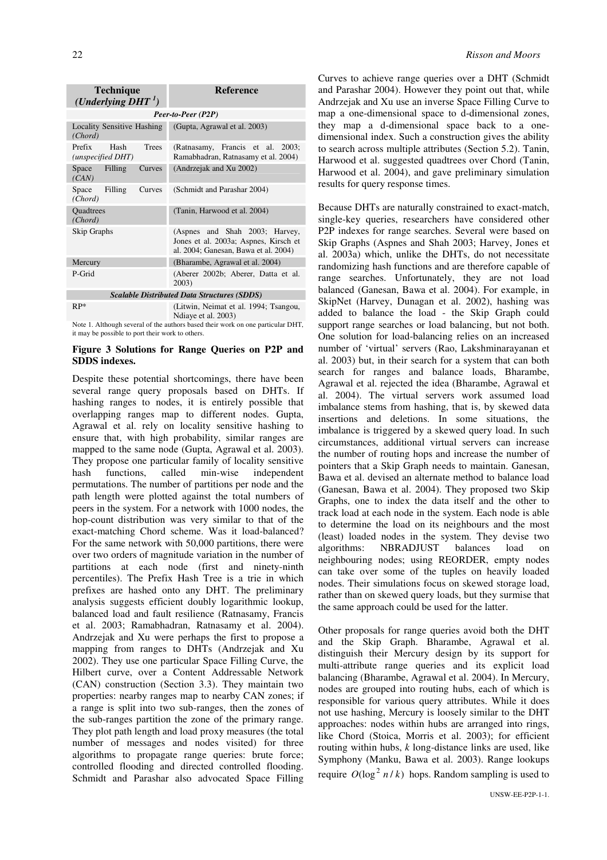| <b>Technique</b><br>(Underlying $DHT1$ )            | <b>Reference</b>                                                                                                |  |  |  |  |
|-----------------------------------------------------|-----------------------------------------------------------------------------------------------------------------|--|--|--|--|
| Peer-to-Peer (P2P)                                  |                                                                                                                 |  |  |  |  |
| Locality Sensitive Hashing<br>(Chord)               | (Gupta, Agrawal et al. 2003)                                                                                    |  |  |  |  |
| Prefix<br><b>Trees</b><br>Hash<br>(unspecified DHT) | Francis<br>(Ratnasamy,<br>et al.<br>2003:<br>Ramabhadran, Ratnasamy et al. 2004)                                |  |  |  |  |
| Filling<br>Curves<br>Space<br>(CAN)                 | (Andrzejak and Xu 2002)                                                                                         |  |  |  |  |
| Filling<br>Space<br><b>Curves</b><br>(Chord)        | (Schmidt and Parashar 2004)                                                                                     |  |  |  |  |
| <b>Ouadtrees</b><br>(Chord)                         | (Tanin, Harwood et al. 2004)                                                                                    |  |  |  |  |
| Skip Graphs                                         | (Aspnes and Shah 2003; Harvey,<br>Jones et al. 2003a; Aspnes, Kirsch et<br>al. 2004; Ganesan, Bawa et al. 2004) |  |  |  |  |
| Mercury                                             | (Bharambe, Agrawal et al. 2004)                                                                                 |  |  |  |  |
| P-Grid                                              | (Aberer 2002b; Aberer, Datta et al.<br>2003)                                                                    |  |  |  |  |
| <b>Scalable Distributed Data Structures (SDDS)</b>  |                                                                                                                 |  |  |  |  |
| $RP*$                                               | (Litwin, Neimat et al. 1994; Tsangou,<br>Ndiaye et al. 2003)                                                    |  |  |  |  |

Note 1. Although several of the authors based their work on one particular DHT, it may be possible to port their work to others.

# **Figure 3 Solutions for Range Queries on P2P and SDDS indexes.**

Despite these potential shortcomings, there have been several range query proposals based on DHTs. If hashing ranges to nodes, it is entirely possible that overlapping ranges map to different nodes. Gupta, Agrawal et al. rely on locality sensitive hashing to ensure that, with high probability, similar ranges are mapped to the same node (Gupta, Agrawal et al. 2003). They propose one particular family of locality sensitive hash functions, called min-wise independent permutations. The number of partitions per node and the path length were plotted against the total numbers of peers in the system. For a network with 1000 nodes, the hop-count distribution was very similar to that of the exact-matching Chord scheme. Was it load-balanced? For the same network with 50,000 partitions, there were over two orders of magnitude variation in the number of partitions at each node (first and ninety-ninth percentiles). The Prefix Hash Tree is a trie in which prefixes are hashed onto any DHT. The preliminary analysis suggests efficient doubly logarithmic lookup, balanced load and fault resilience (Ratnasamy, Francis et al. 2003; Ramabhadran, Ratnasamy et al. 2004). Andrzejak and Xu were perhaps the first to propose a mapping from ranges to DHTs (Andrzejak and Xu 2002). They use one particular Space Filling Curve, the Hilbert curve, over a Content Addressable Network (CAN) construction (Section 3.3). They maintain two properties: nearby ranges map to nearby CAN zones; if a range is split into two sub-ranges, then the zones of the sub-ranges partition the zone of the primary range. They plot path length and load proxy measures (the total number of messages and nodes visited) for three algorithms to propagate range queries: brute force; controlled flooding and directed controlled flooding. Schmidt and Parashar also advocated Space Filling

Curves to achieve range queries over a DHT (Schmidt and Parashar 2004). However they point out that, while Andrzejak and Xu use an inverse Space Filling Curve to map a one-dimensional space to d-dimensional zones, they map a d-dimensional space back to a onedimensional index. Such a construction gives the ability to search across multiple attributes (Section 5.2). Tanin, Harwood et al. suggested quadtrees over Chord (Tanin, Harwood et al. 2004), and gave preliminary simulation results for query response times.

Because DHTs are naturally constrained to exact-match, single-key queries, researchers have considered other P2P indexes for range searches. Several were based on Skip Graphs (Aspnes and Shah 2003; Harvey, Jones et al. 2003a) which, unlike the DHTs, do not necessitate randomizing hash functions and are therefore capable of range searches. Unfortunately, they are not load balanced (Ganesan, Bawa et al. 2004). For example, in SkipNet (Harvey, Dunagan et al. 2002), hashing was added to balance the load - the Skip Graph could support range searches or load balancing, but not both. One solution for load-balancing relies on an increased number of 'virtual' servers (Rao, Lakshminarayanan et al. 2003) but, in their search for a system that can both search for ranges and balance loads, Bharambe, Agrawal et al. rejected the idea (Bharambe, Agrawal et al. 2004). The virtual servers work assumed load imbalance stems from hashing, that is, by skewed data insertions and deletions. In some situations, the imbalance is triggered by a skewed query load. In such circumstances, additional virtual servers can increase the number of routing hops and increase the number of pointers that a Skip Graph needs to maintain. Ganesan, Bawa et al. devised an alternate method to balance load (Ganesan, Bawa et al. 2004). They proposed two Skip Graphs, one to index the data itself and the other to track load at each node in the system. Each node is able to determine the load on its neighbours and the most (least) loaded nodes in the system. They devise two algorithms: NBRADJUST balances load on neighbouring nodes; using REORDER, empty nodes can take over some of the tuples on heavily loaded nodes. Their simulations focus on skewed storage load, rather than on skewed query loads, but they surmise that the same approach could be used for the latter.

Other proposals for range queries avoid both the DHT and the Skip Graph. Bharambe, Agrawal et al. distinguish their Mercury design by its support for multi-attribute range queries and its explicit load balancing (Bharambe, Agrawal et al. 2004). In Mercury, nodes are grouped into routing hubs, each of which is responsible for various query attributes. While it does not use hashing, Mercury is loosely similar to the DHT approaches: nodes within hubs are arranged into rings, like Chord (Stoica, Morris et al. 2003); for efficient routing within hubs, *k* long-distance links are used, like Symphony (Manku, Bawa et al. 2003). Range lookups require  $O(\log^2 n / k)$  hops. Random sampling is used to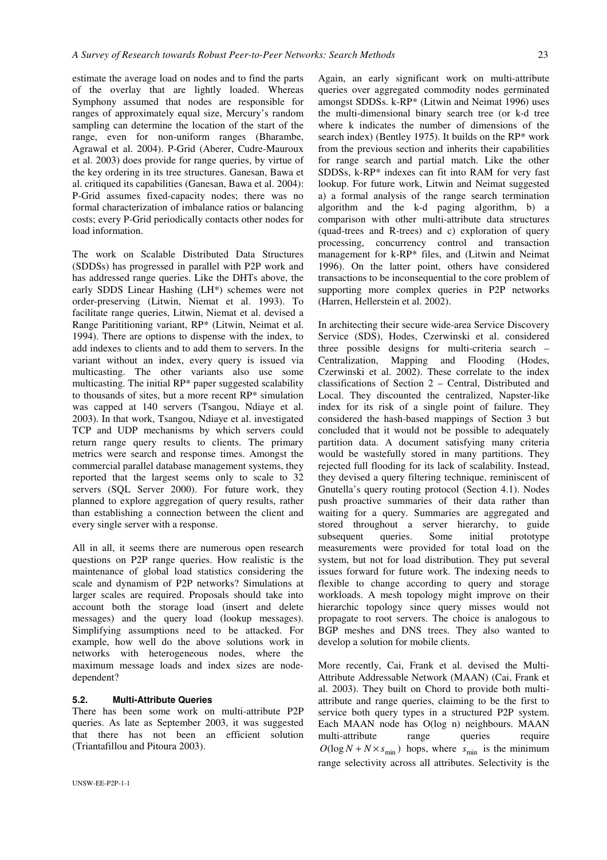estimate the average load on nodes and to find the parts of the overlay that are lightly loaded. Whereas Symphony assumed that nodes are responsible for ranges of approximately equal size, Mercury's random sampling can determine the location of the start of the range, even for non-uniform ranges (Bharambe, Agrawal et al. 2004). P-Grid (Aberer, Cudre-Mauroux et al. 2003) does provide for range queries, by virtue of the key ordering in its tree structures. Ganesan, Bawa et al. critiqued its capabilities (Ganesan, Bawa et al. 2004): P-Grid assumes fixed-capacity nodes; there was no formal characterization of imbalance ratios or balancing costs; every P-Grid periodically contacts other nodes for load information.

The work on Scalable Distributed Data Structures (SDDSs) has progressed in parallel with P2P work and has addressed range queries. Like the DHTs above, the early SDDS Linear Hashing (LH\*) schemes were not order-preserving (Litwin, Niemat et al. 1993). To facilitate range queries, Litwin, Niemat et al. devised a Range Parititioning variant, RP\* (Litwin, Neimat et al. 1994). There are options to dispense with the index, to add indexes to clients and to add them to servers. In the variant without an index, every query is issued via multicasting. The other variants also use some multicasting. The initial RP\* paper suggested scalability to thousands of sites, but a more recent RP\* simulation was capped at 140 servers (Tsangou, Ndiaye et al. 2003). In that work, Tsangou, Ndiaye et al. investigated TCP and UDP mechanisms by which servers could return range query results to clients. The primary metrics were search and response times. Amongst the commercial parallel database management systems, they reported that the largest seems only to scale to 32 servers (SQL Server 2000). For future work, they planned to explore aggregation of query results, rather than establishing a connection between the client and every single server with a response.

All in all, it seems there are numerous open research questions on P2P range queries. How realistic is the maintenance of global load statistics considering the scale and dynamism of P2P networks? Simulations at larger scales are required. Proposals should take into account both the storage load (insert and delete messages) and the query load (lookup messages). Simplifying assumptions need to be attacked. For example, how well do the above solutions work in networks with heterogeneous nodes, where the maximum message loads and index sizes are nodedependent?

# **5.2. Multi-Attribute Queries**

There has been some work on multi-attribute P2P queries. As late as September 2003, it was suggested that there has not been an efficient solution (Triantafillou and Pitoura 2003).

UNSW-EE-P2P-1-1

Again, an early significant work on multi-attribute queries over aggregated commodity nodes germinated amongst SDDSs. k-RP\* (Litwin and Neimat 1996) uses the multi-dimensional binary search tree (or k-d tree where k indicates the number of dimensions of the search index) (Bentley 1975). It builds on the RP\* work from the previous section and inherits their capabilities for range search and partial match. Like the other SDDSs, k-RP\* indexes can fit into RAM for very fast lookup. For future work, Litwin and Neimat suggested a) a formal analysis of the range search termination algorithm and the k-d paging algorithm, b) a comparison with other multi-attribute data structures (quad-trees and R-trees) and c) exploration of query processing, concurrency control and transaction management for k-RP\* files, and (Litwin and Neimat 1996). On the latter point, others have considered transactions to be inconsequential to the core problem of supporting more complex queries in P2P networks (Harren, Hellerstein et al. 2002).

In architecting their secure wide-area Service Discovery Service (SDS), Hodes, Czerwinski et al. considered three possible designs for multi-criteria search – Centralization, Mapping and Flooding (Hodes, Czerwinski et al. 2002). These correlate to the index classifications of Section 2 – Central, Distributed and Local. They discounted the centralized, Napster-like index for its risk of a single point of failure. They considered the hash-based mappings of Section 3 but concluded that it would not be possible to adequately partition data. A document satisfying many criteria would be wastefully stored in many partitions. They rejected full flooding for its lack of scalability. Instead, they devised a query filtering technique, reminiscent of Gnutella's query routing protocol (Section 4.1). Nodes push proactive summaries of their data rather than waiting for a query. Summaries are aggregated and stored throughout a server hierarchy, to guide<br>subsequent queries. Some initial prototype subsequent queries. Some initial measurements were provided for total load on the system, but not for load distribution. They put several issues forward for future work. The indexing needs to flexible to change according to query and storage workloads. A mesh topology might improve on their hierarchic topology since query misses would not propagate to root servers. The choice is analogous to BGP meshes and DNS trees. They also wanted to develop a solution for mobile clients.

More recently, Cai, Frank et al. devised the Multi-Attribute Addressable Network (MAAN) (Cai, Frank et al. 2003). They built on Chord to provide both multiattribute and range queries, claiming to be the first to service both query types in a structured P2P system. Each MAAN node has O(log n) neighbours. MAAN multi-attribute range queries require  $O(\log N + N \times s_{\min})$  hops, where  $s_{\min}$  is the minimum range selectivity across all attributes. Selectivity is the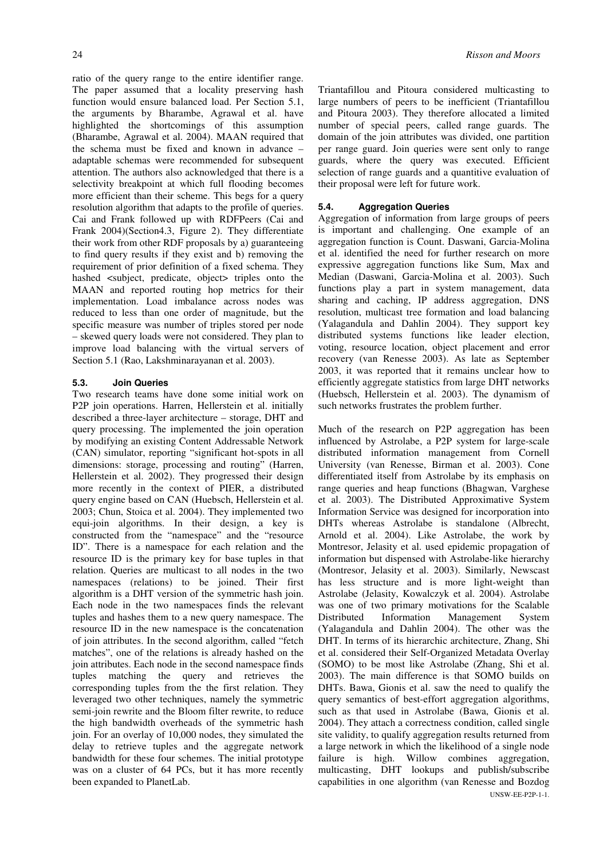ratio of the query range to the entire identifier range. The paper assumed that a locality preserving hash function would ensure balanced load. Per Section 5.1, the arguments by Bharambe, Agrawal et al. have highlighted the shortcomings of this assumption (Bharambe, Agrawal et al. 2004). MAAN required that the schema must be fixed and known in advance – adaptable schemas were recommended for subsequent attention. The authors also acknowledged that there is a selectivity breakpoint at which full flooding becomes more efficient than their scheme. This begs for a query resolution algorithm that adapts to the profile of queries. Cai and Frank followed up with RDFPeers (Cai and Frank 2004)(Section4.3, Figure 2). They differentiate their work from other RDF proposals by a) guaranteeing to find query results if they exist and b) removing the requirement of prior definition of a fixed schema. They hashed  $\leq$  subject, predicate, object triples onto the MAAN and reported routing hop metrics for their implementation. Load imbalance across nodes was reduced to less than one order of magnitude, but the specific measure was number of triples stored per node – skewed query loads were not considered. They plan to improve load balancing with the virtual servers of Section 5.1 (Rao, Lakshminarayanan et al. 2003).

# **5.3. Join Queries**

Two research teams have done some initial work on P2P join operations. Harren, Hellerstein et al. initially described a three-layer architecture – storage, DHT and query processing. The implemented the join operation by modifying an existing Content Addressable Network (CAN) simulator, reporting "significant hot-spots in all dimensions: storage, processing and routing" (Harren, Hellerstein et al. 2002). They progressed their design more recently in the context of PIER, a distributed query engine based on CAN (Huebsch, Hellerstein et al. 2003; Chun, Stoica et al. 2004). They implemented two equi-join algorithms. In their design, a key is constructed from the "namespace" and the "resource ID". There is a namespace for each relation and the resource ID is the primary key for base tuples in that relation. Queries are multicast to all nodes in the two namespaces (relations) to be joined. Their first algorithm is a DHT version of the symmetric hash join. Each node in the two namespaces finds the relevant tuples and hashes them to a new query namespace. The resource ID in the new namespace is the concatenation of join attributes. In the second algorithm, called "fetch matches", one of the relations is already hashed on the join attributes. Each node in the second namespace finds tuples matching the query and retrieves the corresponding tuples from the the first relation. They leveraged two other techniques, namely the symmetric semi-join rewrite and the Bloom filter rewrite, to reduce the high bandwidth overheads of the symmetric hash join. For an overlay of 10,000 nodes, they simulated the delay to retrieve tuples and the aggregate network bandwidth for these four schemes. The initial prototype was on a cluster of 64 PCs, but it has more recently been expanded to PlanetLab.

Triantafillou and Pitoura considered multicasting to large numbers of peers to be inefficient (Triantafillou and Pitoura 2003). They therefore allocated a limited number of special peers, called range guards. The domain of the join attributes was divided, one partition per range guard. Join queries were sent only to range guards, where the query was executed. Efficient selection of range guards and a quantitive evaluation of their proposal were left for future work.

# **5.4. Aggregation Queries**

Aggregation of information from large groups of peers is important and challenging. One example of an aggregation function is Count. Daswani, Garcia-Molina et al. identified the need for further research on more expressive aggregation functions like Sum, Max and Median (Daswani, Garcia-Molina et al. 2003). Such functions play a part in system management, data sharing and caching, IP address aggregation, DNS resolution, multicast tree formation and load balancing (Yalagandula and Dahlin 2004). They support key distributed systems functions like leader election, voting, resource location, object placement and error recovery (van Renesse 2003). As late as September 2003, it was reported that it remains unclear how to efficiently aggregate statistics from large DHT networks (Huebsch, Hellerstein et al. 2003). The dynamism of such networks frustrates the problem further.

UNSW-EE-P2P-1-1. Much of the research on P2P aggregation has been influenced by Astrolabe, a P2P system for large-scale distributed information management from Cornell University (van Renesse, Birman et al. 2003). Cone differentiated itself from Astrolabe by its emphasis on range queries and heap functions (Bhagwan, Varghese et al. 2003). The Distributed Approximative System Information Service was designed for incorporation into DHTs whereas Astrolabe is standalone (Albrecht, Arnold et al. 2004). Like Astrolabe, the work by Montresor, Jelasity et al. used epidemic propagation of information but dispensed with Astrolabe-like hierarchy (Montresor, Jelasity et al. 2003). Similarly, Newscast has less structure and is more light-weight than Astrolabe (Jelasity, Kowalczyk et al. 2004). Astrolabe was one of two primary motivations for the Scalable Distributed Information Management System (Yalagandula and Dahlin 2004). The other was the DHT. In terms of its hierarchic architecture, Zhang, Shi et al. considered their Self-Organized Metadata Overlay (SOMO) to be most like Astrolabe (Zhang, Shi et al. 2003). The main difference is that SOMO builds on DHTs. Bawa, Gionis et al. saw the need to qualify the query semantics of best-effort aggregation algorithms, such as that used in Astrolabe (Bawa, Gionis et al. 2004). They attach a correctness condition, called single site validity, to qualify aggregation results returned from a large network in which the likelihood of a single node failure is high. Willow combines aggregation, multicasting, DHT lookups and publish/subscribe capabilities in one algorithm (van Renesse and Bozdog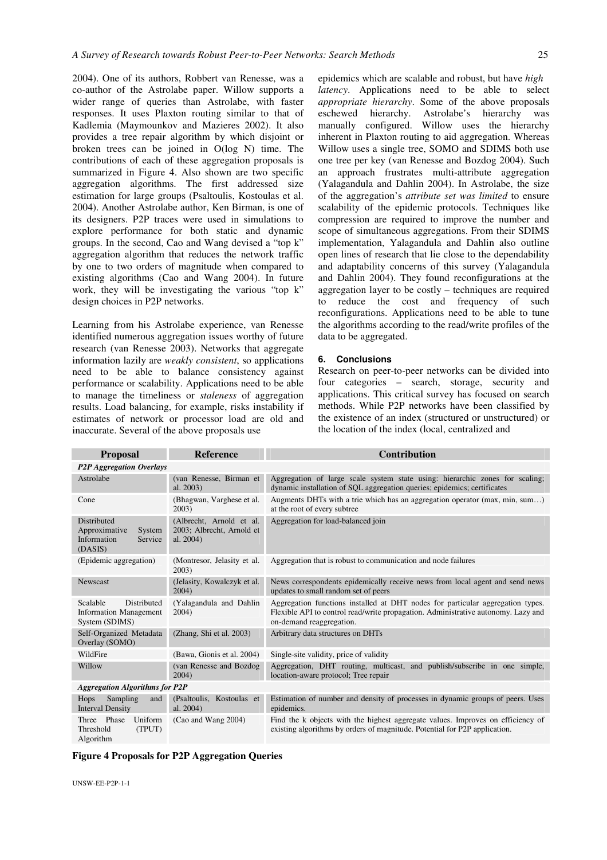2004). One of its authors, Robbert van Renesse, was a co-author of the Astrolabe paper. Willow supports a wider range of queries than Astrolabe, with faster responses. It uses Plaxton routing similar to that of Kadlemia (Maymounkov and Mazieres 2002). It also provides a tree repair algorithm by which disjoint or broken trees can be joined in O(log N) time. The contributions of each of these aggregation proposals is summarized in Figure 4. Also shown are two specific aggregation algorithms. The first addressed size estimation for large groups (Psaltoulis, Kostoulas et al. 2004). Another Astrolabe author, Ken Birman, is one of its designers. P2P traces were used in simulations to explore performance for both static and dynamic groups. In the second, Cao and Wang devised a "top k" aggregation algorithm that reduces the network traffic by one to two orders of magnitude when compared to existing algorithms (Cao and Wang 2004). In future work, they will be investigating the various "top  $k$ " design choices in P2P networks.

Learning from his Astrolabe experience, van Renesse identified numerous aggregation issues worthy of future research (van Renesse 2003). Networks that aggregate information lazily are *weakly consistent*, so applications need to be able to balance consistency against performance or scalability. Applications need to be able to manage the timeliness or *staleness* of aggregation results. Load balancing, for example, risks instability if estimates of network or processor load are old and inaccurate. Several of the above proposals use

epidemics which are scalable and robust, but have *high latency*. Applications need to be able to select *appropriate hierarchy*. Some of the above proposals eschewed hierarchy. Astrolabe's hierarchy was manually configured. Willow uses the hierarchy inherent in Plaxton routing to aid aggregation. Whereas Willow uses a single tree, SOMO and SDIMS both use one tree per key (van Renesse and Bozdog 2004). Such an approach frustrates multi-attribute aggregation (Yalagandula and Dahlin 2004). In Astrolabe, the size of the aggregation's *attribute set was limited* to ensure scalability of the epidemic protocols. Techniques like compression are required to improve the number and scope of simultaneous aggregations. From their SDIMS implementation, Yalagandula and Dahlin also outline open lines of research that lie close to the dependability and adaptability concerns of this survey (Yalagandula and Dahlin 2004). They found reconfigurations at the aggregation layer to be costly – techniques are required to reduce the cost and frequency of such reconfigurations. Applications need to be able to tune the algorithms according to the read/write profiles of the data to be aggregated.

#### **6. Conclusions**

Research on peer-to-peer networks can be divided into four categories – search, storage, security and applications. This critical survey has focused on search methods. While P2P networks have been classified by the existence of an index (structured or unstructured) or the location of the index (local, centralized and

| <b>Proposal</b>                                                             | Reference                                                             | Contribution                                                                                                                                                                                    |  |  |  |
|-----------------------------------------------------------------------------|-----------------------------------------------------------------------|-------------------------------------------------------------------------------------------------------------------------------------------------------------------------------------------------|--|--|--|
| <b>P2P</b> Aggregation Overlays                                             |                                                                       |                                                                                                                                                                                                 |  |  |  |
| Astrolabe                                                                   | (van Renesse, Birman et<br>al. 2003)                                  | Aggregation of large scale system state using: hierarchic zones for scaling;<br>dynamic installation of SQL aggregation queries; epidemics; certificates                                        |  |  |  |
| Cone                                                                        | (Bhagwan, Varghese et al.<br>2003)                                    | Augments DHTs with a trie which has an aggregation operator (max, min, sum)<br>at the root of every subtree                                                                                     |  |  |  |
| Distributed<br>Approximative<br>System<br>Information<br>Service<br>(DASIS) | (Albrecht, Arnold et al.<br>2003; Albrecht, Arnold et<br>al. $2004$ ) | Aggregation for load-balanced join                                                                                                                                                              |  |  |  |
| (Epidemic aggregation)                                                      | (Montresor, Jelasity et al.)<br>2003)                                 | Aggregation that is robust to communication and node failures                                                                                                                                   |  |  |  |
| Newscast                                                                    | (Jelasity, Kowalczyk et al.<br>2004                                   | News correspondents epidemically receive news from local agent and send news<br>updates to small random set of peers                                                                            |  |  |  |
| Distributed<br>Scalable<br><b>Information Management</b><br>System (SDIMS)  | (Yalagandula and Dahlin<br>2004)                                      | Aggregation functions installed at DHT nodes for particular aggregation types.<br>Flexible API to control read/write propagation. Administrative autonomy. Lazy and<br>on-demand reaggregation. |  |  |  |
| Self-Organized Metadata<br>Overlay (SOMO)                                   | (Zhang, Shi et al. 2003)                                              | Arbitrary data structures on DHTs                                                                                                                                                               |  |  |  |
| WildFire                                                                    | (Bawa, Gionis et al. 2004)                                            | Single-site validity, price of validity                                                                                                                                                         |  |  |  |
| Willow                                                                      | (van Renesse and Bozdog<br>2004                                       | Aggregation, DHT routing, multicast, and publish/subscribe in one simple,<br>location-aware protocol; Tree repair                                                                               |  |  |  |
| <b>Aggregation Algorithms for P2P</b>                                       |                                                                       |                                                                                                                                                                                                 |  |  |  |
| Sampling<br>Hops<br>and<br><b>Interval Density</b>                          | (Psaltoulis, Kostoulas et<br>al. $2004$ )                             | Estimation of number and density of processes in dynamic groups of peers. Uses<br>epidemics.                                                                                                    |  |  |  |
| Three Phase<br>Uniform<br>Threshold<br>(TPUT)<br>Algorithm                  | (Cao and Wang 2004)                                                   | Find the k objects with the highest aggregate values. Improves on efficiency of<br>existing algorithms by orders of magnitude. Potential for P2P application.                                   |  |  |  |

# **Figure 4 Proposals for P2P Aggregation Queries**

UNSW-EE-P2P-1-1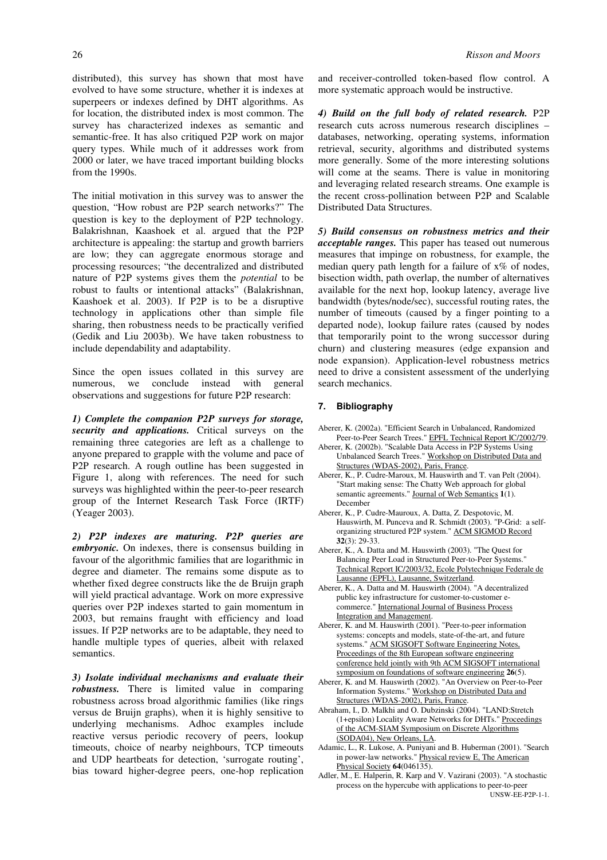distributed), this survey has shown that most have evolved to have some structure, whether it is indexes at superpeers or indexes defined by DHT algorithms. As for location, the distributed index is most common. The survey has characterized indexes as semantic and semantic-free. It has also critiqued P2P work on major query types. While much of it addresses work from 2000 or later, we have traced important building blocks from the 1990s.

The initial motivation in this survey was to answer the question, "How robust are P2P search networks?" The question is key to the deployment of P2P technology. Balakrishnan, Kaashoek et al. argued that the P2P architecture is appealing: the startup and growth barriers are low; they can aggregate enormous storage and processing resources; " the decentralized and distributed nature of P2P systems gives them the *potential* to be robust to faults or intentional attacks" (Balakrishnan, Kaashoek et al. 2003). If P2P is to be a disruptive technology in applications other than simple file sharing, then robustness needs to be practically verified (Gedik and Liu 2003b). We have taken robustness to include dependability and adaptability.

Since the open issues collated in this survey are numerous, we conclude instead with general observations and suggestions for future P2P research:

*1) Complete the companion P2P surveys for storage, security and applications.* Critical surveys on the remaining three categories are left as a challenge to anyone prepared to grapple with the volume and pace of P2P research. A rough outline has been suggested in Figure 1, along with references. The need for such surveys was highlighted within the peer-to-peer research group of the Internet Research Task Force (IRTF) (Yeager 2003).

*2) P2P indexes are maturing. P2P queries are embryonic.* On indexes, there is consensus building in favour of the algorithmic families that are logarithmic in degree and diameter. The remains some dispute as to whether fixed degree constructs like the de Bruijn graph will yield practical advantage. Work on more expressive queries over P2P indexes started to gain momentum in 2003, but remains fraught with efficiency and load issues. If P2P networks are to be adaptable, they need to handle multiple types of queries, albeit with relaxed semantics.

*3) Isolate individual mechanisms and evaluate their robustness.* There is limited value in comparing robustness across broad algorithmic families (like rings versus de Bruijn graphs), when it is highly sensitive to underlying mechanisms. Adhoc examples include reactive versus periodic recovery of peers, lookup timeouts, choice of nearby neighbours, TCP timeouts and UDP heartbeats for detection, 'surrogate routing', bias toward higher-degree peers, one-hop replication

and receiver-controlled token-based flow control. A more systematic approach would be instructive.

*4) Build on the full body of related research.* P2P research cuts across numerous research disciplines – databases, networking, operating systems, information retrieval, security, algorithms and distributed systems more generally. Some of the more interesting solutions will come at the seams. There is value in monitoring and leveraging related research streams. One example is the recent cross-pollination between P2P and Scalable Distributed Data Structures.

*5) Build consensus on robustness metrics and their acceptable ranges.* This paper has teased out numerous measures that impinge on robustness, for example, the median query path length for a failure of  $x\%$  of nodes, bisection width, path overlap, the number of alternatives available for the next hop, lookup latency, average live bandwidth (bytes/node/sec), successful routing rates, the number of timeouts (caused by a finger pointing to a departed node), lookup failure rates (caused by nodes that temporarily point to the wrong successor during churn) and clustering measures (edge expansion and node expansion). Application-level robustness metrics need to drive a consistent assessment of the underlying search mechanics.

# **7. Bibliography**

- Aberer, K. (2002a). "Efficient Search in Unbalanced, Randomized Peer-to-Peer Search Trees." EPFL Technical Report IC/2002/79.
- Aberer, K. (2002b). "Scalable Data Access in P2P Systems Using Unbalanced Search Trees." Workshop on Distributed Data and Structures (WDAS-2002), Paris, France.
- Aberer, K., P. Cudre-Maroux, M. Hauswirth and T. van Pelt (2004). "Start making sense: The Chatty Web approach for global semantic agreements." Journal of Web Semantics **1**(1). December
- Aberer, K., P. Cudre-Mauroux, A. Datta, Z. Despotovic, M. Hauswirth, M. Punceva and R. Schmidt (2003). "P-Grid: a selforganizing structured P2P system." ACM SIGMOD Record **32**(3): 29-33.
- Aberer, K., A. Datta and M. Hauswirth (2003). "The Quest for Balancing Peer Load in Structured Peer-to-Peer Systems." Technical Report IC/2003/32, Ecole Polytechnique Federale de Lausanne (EPFL), Lausanne, Switzerland.
- Aberer, K., A. Datta and M. Hauswirth (2004). "A decentralized public key infrastructure for customer-to-customer ecommerce." International Journal of Business Process Integration and Management.
- Aberer, K. and M. Hauswirth (2001). "Peer-to-peer information systems: concepts and models, state-of-the-art, and future systems." ACM SIGSOFT Software Engineering Notes, Proceedings of the 8th European software engineering conference held jointly with 9th ACM SIGSOFT international symposium on foundations of software engineering **26**(5).
- Aberer, K. and M. Hauswirth (2002). "An Overview on Peer-to-Peer Information Systems." Workshop on Distributed Data and Structures (WDAS-2002), Paris, France.
- Abraham, I., D. Malkhi and O. Dubzinski (2004). "LAND:Stretch (1+epsilon) Locality Aware Networks for DHTs." Proceedings of the ACM-SIAM Symposium on Discrete Algorithms (SODA04), New Orleans, LA.
- Adamic, L., R. Lukose, A. Puniyani and B. Huberman (2001). "Search in power-law networks." Physical review E, The American Physical Society **64**(046135).
- UNSW-EE-P2P-1-1. Adler, M., E. Halperin, R. Karp and V. Vazirani (2003). "A stochastic process on the hypercube with applications to peer-to-peer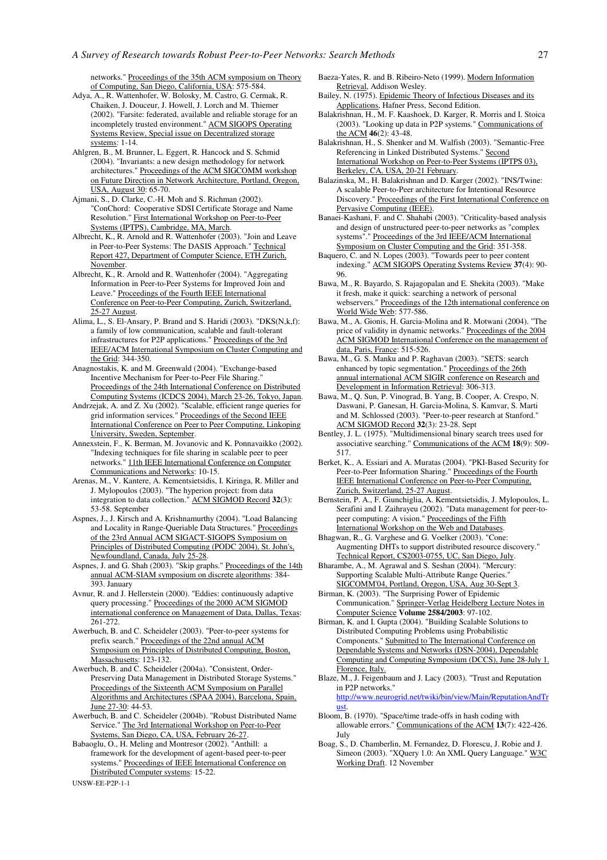networks." Proceedings of the 35th ACM symposium on Theory of Computing, San Diego, California, USA: 575-584.

- Adya, A., R. Wattenhofer, W. Bolosky, M. Castro, G. Cermak, R. Chaiken, J. Douceur, J. Howell, J. Lorch and M. Thiemer (2002). "Farsite: federated, available and reliable storage for an incompletely trusted environment." ACM SIGOPS Operating Systems Review, Special issue on Decentralized storage systems: 1-14.
- Ahlgren, B., M. Brunner, L. Eggert, R. Hancock and S. Schmid (2004). "Invariants: a new design methodology for network architectures." Proceedings of the ACM SIGCOMM workshop on Future Direction in Network Architecture, Portland, Oregon, USA, August 30: 65-70.
- Ajmani, S., D. Clarke, C.-H. Moh and S. Richman (2002). "ConChord: Cooperative SDSI Certificate Storage and Name Resolution." First International Workshop on Peer-to-Peer Systems (IPTPS), Cambridge, MA, March.
- Albrecht, K., R. Arnold and R. Wattenhofer (2003). "Join and Leave in Peer-to-Peer Systems: The DASIS Approach." Technical Report 427, Department of Computer Science, ETH Zurich, November.
- Albrecht, K., R. Arnold and R. Wattenhofer (2004). "Aggregating Information in Peer-to-Peer Systems for Improved Join and Leave." Proceedings of the Fourth IEEE International Conference on Peer-to-Peer Computing, Zurich, Switzerland, 25-27 August.
- Alima, L., S. El-Ansary, P. Brand and S. Haridi (2003). "DKS(N,k,f): a family of low communication, scalable and fault-tolerant infrastructures for P2P applications." Proceedings of the 3rd IEEE/ACM International Symposium on Cluster Computing and the Grid: 344-350.
- Anagnostakis, K. and M. Greenwald (2004). "Exchange-based Incentive Mechanism for Peer-to-Peer File Sharing. Proceedings of the 24th International Conference on Distributed Computing Systems (ICDCS 2004), March 23-26, Tokyo, Japan.
- Andrzejak, A. and Z. Xu (2002). "Scalable, efficient range queries for grid information services." Proceedings of the Second IEEE International Conference on Peer to Peer Computing, Linkoping University, Sweden, September.
- Annexstein, F., K. Berman, M. Jovanovic and K. Ponnavaikko (2002). "Indexing techniques for file sharing in scalable peer to peer networks." 11th IEEE International Conference on Computer Communications and Networks: 10-15.
- Arenas, M., V. Kantere, A. Kementsietsidis, I. Kiringa, R. Miller and J. Mylopoulos (2003). "The hyperion project: from data integration to data collection." ACM SIGMOD Record **32**(3): 53-58. September
- Aspnes, J., J. Kirsch and A. Krishnamurthy (2004). "Load Balancing and Locality in Range-Queriable Data Structures." Proceedings of the 23rd Annual ACM SIGACT-SIGOPS Symposium on Principles of Distributed Computing (PODC 2004), St. John's, Newfoundland, Canada, July 25-28.
- Aspnes, J. and G. Shah (2003). "Skip graphs." Proceedings of the 14th annual ACM-SIAM symposium on discrete algorithms: 384- 393. January
- Avnur, R. and J. Hellerstein (2000). "Eddies: continuously adaptive query processing." Proceedings of the 2000 ACM SIGMOD international conference on Management of Data, Dallas, Texas: 261-272.
- Awerbuch, B. and C. Scheideler (2003). "Peer-to-peer systems for prefix search." Proceedings of the 22nd annual ACM Symposium on Principles of Distributed Computing, Boston, Massachusetts: 123-132.
- Awerbuch, B. and C. Scheideler (2004a). "Consistent, Order-Preserving Data Management in Distributed Storage Systems." Proceedings of the Sixteenth ACM Symposium on Parallel Algorithms and Architectures (SPAA 2004), Barcelona, Spain, June 27-30: 44-53.
- Awerbuch, B. and C. Scheideler (2004b). "Robust Distributed Name Service." The 3rd International Workshop on Peer-to-Peer Systems, San Diego, CA, USA, February 26-27.
- Babaoglu, O., H. Meling and Montresor (2002). "Anthill: a framework for the development of agent-based peer-to-peer systems." Proceedings of IEEE International Conference on Distributed Computer systems: 15-22.

UNSW-EE-P2P-1-1

- Baeza-Yates, R. and B. Ribeiro-Neto (1999). Modern Information Retrieval, Addison Wesley.
- Bailey, N. (1975). Epidemic Theory of Infectious Diseases and its Applications, Hafner Press, Second Edition.
- Balakrishnan, H., M. F. Kaashoek, D. Karger, R. Morris and I. Stoica (2003). "Looking up data in P2P systems." Communications of the ACM **46**(2): 43-48.
- Balakrishnan, H., S. Shenker and M. Walfish (2003). "Semantic-Free Referencing in Linked Distributed Systems." Second International Workshop on Peer-to-Peer Systems (IPTPS 03), Berkeley, CA, USA, 20-21 February.
- Balazinska, M., H. Balakrishnan and D. Karger (2002). "INS/Twine: A scalable Peer-to-Peer architecture for Intentional Resource Discovery." Proceedings of the First International Conference on Pervasive Computing (IEEE).
- Banaei-Kashani, F. and C. Shahabi (2003). "Criticality-based analysis and design of unstructured peer-to-peer networks as "complex systems"." Proceedings of the 3rd IEEE/ACM International Symposium on Cluster Computing and the Grid: 351-358.
- Baquero, C. and N. Lopes (2003). "Towards peer to peer content indexing." ACM SIGOPS Operating Systems Review **37**(4): 90- 96.
- Bawa, M., R. Bayardo, S. Rajagopalan and E. Shekita (2003). "Make it fresh, make it quick: searching a network of personal webservers." Proceedings of the 12th international conference on World Wide Web: 577-586.
- Bawa, M., A. Gionis, H. Garcia-Molina and R. Motwani (2004). "The price of validity in dynamic networks." Proceedings of the 2004 ACM SIGMOD International Conference on the management of data, Paris, France: 515-526.

Bawa, M., G. S. Manku and P. Raghavan (2003). "SETS: search enhanced by topic segmentation." Proceedings of the 26th annual international ACM SIGIR conference on Research and Development in Information Retrieval: 306-313.

- Bawa, M., Q. Sun, P. Vinograd, B. Yang, B. Cooper, A. Crespo, N. Daswani, P. Ganesan, H. Garcia-Molina, S. Kamvar, S. Marti and M. Schlossed (2003). "Peer-to-peer research at Stanford." ACM SIGMOD Record **32**(3): 23-28. Sept
- Bentley, J. L. (1975). "Multidimensional binary search trees used for associative searching." Communications of the ACM **18**(9): 509- 517.
- Berket, K., A. Essiari and A. Muratas (2004). "PKI-Based Security for Peer-to-Peer Information Sharing." Proceedings of the Fourth IEEE International Conference on Peer-to-Peer Computing, Zurich, Switzerland, 25-27 August.
- Bernstein, P. A., F. Giunchiglia, A. Kementsietsidis, J. Mylopoulos, L. Serafini and I. Zaihrayeu (2002). "Data management for peer-topeer computing: A vision." Proceedings of the Fifth International Workshop on the Web and Databases.
- Bhagwan, R., G. Varghese and G. Voelker (2003). "Cone: Augmenting DHTs to support distributed resource discovery." Technical Report, CS2003-0755, UC, San Diego, July.
- Bharambe, A., M. Agrawal and S. Seshan (2004). "Mercury: Supporting Scalable Multi-Attribute Range Queries." SIGCOMM'04, Portland, Oregon, USA, Aug 30-Sept 3.
- Birman, K. (2003). "The Surprising Power of Epidemic Communication." Springer-Verlag Heidelberg Lecture Notes in Computer Science **Volume 2584/2003**: 97-102.
- Birman, K. and I. Gupta (2004). "Building Scalable Solutions to Distributed Computing Problems using Probabilistic Components." Submitted to The International Conference on Dependable Systems and Networks (DSN-2004), Dependable Computing and Computing Symposium (DCCS), June 28-July 1. Florence, Italy.
- Blaze, M., J. Feigenbaum and J. Lacy (2003). "Trust and Reputation in P2P networks."

http://www.neurogrid.net/twiki/bin/view/Main/ReputationAndTr **ust** 

- Bloom, B. (1970). "Space/time trade-offs in hash coding with allowable errors." Communications of the ACM **13**(7): 422-426. July
- Boag, S., D. Chamberlin, M. Fernandez, D. Florescu, J. Robie and J. Simeon (2003). "XQuery 1.0: An XML Query Language." W3C Working Draft. 12 November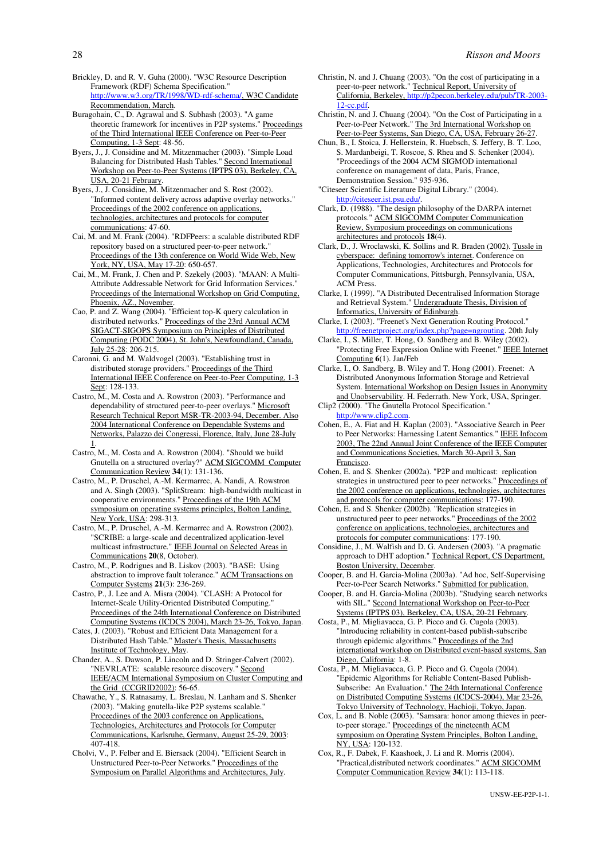- Brickley, D. and R. V. Guha (2000). "W3C Resource Description Framework (RDF) Schema Specification." http://www.w3.org/TR/1998/WD-rdf-schema/, W3C Candidate Recommendation, March.
- Buragohain, C., D. Agrawal and S. Subhash (2003). "A game theoretic framework for incentives in P2P systems." Proceedings of the Third International IEEE Conference on Peer-to-Peer Computing, 1-3 Sept: 48-56.
- Byers, J., J. Considine and M. Mitzenmacher (2003). "Simple Load Balancing for Distributed Hash Tables." Second International Workshop on Peer-to-Peer Systems (IPTPS 03), Berkeley, CA, USA, 20-21 February.
- Byers, J., J. Considine, M. Mitzenmacher and S. Rost (2002). "Informed content delivery across adaptive overlay networks." Proceedings of the 2002 conference on applications, technologies, architectures and protocols for computer communications: 47-60.
- Cai, M. and M. Frank (2004). "RDFPeers: a scalable distributed RDF repository based on a structured peer-to-peer network. Proceedings of the 13th conference on World Wide Web, New York, NY, USA, May 17-20: 650-657.
- Cai, M., M. Frank, J. Chen and P. Szekely (2003). "MAAN: A Multi-Attribute Addressable Network for Grid Information Services." Proceedings of the International Workshop on Grid Computing, Phoenix, AZ., November.
- Cao, P. and Z. Wang (2004). "Efficient top-K query calculation in distributed networks." Proceedings of the 23rd Annual ACM SIGACT-SIGOPS Symposium on Principles of Distributed Computing (PODC 2004), St. John's, Newfoundland, Canada, July 25-28: 206-215.
- Caronni, G. and M. Waldvogel (2003). "Establishing trust in distributed storage providers." Proceedings of the Third International IEEE Conference on Peer-to-Peer Computing, 1-3 Sept: 128-133.
- Castro, M., M. Costa and A. Rowstron (2003). "Performance and dependability of structured peer-to-peer overlays." Microsoft Research Technical Report MSR-TR-2003-94, December. Also 2004 International Conference on Dependable Systems and Networks, Palazzo dei Congressi, Florence, Italy, June 28-July 1.
- Castro, M., M. Costa and A. Rowstron (2004). "Should we build Gnutella on a structured overlay?" ACM SIGCOMM Computer Communication Review **34**(1): 131-136.
- Castro, M., P. Druschel, A.-M. Kermarrec, A. Nandi, A. Rowstron and A. Singh (2003). "SplitStream: high-bandwidth multicast in cooperative environments." Proceedings of the 19th ACM symposium on operating systems principles, Bolton Landing, New York, USA: 298-313.
- Castro, M., P. Druschel, A.-M. Kermarrec and A. Rowstron (2002). "SCRIBE: a large-scale and decentralized application-level multicast infrastructure." IEEE Journal on Selected Areas in Communications **20**(8, October).
- Castro, M., P. Rodrigues and B. Liskov (2003). "BASE: Using abstraction to improve fault tolerance." ACM Transactions on Computer Systems **21**(3): 236-269.
- Castro, P., J. Lee and A. Misra (2004). "CLASH: A Protocol for Internet-Scale Utility-Oriented Distributed Computing." Proceedings of the 24th International Conference on Distributed Computing Systems (ICDCS 2004), March 23-26, Tokyo, Japan.
- Cates, J. (2003). "Robust and Efficient Data Management for a Distributed Hash Table." Master's Thesis, Massachusetts Institute of Technology, May.
- Chander, A., S. Dawson, P. Lincoln and D. Stringer-Calvert (2002). "NEVRLATE: scalable resource discovery." Second IEEE/ACM International Symposium on Cluster Computing and the Grid (CCGRID2002): 56-65.
- Chawathe, Y., S. Ratnasamy, L. Breslau, N. Lanham and S. Shenker (2003). "Making gnutella-like P2P systems scalable." Proceedings of the 2003 conference on Applications, Technologies, Architectures and Protocols for Computer Communications, Karlsruhe, Germany, August 25-29, 2003: 407-418.
- Cholvi, V., P. Felber and E. Biersack (2004). "Efficient Search in Unstructured Peer-to-Peer Networks." Proceedings of the Symposium on Parallel Algorithms and Architectures, July.
- Christin, N. and J. Chuang (2003). "On the cost of participating in a peer-to-peer network." Technical Report, University of California, Berkeley, http://p2pecon.berkeley.edu/pub/TR-2003- 12-cc.pdf.
- Christin, N. and J. Chuang (2004). "On the Cost of Participating in a Peer-to-Peer Network." The 3rd International Workshop on Peer-to-Peer Systems, San Diego, CA, USA, February 26-27.
- Chun, B., I. Stoica, J. Hellerstein, R. Huebsch, S. Jeffery, B. T. Loo, S. Mardanbeigi, T. Roscoe, S. Rhea and S. Schenker (2004). "Proceedings of the 2004 ACM SIGMOD international conference on management of data, Paris, France, Demonstration Session." 935-936.
- "Citeseer Scientific Literature Digital Library." (2004). http://citeseer.ist.psu.edu/.
- Clark, D. (1988). "The design philosophy of the DARPA internet protocols." ACM SIGCOMM Computer Communication Review, Symposium proceedings on communications architectures and protocols **18**(4).
- Clark, D., J. Wroclawski, K. Sollins and R. Braden (2002). Tussle in cyberspace: defining tomorrow's internet. Conference on Applications, Technologies, Architectures and Protocols for Computer Communications, Pittsburgh, Pennsylvania, USA, ACM Press.
- Clarke, I. (1999). "A Distributed Decentralised Information Storage and Retrieval System." Undergraduate Thesis, Division of Informatics, University of Edinburgh.
- Clarke, I. (2003). "Freenet's Next Generation Routing Protocol." http://freenetproject.org/index.php?page=ngrouting. 20th July
- Clarke, I., S. Miller, T. Hong, O. Sandberg and B. Wiley (2002). "Protecting Free Expression Online with Freenet." IEEE Internet Computing **6**(1). Jan/Feb
- Clarke, I., O. Sandberg, B. Wiley and T. Hong (2001). Freenet: A Distributed Anonymous Information Storage and Retrieval System. International Workshop on Design Issues in Anonymity and Unobservability. H. Federrath. New York, USA, Springer.
- Clip2 (2000). "The Gnutella Protocol Specification." http://www.clip2.com.
- Cohen, E., A. Fiat and H. Kaplan (2003). "Associative Search in Peer to Peer Networks: Harnessing Latent Semantics." IEEE Infocom 2003, The 22nd Annual Joint Conference of the IEEE Computer and Communications Societies, March 30-April 3, San Francisco.
- Cohen, E. and S. Shenker (2002a). "P2P and multicast: replication strategies in unstructured peer to peer networks." Proceedings of the 2002 conference on applications, technologies, architectures and protocols for computer communications: 177-190.
- Cohen, E. and S. Shenker (2002b). "Replication strategies in unstructured peer to peer networks." Proceedings of the 2002 conference on applications, technologies, architectures and protocols for computer communications: 177-190.
- Considine, J., M. Walfish and D. G. Andersen (2003). "A pragmatic approach to DHT adoption." Technical Report, CS Department, Boston University, December.
- Cooper, B. and H. Garcia-Molina (2003a). "Ad hoc, Self-Supervising Peer-to-Peer Search Networks." Submitted for publication.
- Cooper, B. and H. Garcia-Molina (2003b). "Studying search networks with SIL." Second International Workshop on Peer-to-Peer Systems (IPTPS 03), Berkeley, CA, USA, 20-21 February.
- Costa, P., M. Migliavacca, G. P. Picco and G. Cugola (2003). "Introducing reliability in content-based publish-subscribe through epidemic algorithms." Proceedings of the 2nd international workshop on Distributed event-based systems, San Diego, California: 1-8.
- Costa, P., M. Migliavacca, G. P. Picco and G. Cugola (2004). "Epidemic Algorithms for Reliable Content-Based Publish-Subscribe: An Evaluation." The 24th International Conference on Distributed Computing Systems (ICDCS-2004), Mar 23-26, Tokyo University of Technology, Hachioji, Tokyo, Japan.
- Cox, L. and B. Noble (2003). "Samsara: honor among thieves in peerto-peer storage." Proceedings of the nineteenth ACM symposium on Operating System Principles, Bolton Landing, NY, USA: 120-132.
- Cox, R., F. Dabek, F. Kaashoek, J. Li and R. Morris (2004). "Practical,distributed network coordinates." ACM SIGCOMM Computer Communication Review **34**(1): 113-118.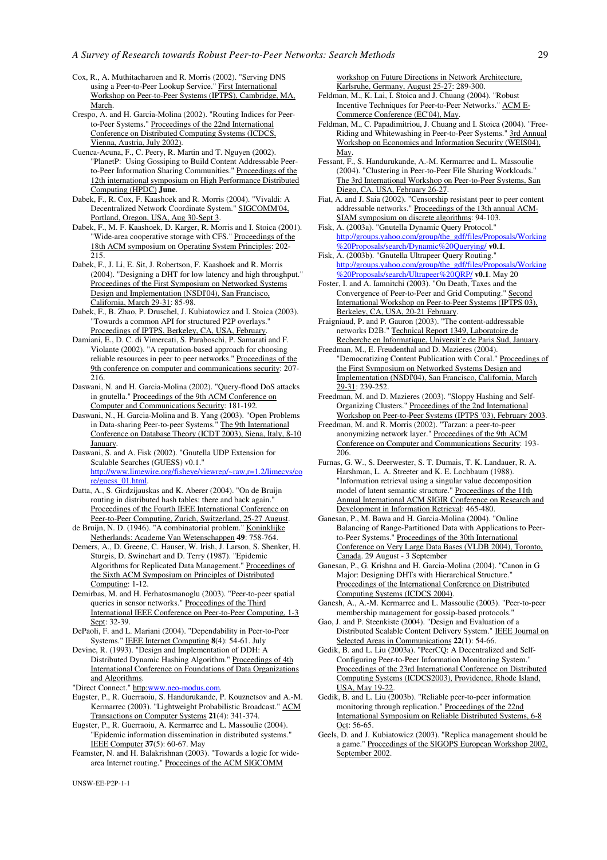- Cox, R., A. Muthitacharoen and R. Morris (2002). "Serving DNS using a Peer-to-Peer Lookup Service." First International Workshop on Peer-to-Peer Systems (IPTPS), Cambridge, MA, March.
- Crespo, A. and H. Garcia-Molina (2002). "Routing Indices for Peerto-Peer Systems." Proceedings of the 22nd International Conference on Distributed Computing Systems (ICDCS, Vienna, Austria, July 2002).
- Cuenca-Acuna, F., C. Peery, R. Martin and T. Nguyen (2002). "PlanetP: Using Gossiping to Build Content Addressable Peerto-Peer Information Sharing Communities." Proceedings of the 12th international symposium on High Performance Distributed Computing (HPDC) **June**.
- Dabek, F., R. Cox, F. Kaashoek and R. Morris (2004). "Vivaldi: A Decentralized Network Coordinate System." SIGCOMM'04, Portland, Oregon, USA, Aug 30-Sept 3.
- Dabek, F., M. F. Kaashoek, D. Karger, R. Morris and I. Stoica (2001). "Wide-area cooperative storage with CFS." Proceedings of the 18th ACM symposium on Operating System Principles: 202- 215.
- Dabek, F., J. Li, E. Sit, J. Robertson, F. Kaashoek and R. Morris (2004). "Designing a DHT for low latency and high throughput." Proceedings of the First Symposium on Networked Systems Design and Implementation (NSDI'04), San Francisco, California, March 29-31: 85-98.
- Dabek, F., B. Zhao, P. Druschel, J. Kubiatowicz and I. Stoica (2003). "Towards a common API for structured P2P overlays." Proceedings of IPTPS, Berkeley, CA, USA, February.
- Damiani, E., D. C. di Vimercati, S. Paraboschi, P. Samarati and F. Violante (2002). "A reputation-based approach for choosing reliable resources in peer to peer networks." Proceedings of the 9th conference on computer and communications security: 207- 216.
- Daswani, N. and H. Garcia-Molina (2002). "Query-flood DoS attacks in gnutella." Proceedings of the 9th ACM Conference on Computer and Communications Security: 181-192.
- Daswani, N., H. Garcia-Molina and B. Yang (2003). "Open Problems in Data-sharing Peer-to-peer Systems." The 9th International Conference on Database Theory (ICDT 2003), Siena, Italy, 8-10 January.
- Daswani, S. and A. Fisk (2002). "Gnutella UDP Extension for Scalable Searches (GUESS) v0.1." http://www.limewire.org/fisheye/viewrep/~raw,r=1.2/limecvs/co re/guess\_01.html.
- Datta, A., S. Girdzijauskas and K. Aberer (2004). "On de Bruijn routing in distributed hash tables: there and back again." Proceedings of the Fourth IEEE International Conference on Peer-to-Peer Computing, Zurich, Switzerland, 25-27 August.
- de Bruijn, N. D. (1946). "A combinatorial problem." Koninklijke Netherlands: Academe Van Wetenschappen **49**: 758-764.
- Demers, A., D. Greene, C. Hauser, W. Irish, J. Larson, S. Shenker, H. Sturgis, D. Swinehart and D. Terry (1987). "Epidemic Algorithms for Replicated Data Management." Proceedings of the Sixth ACM Symposium on Principles of Distributed Computing: 1-12.
- Demirbas, M. and H. Ferhatosmanoglu (2003). "Peer-to-peer spatial queries in sensor networks." Proceedings of the Third International IEEE Conference on Peer-to-Peer Computing, 1-3 Sept: 32-39.
- DePaoli, F. and L. Mariani (2004). "Dependability in Peer-to-Peer Systems." IEEE Internet Computing **8**(4): 54-61. July
- Devine, R. (1993). "Design and Implementation of DDH: A Distributed Dynamic Hashing Algorithm." Proceedings of 4th International Conference on Foundations of Data Organizations and Algorithms.
- "Direct Connect." http:www.neo-modus.com.
- Eugster, P., R. Guerraoiu, S. Handurukande, P. Kouznetsov and A.-M. Kermarrec (2003). "Lightweight Probabilistic Broadcast." ACM Transactions on Computer Systems **21**(4): 341-374.
- Eugster, P., R. Guerraoiu, A. Kermarrec and L. Massoulie (2004). "Epidemic information dissemination in distributed systems." IEEE Computer **37**(5): 60-67. May
- Feamster, N. and H. Balakrishnan (2003). "Towards a logic for widearea Internet routing." Proceeings of the ACM SIGCOMM

workshop on Future Directions in Network Architecture, Karlsruhe, Germany, August 25-27: 289-300.

- Feldman, M., K. Lai, I. Stoica and J. Chuang (2004). "Robust Incentive Techniques for Peer-to-Peer Networks." ACM E-Commerce Conference (EC'04), May.
- Feldman, M., C. Papadimitriou, J. Chuang and I. Stoica (2004). "Free-Riding and Whitewashing in Peer-to-Peer Systems." 3rd Annual Workshop on Economics and Information Security (WEIS04), May.
- Fessant, F., S. Handurukande, A.-M. Kermarrec and L. Massoulie (2004). "Clustering in Peer-to-Peer File Sharing Workloads. The 3rd International Workshop on Peer-to-Peer Systems, San Diego, CA, USA, February 26-27.
- Fiat, A. and J. Saia (2002). "Censorship resistant peer to peer content addressable networks." Proceedings of the 13th annual ACM-SIAM symposium on discrete algorithms: 94-103.
- Fisk, A. (2003a). "Gnutella Dynamic Query Protocol." http://groups.yahoo.com/group/the\_gdf/files/Proposals/Working %20Proposals/search/Dynamic%20Querying/ **v0.1**.
- Fisk, A. (2003b). "Gnutella Ultrapeer Query Routing." http://groups.yahoo.com/group/the\_gdf/files/Proposals/Working %20Proposals/search/Ultrapeer%20QRP/ **v0.1**. May 20
- Foster, I. and A. Iamnitchi (2003). "On Death, Taxes and the Convergence of Peer-to-Peer and Grid Computing." Second International Workshop on Peer-to-Peer Systems (IPTPS 03), Berkeley, CA, USA, 20-21 February.
- Fraigniaud, P. and P. Gauron (2003). "The content-addressable networks D2B." Technical Report 1349, Laboratoire de Recherche en Informatique, Universit´e de Paris Sud, January.
- Freedman, M., E. Freudenthal and D. Mazieres (2004). "Democratizing Content Publication with Coral." Proceedings of the First Symposium on Networked Systems Design and Implementation (NSDI'04), San Francisco, California, March 29-31: 239-252.
- Freedman, M. and D. Mazieres (2003). "Sloppy Hashing and Self-Organizing Clusters." Proceedings of the 2nd International Workshop on Peer-to-Peer Systems (IPTPS '03), February 2003.
- Freedman, M. and R. Morris (2002). "Tarzan: a peer-to-peer anonymizing network layer." Proceedings of the 9th ACM Conference on Computer and Communications Security: 193- 206.
- Furnas, G. W., S. Deerwester, S. T. Dumais, T. K. Landauer, R. A. Harshman, L. A. Streeter and K. E. Lochbaum (1988). "Information retrieval using a singular value decomposition model of latent semantic structure." Proceedings of the 11th Annual International ACM SIGIR Conference on Research and Development in Information Retrieval: 465-480.
- Ganesan, P., M. Bawa and H. Garcia-Molina (2004). "Online Balancing of Range-Partitioned Data with Applications to Peerto-Peer Systems." Proceedings of the 30th International Conference on Very Large Data Bases (VLDB 2004), Toronto, Canada. 29 August - 3 September
- Ganesan, P., G. Krishna and H. Garcia-Molina (2004). "Canon in G Major: Designing DHTs with Hierarchical Structure." Proceedings of the International Conference on Distributed Computing Systems (ICDCS 2004).
- Ganesh, A., A.-M. Kermarrec and L. Massoulie (2003). "Peer-to-peer membership management for gossip-based protocols."
- Gao, J. and P. Steenkiste (2004). "Design and Evaluation of a Distributed Scalable Content Delivery System." IEEE Journal on Selected Areas in Communications **22**(1): 54-66.
- Gedik, B. and L. Liu (2003a). "PeerCQ: A Decentralized and Self-Configuring Peer-to-Peer Information Monitoring System." Proceedings of the 23rd International Conference on Distributed Computing Systems (ICDCS2003), Providence, Rhode Island, USA, May 19-22.
- Gedik, B. and L. Liu (2003b). "Reliable peer-to-peer information monitoring through replication." Proceedings of the 22nd International Symposium on Reliable Distributed Systems, 6-8 Oct: 56-65.
- Geels, D. and J. Kubiatowicz (2003). "Replica management should be a game." Proceedings of the SIGOPS European Workshop 2002, September 2002.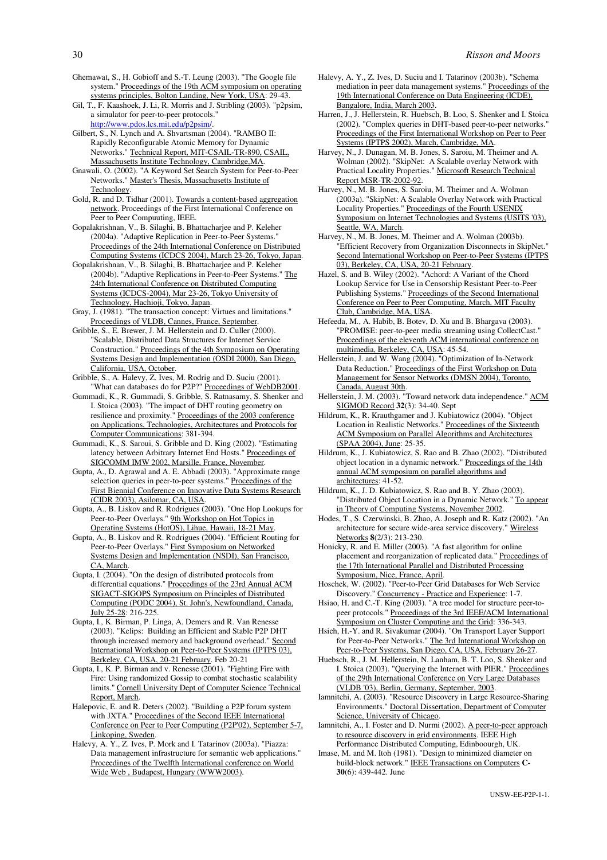- Ghemawat, S., H. Gobioff and S.-T. Leung (2003). "The Google file system." Proceedings of the 19th ACM symposium on operating systems principles, Bolton Landing, New York, USA: 29-43.
- Gil, T., F. Kaashoek, J. Li, R. Morris and J. Stribling (2003). "p2psim, a simulator for peer-to-peer protocols." http://www.pdos.lcs.mit.edu/p2psim/.
- Gilbert, S., N. Lynch and A. Shvartsman (2004). "RAMBO II: Rapidly Reconfigurable Atomic Memory for Dynamic Networks." Technical Report, MIT-CSAIL-TR-890, CSAIL, Massachusetts Institute Technology, Cambridge,MA.
- Gnawali, O. (2002). "A Keyword Set Search System for Peer-to-Peer Networks." Master's Thesis, Massachusetts Institute of **Technology**
- Gold, R. and D. Tidhar (2001). Towards a content-based aggregation network. Proceedings of the First International Conference on Peer to Peer Compuuting, IEEE.
- Gopalakrishnan, V., B. Silaghi, B. Bhattacharjee and P. Keleher (2004a). "Adaptive Replication in Peer-to-Peer Systems." Proceedings of the 24th International Conference on Distributed Computing Systems (ICDCS 2004), March 23-26, Tokyo, Japan.
- Gopalakrishnan, V., B. Silaghi, B. Bhattacharjee and P. Keleher (2004b). "Adaptive Replications in Peer-to-Peer Systems." The 24th International Conference on Distributed Computing Systems (ICDCS-2004), Mar 23-26, Tokyo University of Technology, Hachioji, Tokyo, Japan.
- Gray, J. (1981). "The transaction concept: Virtues and limitations." Proceedings of VLDB, Cannes, France, September.
- Gribble, S., E. Brewer, J. M. Hellerstein and D. Culler (2000). "Scalable, Distributed Data Structures for Internet Service Construction." Proceedings of the 4th Symposium on Operating Systems Design and Implementation (OSDI 2000), San Diego, California, USA, October.
- Gribble, S., A. Halevy, Z. Ives, M. Rodrig and D. Suciu (2001). "What can databases do for P2P?" Proceedings of WebDB2001.
- Gummadi, K., R. Gummadi, S. Gribble, S. Ratnasamy, S. Shenker and I. Stoica (2003). "The impact of DHT routing geometry on resilience and proximity." Proceedings of the 2003 conference on Applications, Technologies, Architectures and Protocols for Computer Communications: 381-394.
- Gummadi, K., S. Saroui, S. Gribble and D. King (2002). "Estimating latency between Arbitrary Internet End Hosts." Proceedings of SIGCOMM IMW 2002, Marsille, France, November.
- Gupta, A., D. Agrawal and A. E. Abbadi (2003). "Approximate range selection queries in peer-to-peer systems." Proceedings of the First Biennial Conference on Innovative Data Systems Research (CIDR 2003), Asilomar, CA, USA.
- Gupta, A., B. Liskov and R. Rodrigues (2003). "One Hop Lookups for Peer-to-Peer Overlays." 9th Workshop on Hot Topics in Operating Systems (HotOS), Lihue, Hawaii, 18-21 May.
- Gupta, A., B. Liskov and R. Rodrigues (2004). "Efficient Routing for Peer-to-Peer Overlays." First Symposium on Networked Systems Design and Implementation (NSDI), San Francisco, CA, March.
- Gupta, I. (2004). "On the design of distributed protocols from differential equations." Proceedings of the 23rd Annual ACM SIGACT-SIGOPS Symposium on Principles of Distributed Computing (PODC 2004), St. John's, Newfoundland, Canada, July 25-28: 216-225.
- Gupta, I., K. Birman, P. Linga, A. Demers and R. Van Renesse (2003). "Kelips: Building an Efficient and Stable P2P DHT through increased memory and background overhead." Second International Workshop on Peer-to-Peer Systems (IPTPS 03), Berkeley, CA, USA, 20-21 February. Feb 20-21
- Gupta, I., K. P. Birman and v. Renesse (2001). "Fighting Fire with Fire: Using randomized Gossip to combat stochastic scalability limits." Cornell University Dept of Computer Science Technical Report, March.
- Halepovic, E. and R. Deters (2002). "Building a P2P forum system with JXTA." Proceedings of the Second IEEE International Conference on Peer to Peer Computing (P2P'02), September 5-7, Linkoping, Sweden.
- Halevy, A. Y., Z. Ives, P. Mork and I. Tatarinov (2003a). "Piazza: Data management infrastructure for semantic web applications." Proceedings of the Twelfth International conference on World Wide Web , Budapest, Hungary (WWW2003).
- Halevy, A. Y., Z. Ives, D. Suciu and I. Tatarinov (2003b). "Schema mediation in peer data management systems." Proceedings of the 19th International Conference on Data Engineering (ICDE), Bangalore, India, March 2003.
- Harren, J., J. Hellerstein, R. Huebsch, B. Loo, S. Shenker and I. Stoica (2002). "Complex queries in DHT-based peer-to-peer networks." Proceedings of the First International Workshop on Peer to Peer Systems (IPTPS 2002), March, Cambridge, MA.
- Harvey, N., J. Dunagan, M. B. Jones, S. Saroiu, M. Theimer and A. Wolman (2002). "SkipNet: A Scalable overlay Network with Practical Locality Properties." Microsoft Research Technical Report MSR-TR-2002-92.
- Harvey, N., M. B. Jones, S. Saroiu, M. Theimer and A. Wolman (2003a). "SkipNet: A Scalable Overlay Network with Practical Locality Properties." Proceedings of the Fourth USENIX Symposium on Internet Technologies and Systems (USITS '03), Seattle, WA, March.
- Harvey, N., M. B. Jones, M. Theimer and A. Wolman (2003b). "Efficient Recovery from Organization Disconnects in SkipNet." Second International Workshop on Peer-to-Peer Systems (IPTPS 03), Berkeley, CA, USA, 20-21 February.
- Hazel, S. and B. Wiley (2002). "Achord: A Variant of the Chord Lookup Service for Use in Censorship Resistant Peer-to-Peer Publishing Systems." Proceedings of the Second International Conference on Peer to Peer Computing, March, MIT Faculty Club, Cambridge, MA, USA.
- Hefeeda, M., A. Habib, B. Botev, D. Xu and B. Bhargava (2003). "PROMISE: peer-to-peer media streaming using CollectCast." Proceedings of the eleventh ACM international conference on multimedia, Berkeley, CA, USA: 45-54.
- Hellerstein, J. and W. Wang (2004). "Optimization of In-Network Data Reduction." Proceedings of the First Workshop on Data Management for Sensor Networks (DMSN 2004), Toronto, Canada, August 30th.
- Hellerstein, J. M. (2003). "Toward network data independence." ACM SIGMOD Record **32**(3): 34-40. Sept
- Hildrum, K., R. Krauthgamer and J. Kubiatowicz (2004). "Object Location in Realistic Networks." Proceedings of the Sixteenth ACM Symposium on Parallel Algorithms and Architectures (SPAA 2004), June: 25-35.
- Hildrum, K., J. Kubiatowicz, S. Rao and B. Zhao (2002). "Distributed object location in a dynamic network." Proceedings of the 14th annual ACM symposium on parallel algorithms and architectures: 41-52.
- Hildrum, K., J. D. Kubiatowicz, S. Rao and B. Y. Zhao (2003). "Distributed Object Location in a Dynamic Network." To appear in Theory of Computing Systems, November 2002.
- Hodes, T., S. Czerwinski, B. Zhao, A. Joseph and R. Katz (2002). "An architecture for secure wide-area service discovery." Wireless Networks **8**(2/3): 213-230.
- Honicky, R. and E. Miller (2003). "A fast algorithm for online placement and reorganization of replicated data." Proceedings of the 17th International Parallel and Distributed Processing Symposium, Nice, France, April.
- Hoschek, W. (2002). "Peer-to-Peer Grid Databases for Web Service Discovery." Concurrency - Practice and Experience: 1-7.
- Hsiao, H. and C.-T. King (2003). "A tree model for structure peer-topeer protocols." Proceedings of the 3rd IEEE/ACM International Symposium on Cluster Computing and the Grid: 336-343.
- Hsieh, H.-Y. and R. Sivakumar (2004). "On Transport Layer Support for Peer-to-Peer Networks." The 3rd International Workshop on Peer-to-Peer Systems, San Diego, CA, USA, February 26-27.
- Huebsch, R., J. M. Hellerstein, N. Lanham, B. T. Loo, S. Shenker and I. Stoica (2003). "Querying the Internet with PIER." Proceedings of the 29th International Conference on Very Large Databases (VLDB '03), Berlin, Germany, September, 2003.
- Iamnitchi, A. (2003). "Resource Discovery in Large Resource-Sharing Environments." Doctoral Dissertation, Department of Computer Science, University of Chicago.
- Iamnitchi, A., I. Foster and D. Nurmi (2002). A peer-to-peer approach to resource discovery in grid environments. IEEE High Performance Distributed Computing, Edinboourgh, UK.
- Imase, M. and M. Itoh (1981). "Design to minimized diameter on build-block network." IEEE Transactions on Computers **C-30**(6): 439-442. June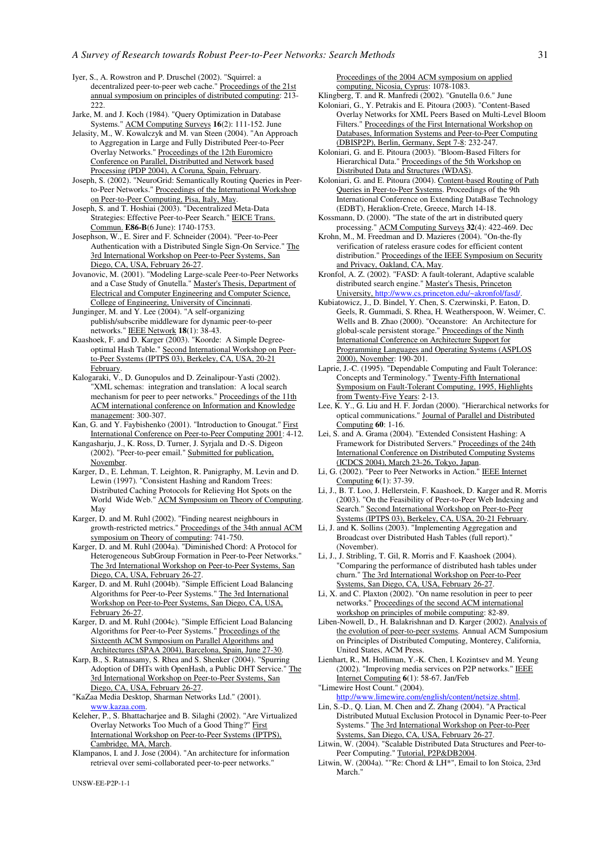- Iyer, S., A. Rowstron and P. Druschel (2002). "Squirrel: a decentralized peer-to-peer web cache." Proceedings of the 21st annual symposium on principles of distributed computing: 213- 222.
- Jarke, M. and J. Koch (1984). "Query Optimization in Database Systems." ACM Computing Surveys **16**(2): 111-152. June
- Jelasity, M., W. Kowalczyk and M. van Steen (2004). "An Approach to Aggregation in Large and Fully Distributed Peer-to-Peer Overlay Networks." Proceedings of the 12th Euromicro Conference on Parallel, Distributted and Network based Processing (PDP 2004), A Coruna, Spain, February.
- Joseph, S. (2002). "NeuroGrid: Semantically Routing Queries in Peerto-Peer Networks." Proceedings of the International Workshop on Peer-to-Peer Computing, Pisa, Italy, May.
- Joseph, S. and T. Hoshiai (2003). "Decentralized Meta-Data Strategies: Effective Peer-to-Peer Search." IEICE Trans. Commun. **E86-B**(6 June): 1740-1753.
- Josephson, W., E. Sirer and F. Schneider (2004). "Peer-to-Peer Authentication with a Distributed Single Sign-On Service." The 3rd International Workshop on Peer-to-Peer Systems, San Diego, CA, USA, February 26-27.
- Jovanovic, M. (2001). "Modeling Large-scale Peer-to-Peer Networks and a Case Study of Gnutella." Master's Thesis, Department of Electrical and Computer Engineering and Computer Science, College of Engineering, University of Cincinnati.
- Junginger, M. and Y. Lee (2004). "A self-organizing publish/subscribe middleware for dynamic peer-to-peer networks." IEEE Network **18**(1): 38-43.
- Kaashoek, F. and D. Karger (2003). "Koorde: A Simple Degreeoptimal Hash Table." Second International Workshop on Peerto-Peer Systems (IPTPS 03), Berkeley, CA, USA, 20-21 February.
- Kalogaraki, V., D. Gunopulos and D. Zeinalipour-Yasti (2002). "XML schemas: integration and translation: A local search mechanism for peer to peer networks." Proceedings of the 11th ACM international conference on Information and Knowledge management: 300-307.
- Kan, G. and Y. Faybishenko (2001). "Introduction to Gnougat." First International Conference on Peer-to-Peer Computing 2001: 4-12.
- Kangasharju, J., K. Ross, D. Turner, J. Syrjala and D.-S. Digeon (2002). "Peer-to-peer email." Submitted for publication, November.
- Karger, D., E. Lehman, T. Leighton, R. Panigraphy, M. Levin and D. Lewin (1997). "Consistent Hashing and Random Trees: Distributed Caching Protocols for Relieving Hot Spots on the World Wide Web." ACM Symposium on Theory of Computing. May
- Karger, D. and M. Ruhl (2002). "Finding nearest neighbours in growth-restricted metrics." Proceedings of the 34th annual ACM symposium on Theory of computing: 741-750.
- Karger, D. and M. Ruhl (2004a). "Diminished Chord: A Protocol for Heterogeneous SubGroup Formation in Peer-to-Peer Networks." The 3rd International Workshop on Peer-to-Peer Systems, San Diego, CA, USA, February 26-27.
- Karger, D. and M. Ruhl (2004b). "Simple Efficient Load Balancing Algorithms for Peer-to-Peer Systems." The 3rd International Workshop on Peer-to-Peer Systems, San Diego, CA, USA, February 26-27.
- Karger, D. and M. Ruhl (2004c). "Simple Efficient Load Balancing Algorithms for Peer-to-Peer Systems." Proceedings of the Sixteenth ACM Symposium on Parallel Algorithms and Architectures (SPAA 2004), Barcelona, Spain, June 27-30.
- Karp, B., S. Ratnasamy, S. Rhea and S. Shenker (2004). "Spurring Adoption of DHTs with OpenHash, a Public DHT Service." The 3rd International Workshop on Peer-to-Peer Systems, San Diego, CA, USA, February 26-27.
- "KaZaa Media Desktop, Sharman Networks Ltd." (2001). www.kazaa.com.
- Keleher, P., S. Bhattacharjee and B. Silaghi (2002). "Are Virtualized Overlay Networks Too Much of a Good Thing?" First International Workshop on Peer-to-Peer Systems (IPTPS), Cambridge, MA, March.
- Klampanos, I. and J. Jose (2004). "An architecture for information retrieval over semi-collaborated peer-to-peer networks."

Proceedings of the 2004 ACM symposium on applied computing, Nicosia, Cyprus: 1078-1083.

- Klingberg, T. and R. Manfredi (2002). "Gnutella 0.6." June Koloniari, G., Y. Petrakis and E. Pitoura (2003). "Content-Based Overlay Networks for XML Peers Based on Multi-Level Bloom Filters." Proceedings of the First International Workshop on Databases, Information Systems and Peer-to-Peer Computing (DBISP2P), Berlin, Germany, Sept 7-8: 232-247.
- Koloniari, G. and E. Pitoura (2003). "Bloom-Based Filters for Hierarchical Data." Proceedings of the 5th Workshop on Distributed Data and Structures (WDAS).
- Koloniari, G. and E. Pitoura (2004). Content-based Routing of Path Queries in Peer-to-Peer Systems. Proceedings of the 9th International Conference on Extending DataBase Technology (EDBT), Heraklion-Crete, Greece, March 14-18.
- Kossmann, D. (2000). "The state of the art in distributed query processing." ACM Computing Surveys **32**(4): 422-469. Dec
- Krohn, M., M. Freedman and D. Mazieres (2004). "On-the-fly verification of rateless erasure codes for efficient content distribution." Proceedings of the IEEE Symposium on Security and Privacy, Oakland, CA, May.
- Kronfol, A. Z. (2002). "FASD: A fault-tolerant, Adaptive scalable distributed search engine." Master's Thesis, Princeton University, http://www.cs.princeton.edu/~akronfol/fasd/.
- Kubiatowicz, J., D. Bindel, Y. Chen, S. Czerwinski, P. Eaton, D. Geels, R. Gummadi, S. Rhea, H. Weatherspoon, W. Weimer, C. Wells and B. Zhao (2000). "Oceanstore: An Architecture for global-scale persistent storage." Proceedings of the Ninth International Conference on Architecture Support for Programming Languages and Operating Systems (ASPLOS 2000), November: 190-201.
- Laprie, J.-C. (1995). "Dependable Computing and Fault Tolerance: Concepts and Terminology." Twenty-Fifth International Symposium on Fault-Tolerant Computing, 1995, Highlights from Twenty-Five Years: 2-13.
- Lee, K. Y., G. Liu and H. F. Jordan (2000). "Hierarchical networks for optical communications." Journal of Parallel and Distributed Computing **60**: 1-16.
- Lei, S. and A. Grama (2004). "Extended Consistent Hashing: A Framework for Distributed Servers." Proceedings of the 24th International Conference on Distributed Computing Systems (ICDCS 2004), March 23-26, Tokyo, Japan.
- Li, G. (2002). "Peer to Peer Networks in Action." IEEE Internet Computing **6**(1): 37-39.
- Li, J., B. T. Loo, J. Hellerstein, F. Kaashoek, D. Karger and R. Morris (2003). "On the Feasibility of Peer-to-Peer Web Indexing and Search." Second International Workshop on Peer-to-Peer Systems (IPTPS 03), Berkeley, CA, USA, 20-21 February.
- Li, J. and K. Sollins (2003). "Implementing Aggregation and Broadcast over Distributed Hash Tables (full report)." (November).
- Li, J., J. Stribling, T. Gil, R. Morris and F. Kaashoek (2004). "Comparing the performance of distributed hash tables under churn." The 3rd International Workshop on Peer-to-Peer Systems, San Diego, CA, USA, February 26-27.
- Li, X. and C. Plaxton (2002). "On name resolution in peer to peer networks." Proceedings of the second ACM international workshop on principles of mobile computing: 82-89.
- Liben-Nowell, D., H. Balakrishnan and D. Karger (2002). Analysis of the evolution of peer-to-peer systems. Annual ACM Sumposium on Principles of Distributed Computing, Monterey, California, United States, ACM Press.
- Lienhart, R., M. Holliman, Y.-K. Chen, I. Kozintsev and M. Yeung (2002). "Improving media services on P2P networks." IEEE Internet Computing **6**(1): 58-67. Jan/Feb
- "Limewire Host Count." (2004). http://www.limewire.com/english/content/netsize.shtml.
- Lin, S.-D., Q. Lian, M. Chen and Z. Zhang (2004). "A Practical Distributed Mutual Exclusion Protocol in Dynamic Peer-to-Peer Systems." The 3rd International Workshop on Peer-to-Peer Systems, San Diego, CA, USA, February 26-27.
- Litwin, W. (2004). "Scalable Distributed Data Structures and Peer-to-Peer Computing." Tutorial, P2P&DB2004.
- Litwin, W. (2004a). ""Re: Chord & LH\*", Email to Ion Stoica, 23rd March."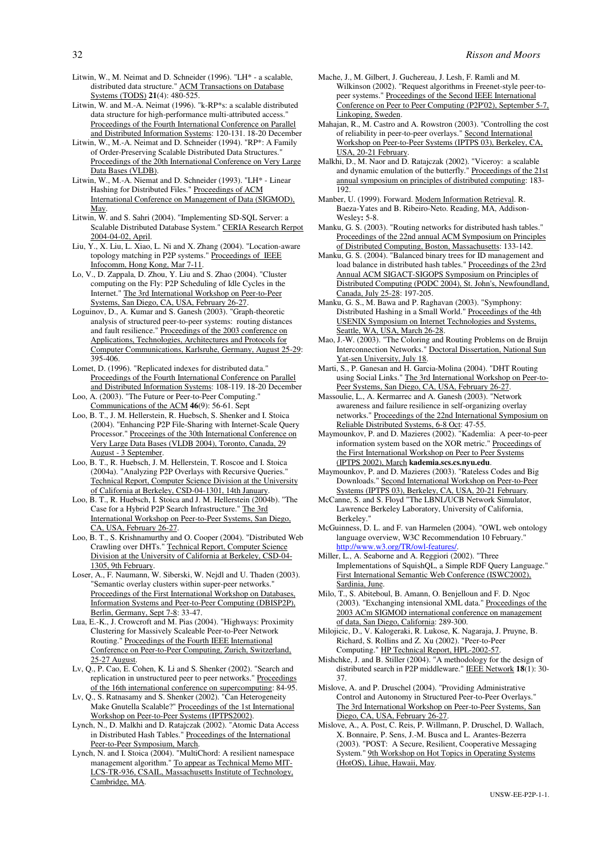- Litwin, W., M. Neimat and D. Schneider (1996). "LH\* a scalable, distributed data structure." ACM Transactions on Database Systems (TODS) **21**(4): 480-525.
- Litwin, W. and M.-A. Neimat (1996). "k-RP\*s: a scalable distributed data structure for high-performance multi-attributed access. Proceedings of the Fourth International Conference on Parallel and Distributed Information Systems: 120-131. 18-20 December
- Litwin, W., M.-A. Neimat and D. Schneider (1994). "RP\*: A Family of Order-Preserving Scalable Distributed Data Structures." Proceedings of the 20th International Conference on Very Large Data Bases (VLDB).
- Litwin, W., M.-A. Niemat and D. Schneider (1993). "LH\* Linear Hashing for Distributed Files." Proceedings of ACM International Conference on Management of Data (SIGMOD), May.
- Litwin, W. and S. Sahri (2004). "Implementing SD-SQL Server: a Scalable Distributed Database System." CERIA Research Rerpot 2004-04-02, April.
- Liu, Y., X. Liu, L. Xiao, L. Ni and X. Zhang (2004). "Location-aware topology matching in P2P systems." Proceedings of IEEE Infocomm, Hong Kong, Mar 7-11.
- Lo, V., D. Zappala, D. Zhou, Y. Liu and S. Zhao (2004). "Cluster computing on the Fly: P2P Scheduling of Idle Cycles in the Internet." The 3rd International Workshop on Peer-to-Peer Systems, San Diego, CA, USA, February 26-27.
- Loguinov, D., A. Kumar and S. Ganesh (2003). "Graph-theoretic analysis of structured peer-to-peer systems: routing distances and fault resilience." Proceedings of the 2003 conference on Applications, Technologies, Architectures and Protocols for Computer Communications, Karlsruhe, Germany, August 25-29: 395-406.
- Lomet, D. (1996). "Replicated indexes for distributed data." Proceedings of the Fourth International Conference on Parallel and Distributed Information Systems: 108-119. 18-20 December
- Loo, A. (2003). "The Future or Peer-to-Peer Computing." Communications of the ACM **46**(9): 56-61. Sept
- Loo, B. T., J. M. Hellerstein, R. Huebsch, S. Shenker and I. Stoica (2004). "Enhancing P2P File-Sharing with Internet-Scale Query Processor." Proceeings of the 30th International Conference on Very Large Data Bases (VLDB 2004), Toronto, Canada, 29 August - 3 September.
- Loo, B. T., R. Huebsch, J. M. Hellerstein, T. Roscoe and I. Stoica (2004a). "Analyzing P2P Overlays with Recursive Queries." Technical Report, Computer Science Division at the University of California at Berkeley, CSD-04-1301, 14th January.
- Loo, B. T., R. Huebsch, I. Stoica and J. M. Hellerstein (2004b). "The Case for a Hybrid P2P Search Infrastructure." The 3rd International Workshop on Peer-to-Peer Systems, San Diego, CA, USA, February 26-27.
- Loo, B. T., S. Krishnamurthy and O. Cooper (2004). "Distributed Web Crawling over DHTs." Technical Report, Computer Science Division at the University of California at Berkeley, CSD-04- 1305, 9th February.
- Loser, A., F. Naumann, W. Siberski, W. Nejdl and U. Thaden (2003). "Semantic overlay clusters within super-peer networks. Proceedings of the First International Workshop on Databases, Information Systems and Peer-to-Peer Computing (DBISP2P), Berlin, Germany, Sept 7-8: 33-47.
- Lua, E.-K., J. Crowcroft and M. Pias (2004). "Highways: Proximity Clustering for Massively Scaleable Peer-to-Peer Network Routing." Proceedings of the Fourth IEEE International Conference on Peer-to-Peer Computing, Zurich, Switzerland, 25-27 August.
- Lv, Q., P. Cao, E. Cohen, K. Li and S. Shenker (2002). "Search and replication in unstructured peer to peer networks." Proceedings of the 16th international conference on supercomputing: 84-95.
- Lv, Q., S. Ratnasamy and S. Shenker (2002). "Can Heterogeneity Make Gnutella Scalable?" Proceedings of the 1st International Workshop on Peer-to-Peer Systems (IPTPS2002).
- Lynch, N., D. Malkhi and D. Ratajczak (2002). "Atomic Data Access in Distributed Hash Tables." Proceedings of the International Peer-to-Peer Symposium, March.
- Lynch, N. and I. Stoica (2004). "MultiChord: A resilient namespace management algorithm." To appear as Technical Memo MIT-LCS-TR-936, CSAIL, Massachusetts Institute of Technology, Cambridge, MA.
- Mache, J., M. Gilbert, J. Guchereau, J. Lesh, F. Ramli and M. Wilkinson (2002). "Request algorithms in Freenet-style peer-topeer systems." Proceedings of the Second IEEE International Conference on Peer to Peer Computing (P2P'02), September 5-7, Linkoping, Sweden.
- Mahajan, R., M. Castro and A. Rowstron (2003). "Controlling the cost of reliability in peer-to-peer overlays." Second International Workshop on Peer-to-Peer Systems (IPTPS 03), Berkeley, CA, USA, 20-21 February.
- Malkhi, D., M. Naor and D. Ratajczak (2002). "Viceroy: a scalable and dynamic emulation of the butterfly." Proceedings of the 21st annual symposium on principles of distributed computing: 183- 192.
- Manber, U. (1999). Forward. Modern Information Retrieval. R. Baeza-Yates and B. Ribeiro-Neto. Reading, MA, Addison-Wesley**:** 5-8.
- Manku, G. S. (2003). "Routing networks for distributed hash tables." Proceedings of the 22nd annual ACM Symposium on Principles of Distributed Computing, Boston, Massachusetts: 133-142.
- Manku, G. S. (2004). "Balanced binary trees for ID management and load balance in distributed hash tables." Proceedings of the 23rd Annual ACM SIGACT-SIGOPS Symposium on Principles of Distributed Computing (PODC 2004), St. John's, Newfoundland, Canada, July 25-28: 197-205.
- Manku, G. S., M. Bawa and P. Raghavan (2003). "Symphony: Distributed Hashing in a Small World." Proceedings of the 4th USENIX Symposium on Internet Technologies and Systems, Seattle, WA, USA, March 26-28.
- Mao, J.-W. (2003). "The Coloring and Routing Problems on de Bruijn Interconnection Networks." Doctoral Dissertation, National Sun Yat-sen University, July 18.
- Marti, S., P. Ganesan and H. Garcia-Molina (2004). "DHT Routing using Social Links." The 3rd International Workshop on Peer-to-Peer Systems, San Diego, CA, USA, February 26-27.
- Massoulie, L., A. Kermarrec and A. Ganesh (2003). "Network awareness and failure resilience in self-organizing overlay networks." Proceedings of the 22nd International Symposium on Reliable Distributed Systems, 6-8 Oct: 47-55.
- Maymounkov, P. and D. Mazieres (2002). "Kademlia: A peer-to-peer information system based on the XOR metric." Proceedings of the First International Workshop on Peer to Peer Systems (IPTPS 2002), March **kademia.scs.cs.nyu.edu**.
- Maymounkov, P. and D. Mazieres (2003). "Rateless Codes and Big Downloads." Second International Workshop on Peer-to-Peer Systems (IPTPS 03), Berkeley, CA, USA, 20-21 February.
- McCanne, S. and S. Floyd "The LBNL/UCB Network Simulator. Lawrence Berkeley Laboratory, University of California, Berkeley."
- McGuinness, D. L. and F. van Harmelen (2004). "OWL web ontology language overview, W3C Recommendation 10 February." http://www.w3.org/TR/owl-features.
- Miller, L., A. Seaborne and A. Reggiori (2002). "Three Implementations of SquishQL, a Simple RDF Query Language." First International Semantic Web Conference (ISWC2002), Sardinia, June.
- Milo, T., S. Abiteboul, B. Amann, O. Benjelloun and F. D. Ngoc (2003). "Exchanging intensional XML data." Proceedings of the 2003 ACm SIGMOD international conference on management of data, San Diego, California: 289-300.
- Milojicic, D., V. Kalogeraki, R. Lukose, K. Nagaraja, J. Pruyne, B. Richard, S. Rollins and Z. Xu (2002). "Peer-to-Peer Computing." HP Technical Report, HPL-2002-57.
- Mishchke, J. and B. Stiller (2004). "A methodology for the design of distributed search in P2P middleware." IEEE Network **18**(1): 30- 37.
- Mislove, A. and P. Druschel (2004). "Providing Administrative Control and Autonomy in Structured Peer-to-Peer Overlays." The 3rd International Workshop on Peer-to-Peer Systems, San Diego, CA, USA, February 26-27.
- Mislove, A., A. Post, C. Reis, P. Willmann, P. Druschel, D. Wallach, X. Bonnaire, P. Sens, J.-M. Busca and L. Arantes-Bezerra (2003). "POST: A Secure, Resilient, Cooperative Messaging System." 9th Workshop on Hot Topics in Operating Systems (HotOS), Lihue, Hawaii, May.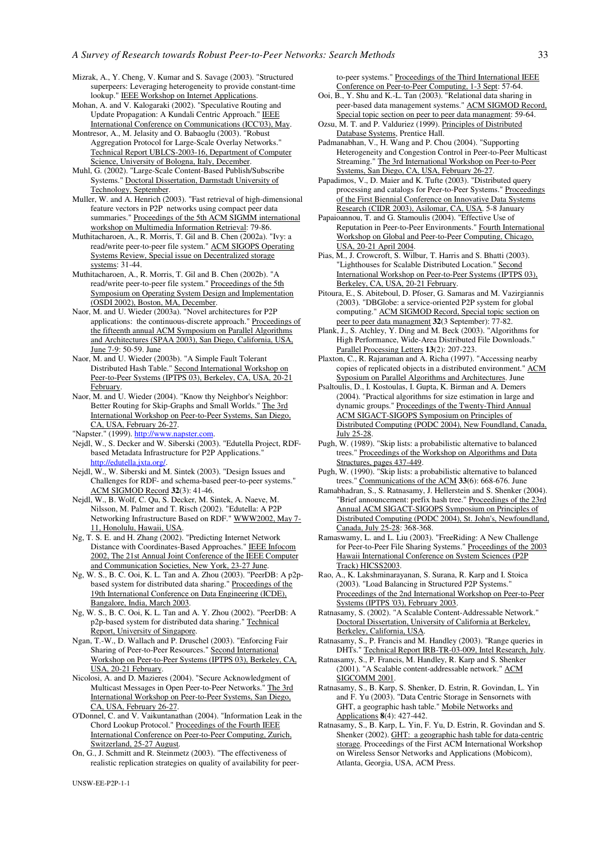Mizrak, A., Y. Cheng, V. Kumar and S. Savage (2003). "Structured superpeers: Leveraging heterogeneity to provide constant-time lookup." IEEE Workshop on Internet Applications.

- Mohan, A. and V. Kalogaraki (2002). "Speculative Routing and Update Propagation: A Kundali Centric Approach." IEEE International Conference on Communications (ICC'03), May.
- Montresor, A., M. Jelasity and O. Babaoglu (2003). "Robust Aggregation Protocol for Large-Scale Overlay Networks." Technical Report UBLCS-2003-16, Department of Computer Science, University of Bologna, Italy, December.

Muhl, G. (2002). "Large-Scale Content-Based Publish/Subscribe Systems." Doctoral Dissertation, Darmstadt University of Technology, September.

Muller, W. and A. Henrich (2003). "Fast retrieval of high-dimensional feature vectors in P2P networks using compact peer data summaries." Proceedings of the 5th ACM SIGMM international workshop on Multimedia Information Retrieval: 79-86.

Muthitacharoen, A., R. Morris, T. Gil and B. Chen (2002a). "Ivy: a read/write peer-to-peer file system." ACM SIGOPS Operating Systems Review, Special issue on Decentralized storage systems: 31-44.

Muthitacharoen, A., R. Morris, T. Gil and B. Chen (2002b). "A read/write peer-to-peer file system." Proceedings of the 5th Symposium on Operating System Design and Implementation (OSDI 2002), Boston, MA, December.

Naor, M. and U. Wieder (2003a). "Novel architectures for P2P applications: the continuous-discrete approach." Proceedings of the fifteenth annual ACM Symposium on Parallel Algorithms and Architectures (SPAA 2003), San Diego, California, USA, June 7-9: 50-59. June

- Naor, M. and U. Wieder (2003b). "A Simple Fault Tolerant Distributed Hash Table." Second International Workshop on Peer-to-Peer Systems (IPTPS 03), Berkeley, CA, USA, 20-21 February.
- Naor, M. and U. Wieder (2004). "Know thy Neighbor's Neighbor: Better Routing for Skip-Graphs and Small Worlds." The 3rd International Workshop on Peer-to-Peer Systems, San Diego, CA, USA, February 26-27.

"Napster." (1999). http://www.napster.com.

- Nejdl, W., S. Decker and W. Siberski (2003). "Edutella Project, RDFbased Metadata Infrastructure for P2P Applications." http://edutella.jxta.org/.
- Nejdl, W., W. Siberski and M. Sintek (2003). "Design Issues and Challenges for RDF- and schema-based peer-to-peer systems." ACM SIGMOD Record **32**(3): 41-46.
- Nejdl, W., B. Wolf, C. Qu, S. Decker, M. Sintek, A. Naeve, M. Nilsson, M. Palmer and T. Risch (2002). "Edutella: A P2P Networking Infrastructure Based on RDF." WWW2002, May 7- 11, Honolulu, Hawaii, USA.
- Ng, T. S. E. and H. Zhang (2002). "Predicting Internet Network Distance with Coordinates-Based Approaches." IEEE Infocom 2002, The 21st Annual Joint Conference of the IEEE Computer and Communication Societies, New York, 23-27 June.
- Ng, W. S., B. C. Ooi, K. L. Tan and A. Zhou (2003). "PeerDB: A p2pbased system for distributed data sharing." Proceedings of the 19th International Conference on Data Engineering (ICDE), Bangalore, India, March 2003.

Ng, W. S., B. C. Ooi, K. L. Tan and A. Y. Zhou (2002). "PeerDB: A p2p-based system for distributed data sharing." Technical Report, University of Singapore.

- Ngan, T.-W., D. Wallach and P. Druschel (2003). "Enforcing Fair Sharing of Peer-to-Peer Resources." Second International Workshop on Peer-to-Peer Systems (IPTPS 03), Berkeley, CA, USA, 20-21 February.
- Nicolosi, A. and D. Mazieres (2004). "Secure Acknowledgment of Multicast Messages in Open Peer-to-Peer Networks." The 3rd International Workshop on Peer-to-Peer Systems, San Diego, CA, USA, February 26-27.
- O'Donnel, C. and V. Vaikuntanathan (2004). "Information Leak in the Chord Lookup Protocol." Proceedings of the Fourth IEEE International Conference on Peer-to-Peer Computing, Zurich, Switzerland, 25-27 August.
- On, G., J. Schmitt and R. Steinmetz (2003). "The effectiveness of realistic replication strategies on quality of availability for peer-

to-peer systems." Proceedings of the Third International IEEE Conference on Peer-to-Peer Computing, 1-3 Sept: 57-64.

- Ooi, B., Y. Shu and K.-L. Tan (2003). "Relational data sharing in peer-based data management systems." ACM SIGMOD Record, Special topic section on peer to peer data managment: 59-64.
- Ozsu, M. T. and P. Valduriez (1999). Principles of Distributed Database Systems, Prentice Hall.
- Padmanabhan, V., H. Wang and P. Chou (2004). "Supporting Heterogeneity and Congestion Control in Peer-to-Peer Multicast Streaming." The 3rd International Workshop on Peer-to-Peer Systems, San Diego, CA, USA, February 26-27.
- Papadimos, V., D. Maier and K. Tufte (2003). "Distributed query processing and catalogs for Peer-to-Peer Systems." Proceedings of the First Biennial Conference on Innovative Data Systems Research (CIDR 2003), Asilomar, CA, USA. 5-8 January
- Papaioannou, T. and G. Stamoulis (2004). "Effective Use of Reputation in Peer-to-Peer Environments." Fourth International Workshop on Global and Peer-to-Peer Computing, Chicago, USA, 20-21 April 2004.
- Pias, M., J. Crowcroft, S. Wilbur, T. Harris and S. Bhatti (2003). "Lighthouses for Scalable Distributed Location." Second International Workshop on Peer-to-Peer Systems (IPTPS 03), Berkeley, CA, USA, 20-21 February.
- Pitoura, E., S. Abiteboul, D. Pfoser, G. Samaras and M. Vazirgiannis (2003). "DBGlobe: a service-oriented P2P system for global computing." ACM SIGMOD Record, Special topic section on peer to peer data managment **32**(3 September): 77-82.
- Plank, J., S. Atchley, Y. Ding and M. Beck (2003). "Algorithms for High Performance, Wide-Area Distributed File Downloads." Parallel Processing Letters **13**(2): 207-223.
- Plaxton, C., R. Rajaraman and A. Richa (1997). "Accessing nearby copies of replicated objects in a distributed environment." ACM Syposium on Parallel Algorithms and Architectures. June
- Psaltoulis, D., I. Kostoulas, I. Gupta, K. Birman and A. Demers (2004). "Practical algorithms for size estimation in large and dynamic groups." Proceedings of the Twenty-Third Annual ACM SIGACT-SIGOPS Symposium on Principles of Distributed Computing (PODC 2004), New Foundland, Canada, July 25-28.
- Pugh, W. (1989). "Skip lists: a probabilistic alternative to balanced trees." Proceedings of the Workshop on Algorithms and Data Structures, pages 437-449.
- Pugh, W. (1990). "Skip lists: a probabilistic alternative to balanced trees." Communications of the ACM **33**(6): 668-676. June
- Ramabhadran, S., S. Ratnasamy, J. Hellerstein and S. Shenker (2004). "Brief announcement: prefix hash tree." Proceedings of the 23rd Annual ACM SIGACT-SIGOPS Symposium on Principles of Distributed Computing (PODC 2004), St. John's, Newfoundland, Canada, July 25-28: 368-368.
- Ramaswamy, L. and L. Liu (2003). "FreeRiding: A New Challenge for Peer-to-Peer File Sharing Systems." Proceedings of the 2003 Hawaii International Conference on System Sciences (P2P Track) HICSS2003.
- Rao, A., K. Lakshminarayanan, S. Surana, R. Karp and I. Stoica (2003). "Load Balancing in Structured P2P Systems." Proceedings of the 2nd International Workshop on Peer-to-Peer Systems (IPTPS '03), February 2003.
- Ratnasamy, S. (2002). "A Scalable Content-Addressable Network." Doctoral Dissertation, University of California at Berkeley, Berkeley, California, USA.
- Ratnasamy, S., P. Francis and M. Handley (2003). "Range queries in DHTs." Technical Report IRB-TR-03-009, Intel Research, July.
- Ratnasamy, S., P. Francis, M. Handley, R. Karp and S. Shenker (2001). "A Scalable content-addressable network." ACM SIGCOMM 2001.
- Ratnasamy, S., B. Karp, S. Shenker, D. Estrin, R. Govindan, L. Yin and F. Yu (2003). "Data Centric Storage in Sensornets with GHT, a geographic hash table." Mobile Networks and Applications **8**(4): 427-442.
- Ratnasamy, S., B. Karp, L. Yin, F. Yu, D. Estrin, R. Govindan and S. Shenker (2002). GHT: a geographic hash table for data-centric storage. Proceedings of the First ACM International Workshop on Wireless Sensor Networks and Applications (Mobicom), Atlanta, Georgia, USA, ACM Press.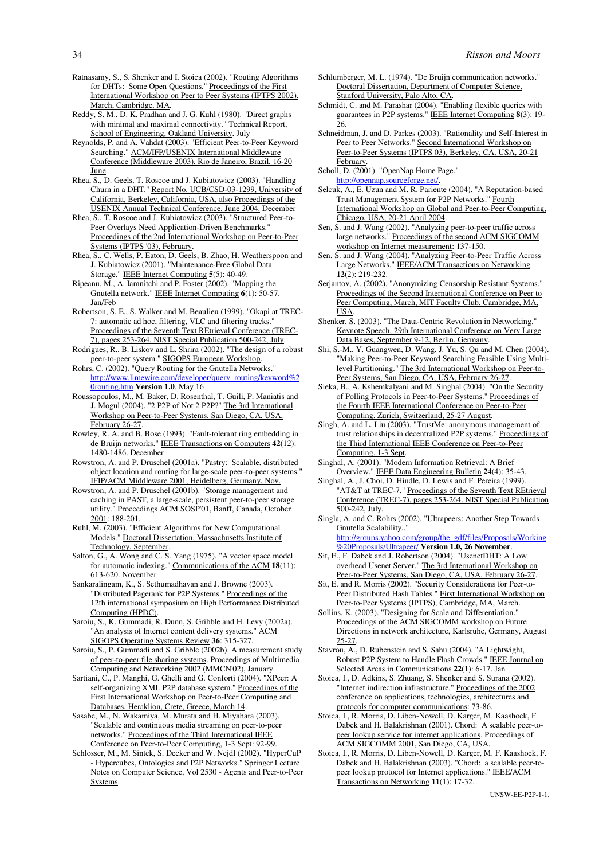- Ratnasamy, S., S. Shenker and I. Stoica (2002). "Routing Algorithms for DHTs: Some Open Questions." Proceedings of the First International Workshop on Peer to Peer Systems (IPTPS 2002), March, Cambridge, MA.
- Reddy, S. M., D. K. Pradhan and J. G. Kuhl (1980). "Direct graphs with minimal and maximal connectivity." Technical Report, School of Engineering, Oakland University. July
- Reynolds, P. and A. Vahdat (2003). "Efficient Peer-to-Peer Keyword Searching." ACM/IFP/USENIX International Middleware Conference (Middleware 2003), Rio de Janeiro, Brazil, 16-20 June.
- Rhea, S., D. Geels, T. Roscoe and J. Kubiatowicz (2003). "Handling Churn in a DHT." Report No. UCB/CSD-03-1299, University of California, Berkeley, California, USA, also Proceedings of the USENIX Annual Technical Conference, June 2004. December
- Rhea, S., T. Roscoe and J. Kubiatowicz (2003). "Structured Peer-to-Peer Overlays Need Application-Driven Benchmarks." Proceedings of the 2nd International Workshop on Peer-to-Peer Systems (IPTPS '03), February.
- Rhea, S., C. Wells, P. Eaton, D. Geels, B. Zhao, H. Weatherspoon and J. Kubiatowicz (2001). "Maintenance-Free Global Data Storage." IEEE Internet Computing **5**(5): 40-49.
- Ripeanu, M., A. Iamnitchi and P. Foster (2002). "Mapping the Gnutella network." IEEE Internet Computing **6**(1): 50-57. Jan/Feb
- Robertson, S. E., S. Walker and M. Beaulieu (1999). "Okapi at TREC-7: automatic ad hoc, filtering, VLC and filtering tracks." Proceedings of the Seventh Text REtrieval Conference (TREC-7), pages 253-264. NIST Special Publication 500-242, July.
- Rodrigues, R., B. Liskov and L. Shrira (2002). "The design of a robust peer-to-peer system." SIGOPS European Workshop.
- Rohrs, C. (2002). "Query Routing for the Gnutella Networks." http://www.limewire.com/developer/query\_routing/keyword%2 0routing.htm **Version 1.0**. May 16
- Roussopoulos, M., M. Baker, D. Rosenthal, T. Guili, P. Maniatis and J. Mogul (2004). "2 P2P of Not 2 P2P?" The 3rd International Workshop on Peer-to-Peer Systems, San Diego, CA, USA, February 26-27.
- Rowley, R. A. and B. Bose (1993). "Fault-tolerant ring embedding in de Bruijn networks." IEEE Transactions on Computers **42**(12): 1480-1486. December
- Rowstron, A. and P. Druschel (2001a). "Pastry: Scalable, distributed object location and routing for large-scale peer-to-peer systems." IFIP/ACM Middleware 2001, Heidelberg, Germany, Nov.
- Rowstron, A. and P. Druschel (2001b). "Storage management and caching in PAST, a large-scale, persistent peer-to-peer storage utility." Proceedings ACM SOSP'01, Banff, Canada, October 2001: 188-201.
- Ruhl, M. (2003). "Efficient Algorithms for New Computational Models." Doctoral Dissertation, Massachusetts Institute of Technology, September.
- Salton, G., A. Wong and C. S. Yang (1975). "A vector space model for automatic indexing." Communications of the ACM **18**(11): 613-620. November
- Sankaralingam, K., S. Sethumadhavan and J. Browne (2003). "Distributed Pagerank for P2P Systems." Proceedings of the 12th international symposium on High Performance Distributed Computing (HPDC).
- Saroiu, S., K. Gummadi, R. Dunn, S. Gribble and H. Levy (2002a). "An analysis of Internet content delivery systems." ACM SIGOPS Operating Systems Review **36**: 315-327.
- Saroiu, S., P. Gummadi and S. Gribble (2002b). A measurement study of peer-to-peer file sharing systems. Proceedings of Multimedia Computing and Networking 2002 (MMCN'02), January.
- Sartiani, C., P. Manghi, G. Ghelli and G. Conforti (2004). "XPeer: A self-organizing XML P2P database system." Proceedings of the First International Workshop on Peer-to-Peer Computing and Databases, Heraklion, Crete, Greece, March 14.
- Sasabe, M., N. Wakamiya, M. Murata and H. Miyahara (2003). "Scalable and continuous media streaming on peer-to-peer networks." Proceedings of the Third International IEEE Conference on Peer-to-Peer Computing, 1-3 Sept: 92-99.
- Schlosser, M., M. Sintek, S. Decker and W. Nejdl (2002). "HyperCuP - Hypercubes, Ontologies and P2P Networks." Springer Lecture Notes on Computer Science, Vol 2530 - Agents and Peer-to-Peer Systems.
- Schlumberger, M. L. (1974). "De Bruijn communication networks." Doctoral Dissertation, Department of Computer Science, Stanford University, Palo Alto, CA.
- Schmidt, C. and M. Parashar (2004). "Enabling flexible queries with guarantees in P2P systems." IEEE Internet Computing **8**(3): 19-  $\frac{5}{26}$
- Schneidman, J. and D. Parkes (2003). "Rationality and Self-Interest in Peer to Peer Networks." Second International Workshop on Peer-to-Peer Systems (IPTPS 03), Berkeley, CA, USA, 20-21 February.
- Scholl, D. (2001). "OpenNap Home Page." http://opennap.sourceforge.net/.
- Selcuk, A., E. Uzun and M. R. Pariente (2004). "A Reputation-based Trust Management System for P2P Networks." Fourth International Workshop on Global and Peer-to-Peer Computing, Chicago, USA, 20-21 April 2004.
- Sen, S. and J. Wang (2002). "Analyzing peer-to-peer traffic across large networks." Proceedings of the second ACM SIGCOMM workshop on Internet measurement: 137-150.
- Sen, S. and J. Wang (2004). "Analyzing Peer-to-Peer Traffic Across Large Networks." IEEE/ACM Transactions on Networking **12**(2): 219-232.
- Serjantov, A. (2002). "Anonymizing Censorship Resistant Systems." Proceedings of the Second International Conference on Peer to Peer Computing, March, MIT Faculty Club, Cambridge, MA, USA.
- Shenker, S. (2003). "The Data-Centric Revolution in Networking." Keynote Speech, 29th International Conference on Very Large Data Bases, September 9-12, Berlin, Germany.
- Shi, S.-M., Y. Guangwen, D. Wang, J. Yu, S. Qu and M. Chen (2004). "Making Peer-to-Peer Keyword Searching Feasible Using Multilevel Partitioning." The 3rd International Workshop on Peer-to-Peer Systems, San Diego, CA, USA, February 26-27.
- Sieka, B., A. Kshemkalyani and M. Singhal (2004). "On the Security of Polling Protocols in Peer-to-Peer Systems." Proceedings of the Fourth IEEE International Conference on Peer-to-Peer Computing, Zurich, Switzerland, 25-27 August.
- Singh, A. and L. Liu (2003). "TrustMe: anonymous management of trust relationships in decentralized P2P systems." Proceedings of the Third International IEEE Conference on Peer-to-Peer Computing, 1-3 Sept.
- Singhal, A. (2001). "Modern Information Retrieval: A Brief Overview." IEEE Data Engineering Bulletin **24**(4): 35-43.
- Singhal, A., J. Choi, D. Hindle, D. Lewis and F. Pereira (1999). "AT&T at TREC-7." Proceedings of the Seventh Text REtrieval Conference (TREC-7), pages 253-264. NIST Special Publication 500-242, July.
- Singla, A. and C. Rohrs (2002). "Ultrapeers: Another Step Towards Gnutella Scalability,."

http://groups.yahoo.com/group/the\_gdf/files/Proposals/Working %20Proposals/Ultrapeer/ **Version 1.0, 26 November**.

- Sit, E., F. Dabek and J. Robertson (2004). "UsenetDHT: A Low overhead Usenet Server." The 3rd International Workshop on Peer-to-Peer Systems, San Diego, CA, USA, February 26-27.
- Sit, E. and R. Morris (2002). "Security Considerations for Peer-to-Peer Distributed Hash Tables." First International Workshop on Peer-to-Peer Systems (IPTPS), Cambridge, MA, March.
- Sollins, K. (2003). "Designing for Scale and Differentiation. Proceedings of the ACM SIGCOMM workshop on Future Directions in network architecture, Karlsruhe, Germany, August 25-27.
- Stavrou, A., D. Rubenstein and S. Sahu (2004). "A Lightwight, Robust P2P System to Handle Flash Crowds." IEEE Journal on Selected Areas in Communications **22**(1): 6-17. Jan
- Stoica, I., D. Adkins, S. Zhuang, S. Shenker and S. Surana (2002). "Internet indirection infrastructure." Proceedings of the 2002 conference on applications, technologies, architectures and protocols for computer communications: 73-86.
- Stoica, I., R. Morris, D. Liben-Nowell, D. Karger, M. Kaashoek, F. Dabek and H. Balakrishnan (2001). Chord: A scalable peer-topeer lookup service for internet applications. Proceedings of ACM SIGCOMM 2001, San Diego, CA, USA.
- Stoica, I., R. Morris, D. Liben-Nowell, D. Karger, M. F. Kaashoek, F. Dabek and H. Balakrishnan (2003). "Chord: a scalable peer-topeer lookup protocol for Internet applications." IEEE/ACM Transactions on Networking **11**(1): 17-32.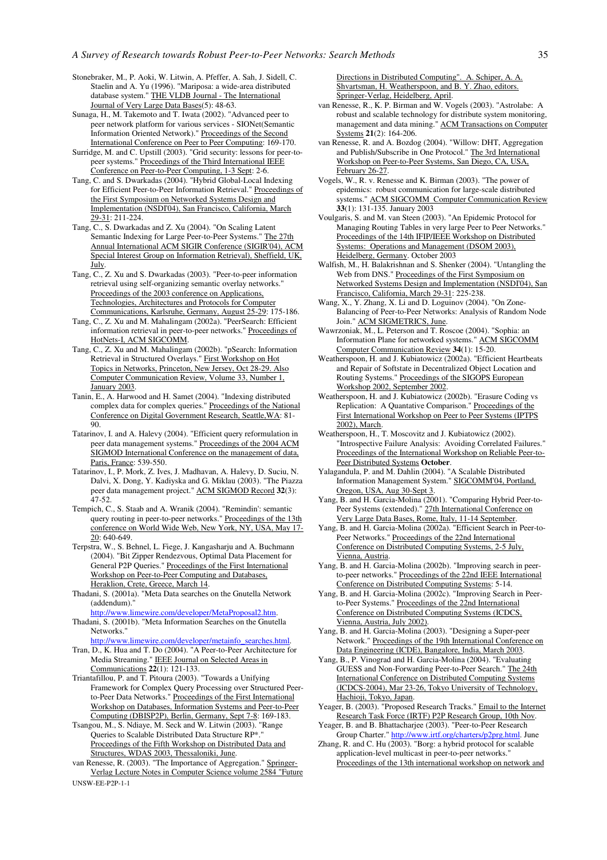- Stonebraker, M., P. Aoki, W. Litwin, A. Pfeffer, A. Sah, J. Sidell, C. Staelin and A. Yu (1996). "Mariposa: a wide-area distributed database system." THE VLDB Journal - The International Journal of Very Large Data Bases(5): 48-63.
- Sunaga, H., M. Takemoto and T. Iwata (2002). "Advanced peer to peer network platform for various services - SIONet(Semantic Information Oriented Network)." Proceedings of the Second International Conference on Peer to Peer Computing: 169-170.
- Surridge, M. and C. Upstill (2003). "Grid security: lessons for peer-topeer systems." Proceedings of the Third International IEEE Conference on Peer-to-Peer Computing, 1-3 Sept: 2-6.
- Tang, C. and S. Dwarkadas (2004). "Hybrid Global-Local Indexing for Efficient Peer-to-Peer Information Retrieval." Proceedings of the First Symposium on Networked Systems Design and Implementation (NSDI'04), San Francisco, California, March 29-31: 211-224.
- Tang, C., S. Dwarkadas and Z. Xu (2004). "On Scaling Latent Semantic Indexing for Large Peer-to-Peer Systems." The 27th Annual International ACM SIGIR Conference (SIGIR'04), ACM Special Interest Group on Information Retrieval), Sheffield, UK, July.
- Tang, C., Z. Xu and S. Dwarkadas (2003). "Peer-to-peer information retrieval using self-organizing semantic overlay networks." Proceedings of the 2003 conference on Applications, Technologies, Architectures and Protocols for Computer Communications, Karlsruhe, Germany, August 25-29: 175-186.
- Tang, C., Z. Xu and M. Mahalingam (2002a). "PeerSearch: Efficient information retrieval in peer-to-peer networks." Proceedings of HotNets-I, ACM SIGCOMM.
- Tang, C., Z. Xu and M. Mahalingam (2002b). "pSearch: Information Retrieval in Structured Overlays." First Workshop on Hot Topics in Networks, Princeton, New Jersey, Oct 28-29. Also Computer Communication Review, Volume 33, Number 1, January 2003.
- Tanin, E., A. Harwood and H. Samet (2004). "Indexing distributed complex data for complex queries." Proceedings of the National Conference on Digital Government Research, Seattle,WA: 81- 90.
- Tatarinov, I. and A. Halevy (2004). "Efficient query reformulation in peer data management systems." Proceedings of the 2004 ACM SIGMOD International Conference on the management of data, Paris, France: 539-550.
- Tatarinov, I., P. Mork, Z. Ives, J. Madhavan, A. Halevy, D. Suciu, N. Dalvi, X. Dong, Y. Kadiyska and G. Miklau (2003). "The Piazza peer data management project." ACM SIGMOD Record **32**(3):  $47-52.$
- Tempich, C., S. Staab and A. Wranik (2004). "Remindin': semantic query routing in peer-to-peer networks." Proceedings of the 13th conference on World Wide Web, New York, NY, USA, May 17-20: 640-649.
- Terpstra, W., S. Behnel, L. Fiege, J. Kangasharju and A. Buchmann (2004). "Bit Zipper Rendezvous, Optimal Data Placement for General P2P Queries." Proceedings of the First International Workshop on Peer-to-Peer Computing and Databases, Heraklion, Crete, Greece, March 14.
- Thadani, S. (2001a). "Meta Data searches on the Gnutella Network (addendum)."
- http://www.limewire.com/developer/MetaProposal2.htm. Thadani, S. (2001b). "Meta Information Searches on the Gnutella Networks."
- http://www.limewire.com/developer/metainfo\_searches.html. Tran, D., K. Hua and T. Do (2004). "A Peer-to-Peer Architecture for Media Streaming." IEEE Journal on Selected Areas in
- Communications **22**(1): 121-133. Triantafillou, P. and T. Pitoura (2003). "Towards a Unifying Framework for Complex Query Processing over Structured Peerto-Peer Data Networks." Proceedings of the First International Workshop on Databases, Information Systems and Peer-to-Peer Computing (DBISP2P), Berlin, Germany, Sept 7-8: 169-183.
- Tsangou, M., S. Ndiaye, M. Seck and W. Litwin (2003). "Range Queries to Scalable Distributed Data Structure RP\*." Proceedings of the Fifth Workshop on Distributed Data and Structures, WDAS 2003, Thessaloniki, June.
- UNSW-EE-P2P-1-1 van Renesse, R. (2003). "The Importance of Aggregation." Springer-Verlag Lecture Notes in Computer Science volume 2584 "Future

Directions in Distributed Computing". A. Schiper, A. A. Shvartsman, H. Weatherspoon, and B. Y. Zhao, editors. Springer-Verlag, Heidelberg, April.

- van Renesse, R., K. P. Birman and W. Vogels (2003). "Astrolabe: A robust and scalable technology for distribute system monitoring, management and data mining." ACM Transactions on Computer Systems **21**(2): 164-206.
- van Renesse, R. and A. Bozdog (2004). "Willow: DHT, Aggregation and Publish/Subscribe in One Protocol." The 3rd International Workshop on Peer-to-Peer Systems, San Diego, CA, USA, February 26-27.
- Vogels, W., R. v. Renesse and K. Birman (2003). "The power of epidemics: robust communication for large-scale distributed systems." ACM SIGCOMM Computer Communication Review **33**(1): 131-135. January 2003
- Voulgaris, S. and M. van Steen (2003). "An Epidemic Protocol for Managing Routing Tables in very large Peer to Peer Networks." Proceedings of the 14th IFIP/IEEE Workshop on Distributed Systems: Operations and Management (DSOM 2003), Heidelberg, Germany. October 2003
- Walfish, M., H. Balakrishnan and S. Shenker (2004). "Untangling the Web from DNS." Proceedings of the First Symposium on Networked Systems Design and Implementation (NSDI'04), San Francisco, California, March 29-31: 225-238.
- Wang, X., Y. Zhang, X. Li and D. Loguinov (2004). "On Zone-Balancing of Peer-to-Peer Networks: Analysis of Random Node Join." ACM SIGMETRICS, June.
- Wawrzoniak, M., L. Peterson and T. Roscoe (2004). "Sophia: an Information Plane for networked systems." ACM SIGCOMM Computer Communication Review **34**(1): 15-20.
- Weatherspoon, H. and J. Kubiatowicz (2002a). "Efficient Heartbeats and Repair of Softstate in Decentralized Object Location and Routing Systems." Proceedings of the SIGOPS European Workshop 2002, September 2002.
- Weatherspoon, H. and J. Kubiatowicz (2002b). "Erasure Coding vs Replication: A Quantative Comparison." Proceedings of the First International Workshop on Peer to Peer Systems (IPTPS 2002), March.
- Weatherspoon, H., T. Moscovitz and J. Kubiatowicz (2002). "Introspective Failure Analysis: Avoiding Correlated Failures." Proceedings of the International Workshop on Reliable Peer-to-Peer Distributed Systems **October**.
- Yalagandula, P. and M. Dahlin (2004). "A Scalable Distributed Information Management System." SIGCOMM'04, Portland, Oregon, USA, Aug 30-Sept 3.
- Yang, B. and H. Garcia-Molina (2001). "Comparing Hybrid Peer-to-Peer Systems (extended)." 27th International Conference on Very Large Data Bases, Rome, Italy, 11-14 September.
- Yang, B. and H. Garcia-Molina (2002a). "Efficient Search in Peer-to-Peer Networks." Proceedings of the 22nd International Conference on Distributed Computing Systems, 2-5 July, Vienna, Austria.
- Yang, B. and H. Garcia-Molina (2002b). "Improving search in peerto-peer networks." Proceedings of the 22nd IEEE International Conference on Distributed Computing Systems: 5-14.
- Yang, B. and H. Garcia-Molina (2002c). "Improving Search in Peerto-Peer Systems." Proceedings of the 22nd International Conference on Distributed Computing Systems (ICDCS, Vienna, Austria, July 2002).
- Yang, B. and H. Garcia-Molina (2003). "Designing a Super-peer Network." Proceedings of the 19th International Conference on Data Engineering (ICDE), Bangalore, India, March 2003.
- Yang, B., P. Vinograd and H. Garcia-Molina (2004). "Evaluating GUESS and Non-Forwarding Peer-to-Peer Search." The 24th International Conference on Distributed Computing Systems (ICDCS-2004), Mar 23-26, Tokyo University of Technology, Hachioji, Tokyo, Japan.
- Yeager, B. (2003). "Proposed Research Tracks." Email to the Internet Research Task Force (IRTF) P2P Research Group, 10th Nov.
- Yeager, B. and B. Bhattacharjee (2003). "Peer-to-Peer Research Group Charter." http://www.irtf.org/charters/p2prg.html. June
- Zhang, R. and C. Hu (2003). "Borg: a hybrid protocol for scalable application-level multicast in peer-to-peer networks." Proceedings of the 13th international workshop on network and